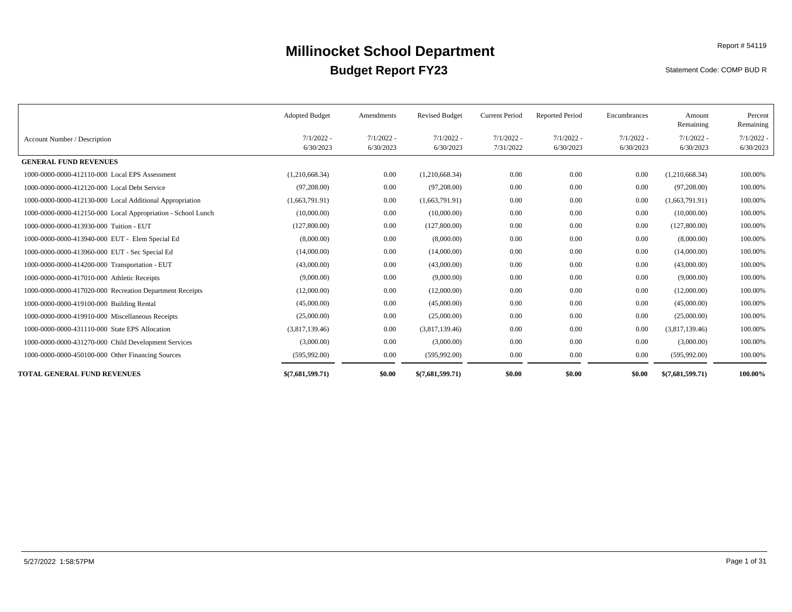Statement Code: COMP BUD R

|                                                              | <b>Adopted Budget</b>     | Amendments                | <b>Revised Budget</b>     | <b>Current Period</b>     | <b>Reported Period</b>    | Encumbrances              | Amount<br>Remaining       | Percent<br>Remaining      |
|--------------------------------------------------------------|---------------------------|---------------------------|---------------------------|---------------------------|---------------------------|---------------------------|---------------------------|---------------------------|
| Account Number / Description                                 | $7/1/2022 -$<br>6/30/2023 | $7/1/2022$ -<br>6/30/2023 | $7/1/2022 -$<br>6/30/2023 | $7/1/2022 -$<br>7/31/2022 | $7/1/2022 -$<br>6/30/2023 | $7/1/2022 -$<br>6/30/2023 | $7/1/2022 -$<br>6/30/2023 | $7/1/2022$ -<br>6/30/2023 |
| <b>GENERAL FUND REVENUES</b>                                 |                           |                           |                           |                           |                           |                           |                           |                           |
| 1000-0000-0000-412110-000 Local EPS Assessment               | (1,210,668.34)            | 0.00                      | (1,210,668.34)            | 0.00                      | 0.00                      | 0.00                      | (1,210,668.34)            | 100.00%                   |
| 1000-0000-0000-412120-000 Local Debt Service                 | (97,208.00)               | 0.00                      | (97,208.00)               | $0.00\,$                  | 0.00                      | 0.00                      | (97,208.00)               | 100.00%                   |
| 1000-0000-0000-412130-000 Local Additional Appropriation     | (1,663,791.91)            | 0.00                      | (1,663,791.91)            | 0.00                      | 0.00                      | 0.00                      | (1,663,791.91)            | 100.00%                   |
| 1000-0000-0000-412150-000 Local Appropriation - School Lunch | (10,000.00)               | 0.00                      | (10,000.00)               | $0.00\,$                  | 0.00                      | 0.00                      | (10,000.00)               | 100.00%                   |
| 1000-0000-0000-413930-000 Tuition - EUT                      | (127,800.00)              | 0.00                      | (127,800.00)              | $0.00\,$                  | 0.00                      | 0.00                      | (127,800.00)              | 100.00%                   |
| 1000-0000-0000-413940-000 EUT - Elem Special Ed              | (8,000.00)                | 0.00                      | (8,000.00)                | $0.00\,$                  | 0.00                      | 0.00                      | (8,000.00)                | 100.00%                   |
| 1000-0000-0000-413960-000 EUT - Sec Special Ed               | (14,000.00)               | 0.00                      | (14,000.00)               | 0.00                      | 0.00                      | 0.00                      | (14,000.00)               | 100.00%                   |
| 1000-0000-0000-414200-000 Transportation - EUT               | (43,000.00)               | 0.00                      | (43,000.00)               | 0.00                      | 0.00                      | 0.00                      | (43,000.00)               | 100.00%                   |
| 1000-0000-0000-417010-000 Athletic Receipts                  | (9,000.00)                | 0.00                      | (9,000.00)                | 0.00                      | 0.00                      | 0.00                      | (9,000.00)                | 100.00%                   |
| 1000-0000-0000-417020-000 Recreation Department Receipts     | (12,000.00)               | 0.00                      | (12,000.00)               | $0.00\,$                  | 0.00                      | 0.00                      | (12,000.00)               | 100.00%                   |
| 1000-0000-0000-419100-000 Building Rental                    | (45,000.00)               | 0.00                      | (45,000.00)               | $0.00\,$                  | 0.00                      | 0.00                      | (45,000.00)               | 100.00%                   |
| 1000-0000-0000-419910-000 Miscellaneous Receipts             | (25,000.00)               | 0.00                      | (25,000.00)               | 0.00                      | 0.00                      | 0.00                      | (25,000.00)               | 100.00%                   |
| 1000-0000-0000-431110-000 State EPS Allocation               | (3,817,139.46)            | 0.00                      | (3,817,139.46)            | $0.00\,$                  | 0.00                      | 0.00                      | (3,817,139.46)            | 100.00%                   |
| 1000-0000-0000-431270-000 Child Development Services         | (3,000.00)                | 0.00                      | (3,000.00)                | 0.00                      | 0.00                      | 0.00                      | (3,000.00)                | 100.00%                   |
| 1000-0000-0000-450100-000 Other Financing Sources            | (595, 992.00)             | 0.00                      | (595, 992.00)             | $0.00\,$                  | 0.00                      | 0.00                      | (595,992.00)              | 100.00%                   |
| <b>TOTAL GENERAL FUND REVENUES</b>                           | \$(7,681,599,71)          | \$0.00                    | \$(7,681,599,71)          | \$0.00                    | \$0.00                    | \$0.00                    | \$(7,681,599,71)          | 100.00%                   |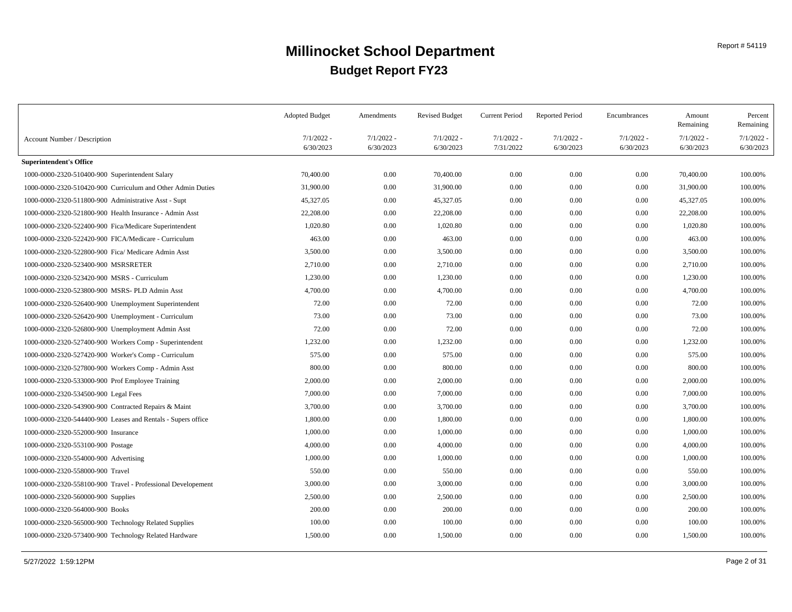|                                                              | <b>Adopted Budget</b> | Amendments   | <b>Revised Budget</b> | <b>Current Period</b> | <b>Reported Period</b> | Encumbrances | Amount<br>Remaining | Percent<br>Remaining |
|--------------------------------------------------------------|-----------------------|--------------|-----------------------|-----------------------|------------------------|--------------|---------------------|----------------------|
| Account Number / Description                                 | $7/1/2022 -$          | $7/1/2022 -$ | $7/1/2022 -$          | $7/1/2022 -$          | $7/1/2022 -$           | $7/1/2022 -$ | $7/1/2022 -$        | $7/1/2022$ .         |
|                                                              | 6/30/2023             | 6/30/2023    | 6/30/2023             | 7/31/2022             | 6/30/2023              | 6/30/2023    | 6/30/2023           | 6/30/2023            |
| <b>Superintendent's Office</b>                               |                       |              |                       |                       |                        |              |                     |                      |
| 1000-0000-2320-510400-900 Superintendent Salary              | 70,400.00             | 0.00         | 70,400.00             | 0.00                  | 0.00                   | 0.00         | 70,400.00           | 100.00%              |
| 1000-0000-2320-510420-900 Curriculum and Other Admin Duties  | 31,900.00             | 0.00         | 31,900.00             | 0.00                  | 0.00                   | 0.00         | 31,900.00           | 100.00%              |
| 1000-0000-2320-511800-900 Administrative Asst - Supt         | 45,327.05             | 0.00         | 45,327.05             | 0.00                  | 0.00                   | 0.00         | 45,327.05           | 100.00%              |
| 1000-0000-2320-521800-900 Health Insurance - Admin Asst      | 22,208.00             | 0.00         | 22,208.00             | 0.00                  | 0.00                   | 0.00         | 22,208.00           | 100.00%              |
| 1000-0000-2320-522400-900 Fica/Medicare Superintendent       | 1,020.80              | 0.00         | 1,020.80              | 0.00                  | 0.00                   | 0.00         | 1,020.80            | 100.00%              |
| 1000-0000-2320-522420-900 FICA/Medicare - Curriculum         | 463.00                | 0.00         | 463.00                | 0.00                  | 0.00                   | 0.00         | 463.00              | 100.00%              |
| 1000-0000-2320-522800-900 Fica/ Medicare Admin Asst          | 3,500.00              | 0.00         | 3,500.00              | 0.00                  | 0.00                   | 0.00         | 3,500.00            | 100.00%              |
| 1000-0000-2320-523400-900 MSRSRETER                          | 2,710.00              | 0.00         | 2,710.00              | 0.00                  | 0.00                   | 0.00         | 2,710.00            | 100.00%              |
| 1000-0000-2320-523420-900 MSRS - Curriculum                  | 1,230.00              | 0.00         | 1,230.00              | 0.00                  | 0.00                   | 0.00         | 1,230.00            | 100.00%              |
| 1000-0000-2320-523800-900 MSRS- PLD Admin Asst               | 4,700.00              | 0.00         | 4,700.00              | 0.00                  | 0.00                   | 0.00         | 4,700.00            | 100.00%              |
| 1000-0000-2320-526400-900 Unemployment Superintendent        | 72.00                 | 0.00         | 72.00                 | 0.00                  | 0.00                   | 0.00         | 72.00               | 100.00%              |
| 1000-0000-2320-526420-900 Unemployment - Curriculum          | 73.00                 | 0.00         | 73.00                 | 0.00                  | 0.00                   | 0.00         | 73.00               | 100.00%              |
| 1000-0000-2320-526800-900 Unemployment Admin Asst            | 72.00                 | 0.00         | 72.00                 | 0.00                  | 0.00                   | 0.00         | 72.00               | 100.00%              |
| 1000-0000-2320-527400-900 Workers Comp - Superintendent      | 1,232.00              | 0.00         | 1,232.00              | 0.00                  | 0.00                   | 0.00         | 1,232.00            | 100.00%              |
| 1000-0000-2320-527420-900 Worker's Comp - Curriculum         | 575.00                | 0.00         | 575.00                | 0.00                  | 0.00                   | 0.00         | 575.00              | 100.00%              |
| 1000-0000-2320-527800-900 Workers Comp - Admin Asst          | 800.00                | 0.00         | 800.00                | 0.00                  | 0.00                   | 0.00         | 800.00              | 100.00%              |
| 1000-0000-2320-533000-900 Prof Employee Training             | 2,000.00              | 0.00         | 2,000.00              | 0.00                  | 0.00                   | 0.00         | 2,000.00            | 100.00%              |
| 1000-0000-2320-534500-900 Legal Fees                         | 7,000.00              | 0.00         | 7,000.00              | 0.00                  | 0.00                   | 0.00         | 7,000.00            | 100.00%              |
| 1000-0000-2320-543900-900 Contracted Repairs & Maint         | 3,700.00              | 0.00         | 3,700.00              | 0.00                  | 0.00                   | 0.00         | 3,700.00            | 100.00%              |
| 1000-0000-2320-544400-900 Leases and Rentals - Supers office | 1,800.00              | 0.00         | 1,800.00              | 0.00                  | 0.00                   | 0.00         | 1,800.00            | 100.00%              |
| 1000-0000-2320-552000-900 Insurance                          | 1,000.00              | 0.00         | 1,000.00              | 0.00                  | 0.00                   | 0.00         | 1,000.00            | 100.00%              |
| 1000-0000-2320-553100-900 Postage                            | 4,000.00              | 0.00         | 4,000.00              | 0.00                  | 0.00                   | 0.00         | 4,000.00            | 100.00%              |
| 1000-0000-2320-554000-900 Advertising                        | 1,000.00              | 0.00         | 1,000.00              | 0.00                  | 0.00                   | 0.00         | 1,000.00            | 100.00%              |
| 1000-0000-2320-558000-900 Travel                             | 550.00                | 0.00         | 550.00                | 0.00                  | 0.00                   | 0.00         | 550.00              | 100.00%              |
| 1000-0000-2320-558100-900 Travel - Professional Developement | 3,000.00              | 0.00         | 3,000.00              | 0.00                  | 0.00                   | 0.00         | 3,000.00            | 100.00%              |
| 1000-0000-2320-560000-900 Supplies                           | 2,500.00              | 0.00         | 2,500.00              | 0.00                  | 0.00                   | 0.00         | 2,500.00            | 100.00%              |
| 1000-0000-2320-564000-900 Books                              | 200.00                | 0.00         | 200.00                | 0.00                  | 0.00                   | 0.00         | 200.00              | 100.00%              |
| 1000-0000-2320-565000-900 Technology Related Supplies        | 100.00                | 0.00         | 100.00                | 0.00                  | 0.00                   | 0.00         | 100.00              | 100.00%              |
| 1000-0000-2320-573400-900 Technology Related Hardware        | 1,500.00              | 0.00         | 1,500.00              | 0.00                  | 0.00                   | 0.00         | 1,500.00            | 100.00%              |
|                                                              |                       |              |                       |                       |                        |              |                     |                      |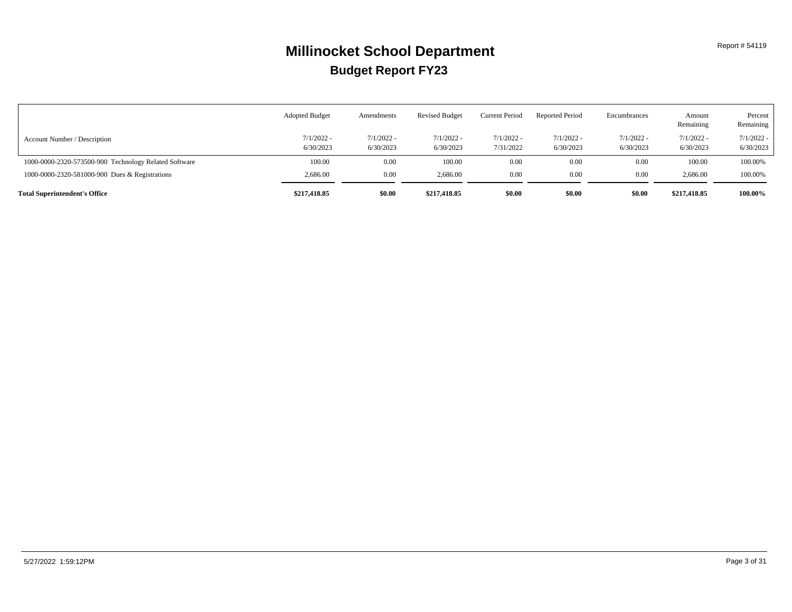|                                                       | <b>Adopted Budget</b>     | Amendments                | <b>Revised Budget</b>     | <b>Current Period</b>     | <b>Reported Period</b>    | Encumbrances              | Amount<br>Remaining       | Percent<br>Remaining      |
|-------------------------------------------------------|---------------------------|---------------------------|---------------------------|---------------------------|---------------------------|---------------------------|---------------------------|---------------------------|
| Account Number / Description                          | $7/1/2022 -$<br>6/30/2023 | $7/1/2022$ -<br>6/30/2023 | $7/1/2022 -$<br>6/30/2023 | $7/1/2022 -$<br>7/31/2022 | $7/1/2022 -$<br>6/30/2023 | $7/1/2022 -$<br>6/30/2023 | $7/1/2022 -$<br>6/30/2023 | $7/1/2022$ -<br>6/30/2023 |
| 1000-0000-2320-573500-900 Technology Related Software | 100.00                    | 0.00                      | 100.00                    | 0.00                      | 0.00                      | 0.00                      | 100.00                    | 100.00%                   |
| 1000-0000-2320-581000-900 Dues & Registrations        | 2,686.00                  | 0.00                      | 2,686.00                  | 0.00                      | 0.00                      | 0.00                      | 2,686.00                  | 100.00%                   |
| <b>Total Superintendent's Office</b>                  | \$217,418.85              | \$0.00                    | \$217,418.85              | \$0.00                    | \$0.00                    | \$0.00                    | \$217,418.85              | 100.00%                   |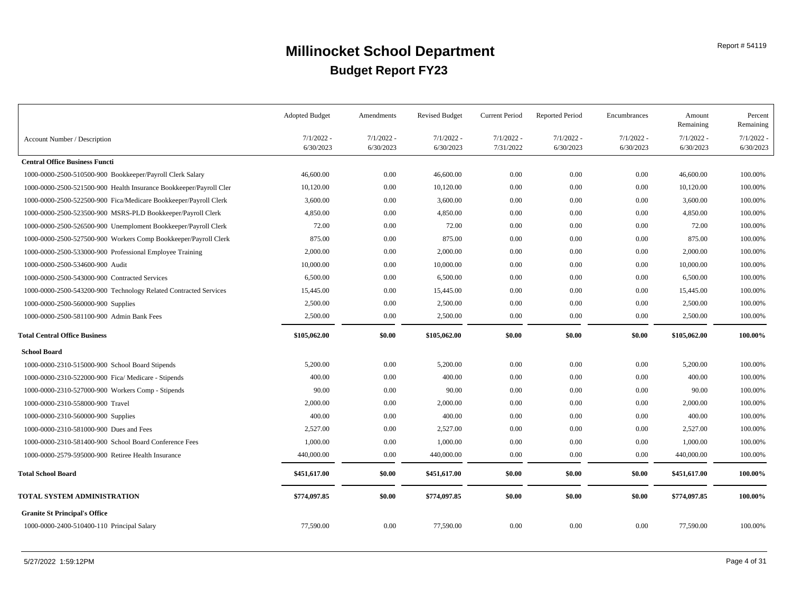|                                                                    | <b>Adopted Budget</b>     | Amendments                | <b>Revised Budget</b>     | <b>Current Period</b>     | <b>Reported Period</b>    | Encumbrances              | Amount<br>Remaining       | Percent<br>Remaining      |
|--------------------------------------------------------------------|---------------------------|---------------------------|---------------------------|---------------------------|---------------------------|---------------------------|---------------------------|---------------------------|
| Account Number / Description                                       | $7/1/2022$ -<br>6/30/2023 | $7/1/2022$ -<br>6/30/2023 | $7/1/2022$ -<br>6/30/2023 | $7/1/2022 -$<br>7/31/2022 | $7/1/2022$ -<br>6/30/2023 | $7/1/2022$ -<br>6/30/2023 | $7/1/2022$ -<br>6/30/2023 | $7/1/2022$ -<br>6/30/2023 |
| <b>Central Office Business Functi</b>                              |                           |                           |                           |                           |                           |                           |                           |                           |
| 1000-0000-2500-510500-900 Bookkeeper/Payroll Clerk Salary          | 46,600.00                 | 0.00                      | 46,600.00                 | 0.00                      | 0.00                      | 0.00                      | 46,600.00                 | 100.00%                   |
| 1000-0000-2500-521500-900 Health Insurance Bookkeeper/Payroll Cler | 10,120.00                 | 0.00                      | 10,120.00                 | 0.00                      | 0.00                      | 0.00                      | 10,120.00                 | 100.00%                   |
| 1000-0000-2500-522500-900 Fica/Medicare Bookkeeper/Payroll Clerk   | 3,600.00                  | 0.00                      | 3,600.00                  | $0.00\,$                  | 0.00                      | 0.00                      | 3,600.00                  | 100.00%                   |
| 1000-0000-2500-523500-900 MSRS-PLD Bookkeeper/Payroll Clerk        | 4,850.00                  | 0.00                      | 4,850.00                  | 0.00                      | 0.00                      | 0.00                      | 4,850.00                  | 100.00%                   |
| 1000-0000-2500-526500-900 Unemploment Bookkeeper/Payroll Clerk     | 72.00                     | 0.00                      | 72.00                     | 0.00                      | 0.00                      | 0.00                      | 72.00                     | 100.00%                   |
| 1000-0000-2500-527500-900 Workers Comp Bookkeeper/Payroll Clerk    | 875.00                    | 0.00                      | 875.00                    | $0.00\,$                  | 0.00                      | 0.00                      | 875.00                    | 100.00%                   |
| 1000-0000-2500-533000-900 Professional Employee Training           | 2,000.00                  | 0.00                      | 2,000.00                  | $0.00\,$                  | 0.00                      | 0.00                      | 2,000.00                  | 100.00%                   |
| 1000-0000-2500-534600-900 Audit                                    | 10,000.00                 | 0.00                      | 10,000.00                 | $0.00\,$                  | 0.00                      | 0.00                      | 10,000.00                 | 100.00%                   |
| 1000-0000-2500-543000-900 Contracted Services                      | 6,500.00                  | 0.00                      | 6,500.00                  | $0.00\,$                  | 0.00                      | 0.00                      | 6,500.00                  | 100.00%                   |
| 1000-0000-2500-543200-900 Technology Related Contracted Services   | 15,445.00                 | 0.00                      | 15,445.00                 | 0.00                      | 0.00                      | $0.00\,$                  | 15,445.00                 | 100.00%                   |
| 1000-0000-2500-560000-900 Supplies                                 | 2,500.00                  | 0.00                      | 2,500.00                  | $0.00\,$                  | 0.00                      | 0.00                      | 2,500.00                  | 100.00%                   |
| 1000-0000-2500-581100-900 Admin Bank Fees                          | 2,500.00                  | 0.00                      | 2,500.00                  | $0.00\,$                  | 0.00                      | 0.00                      | 2,500.00                  | 100.00%                   |
| <b>Total Central Office Business</b>                               | \$105,062.00              | \$0.00                    | \$105,062.00              | \$0.00                    | \$0.00                    | \$0.00                    | \$105,062.00              | 100.00%                   |
| <b>School Board</b>                                                |                           |                           |                           |                           |                           |                           |                           |                           |
| 1000-0000-2310-515000-900 School Board Stipends                    | 5,200.00                  | 0.00                      | 5,200.00                  | 0.00                      | 0.00                      | 0.00                      | 5,200.00                  | 100.00%                   |
| 1000-0000-2310-522000-900 Fica/ Medicare - Stipends                | 400.00                    | 0.00                      | 400.00                    | 0.00                      | 0.00                      | 0.00                      | 400.00                    | 100.00%                   |
| 1000-0000-2310-527000-900 Workers Comp - Stipends                  | 90.00                     | 0.00                      | 90.00                     | $0.00\,$                  | 0.00                      | 0.00                      | 90.00                     | 100.00%                   |
| 1000-0000-2310-558000-900 Travel                                   | 2,000.00                  | 0.00                      | 2,000.00                  | $0.00\,$                  | 0.00                      | 0.00                      | 2,000.00                  | 100.00%                   |
| 1000-0000-2310-560000-900 Supplies                                 | 400.00                    | 0.00                      | 400.00                    | 0.00                      | 0.00                      | 0.00                      | 400.00                    | 100.00%                   |
| 1000-0000-2310-581000-900 Dues and Fees                            | 2,527.00                  | 0.00                      | 2,527.00                  | $0.00\,$                  | 0.00                      | 0.00                      | 2,527.00                  | 100.00%                   |
| 1000-0000-2310-581400-900 School Board Conference Fees             | 1,000.00                  | 0.00                      | 1,000.00                  | $0.00\,$                  | 0.00                      | 0.00                      | 1,000.00                  | 100.00%                   |
| 1000-0000-2579-595000-900 Retiree Health Insurance                 | 440,000.00                | 0.00                      | 440,000.00                | 0.00                      | 0.00                      | 0.00                      | 440,000.00                | 100.00%                   |
| <b>Total School Board</b>                                          | \$451,617.00              | \$0.00                    | \$451,617.00              | \$0.00                    | \$0.00                    | \$0.00                    | \$451,617.00              | 100.00%                   |
| TOTAL SYSTEM ADMINISTRATION                                        | \$774,097.85              | \$0.00                    | \$774,097.85              | \$0.00                    | \$0.00                    | \$0.00                    | \$774,097.85              | 100.00%                   |
| <b>Granite St Principal's Office</b>                               |                           |                           |                           |                           |                           |                           |                           |                           |
| 1000-0000-2400-510400-110 Principal Salary                         | 77,590.00                 | 0.00                      | 77,590.00                 | $0.00\,$                  | 0.00                      | 0.00                      | 77,590.00                 | 100.00%                   |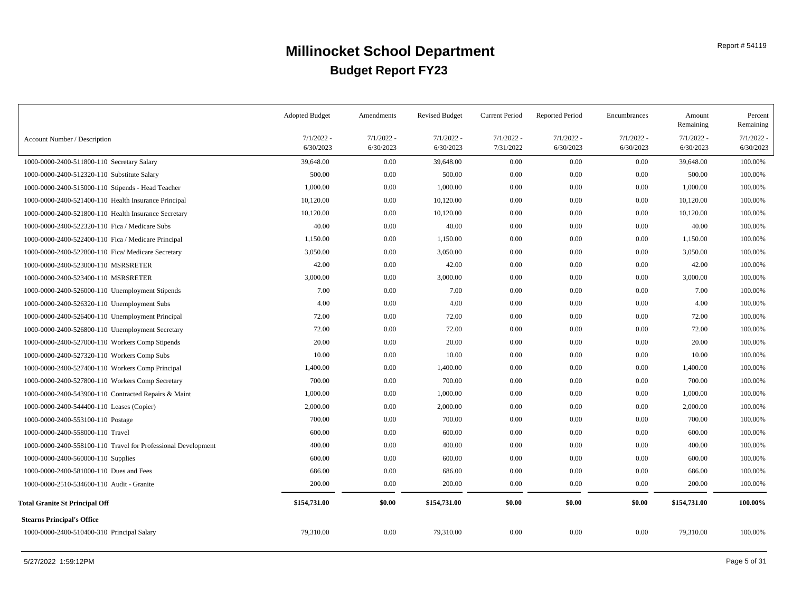|                                                               | <b>Adopted Budget</b>     | Amendments                | <b>Revised Budget</b>     | <b>Current Period</b>     | <b>Reported Period</b>    | Encumbrances              | Amount<br>Remaining       | Percent<br>Remaining  |
|---------------------------------------------------------------|---------------------------|---------------------------|---------------------------|---------------------------|---------------------------|---------------------------|---------------------------|-----------------------|
| Account Number / Description                                  | $7/1/2022$ -<br>6/30/2023 | $7/1/2022$ -<br>6/30/2023 | $7/1/2022 -$<br>6/30/2023 | $7/1/2022 -$<br>7/31/2022 | $7/1/2022 -$<br>6/30/2023 | $7/1/2022 -$<br>6/30/2023 | $7/1/2022$ -<br>6/30/2023 | 7/1/2022<br>6/30/2023 |
| 1000-0000-2400-511800-110 Secretary Salary                    | 39,648.00                 | 0.00                      | 39,648.00                 | 0.00                      | 0.00                      | 0.00                      | 39,648.00                 | 100.00%               |
| 1000-0000-2400-512320-110 Substitute Salary                   | 500.00                    | 0.00                      | 500.00                    | 0.00                      | 0.00                      | 0.00                      | 500.00                    | 100.00%               |
| 1000-0000-2400-515000-110 Stipends - Head Teacher             | 1,000.00                  | 0.00                      | 1,000.00                  | 0.00                      | 0.00                      | $0.00\,$                  | 1,000.00                  | 100.00%               |
| 1000-0000-2400-521400-110 Health Insurance Principal          | 10,120.00                 | 0.00                      | 10,120.00                 | 0.00                      | 0.00                      | 0.00                      | 10,120.00                 | 100.00%               |
| 1000-0000-2400-521800-110 Health Insurance Secretary          | 10,120.00                 | 0.00                      | 10,120.00                 | 0.00                      | 0.00                      | 0.00                      | 10,120.00                 | 100.00%               |
| 1000-0000-2400-522320-110 Fica / Medicare Subs                | 40.00                     | 0.00                      | 40.00                     | 0.00                      | 0.00                      | 0.00                      | 40.00                     | 100.00%               |
| 1000-0000-2400-522400-110 Fica / Medicare Principal           | 1,150.00                  | 0.00                      | 1,150.00                  | 0.00                      | 0.00                      | $0.00\,$                  | 1,150.00                  | 100.00%               |
| 1000-0000-2400-522800-110 Fica/ Medicare Secretary            | 3,050.00                  | 0.00                      | 3,050.00                  | 0.00                      | 0.00                      | $0.00\,$                  | 3,050.00                  | 100.00%               |
| 1000-0000-2400-523000-110 MSRSRETER                           | 42.00                     | 0.00                      | 42.00                     | 0.00                      | 0.00                      | $0.00\,$                  | 42.00                     | 100.00%               |
| 1000-0000-2400-523400-110 MSRSRETER                           | 3,000.00                  | 0.00                      | 3,000.00                  | 0.00                      | 0.00                      | $0.00\,$                  | 3,000.00                  | 100.00%               |
| 1000-0000-2400-526000-110 Unemployment Stipends               | 7.00                      | 0.00                      | 7.00                      | 0.00                      | 0.00                      | $0.00\,$                  | 7.00                      | 100.00%               |
| 1000-0000-2400-526320-110 Unemployment Subs                   | 4.00                      | 0.00                      | 4.00                      | 0.00                      | 0.00                      | 0.00                      | 4.00                      | 100.00%               |
| 1000-0000-2400-526400-110 Unemployment Principal              | 72.00                     | 0.00                      | 72.00                     | 0.00                      | 0.00                      | $0.00\,$                  | 72.00                     | 100.00%               |
| 1000-0000-2400-526800-110 Unemployment Secretary              | 72.00                     | 0.00                      | 72.00                     | 0.00                      | 0.00                      | $0.00\,$                  | 72.00                     | 100.00%               |
| 1000-0000-2400-527000-110 Workers Comp Stipends               | 20.00                     | 0.00                      | 20.00                     | 0.00                      | 0.00                      | $0.00\,$                  | 20.00                     | 100.00%               |
| 1000-0000-2400-527320-110 Workers Comp Subs                   | 10.00                     | 0.00                      | 10.00                     | 0.00                      | 0.00                      | 0.00                      | 10.00                     | 100.00%               |
| 1000-0000-2400-527400-110 Workers Comp Principal              | 1,400.00                  | 0.00                      | 1,400.00                  | 0.00                      | 0.00                      | $0.00\,$                  | 1,400.00                  | 100.00%               |
| 1000-0000-2400-527800-110 Workers Comp Secretary              | 700.00                    | 0.00                      | 700.00                    | 0.00                      | 0.00                      | $0.00\,$                  | 700.00                    | 100.00%               |
| 1000-0000-2400-543900-110 Contracted Repairs & Maint          | 1,000.00                  | 0.00                      | 1,000.00                  | 0.00                      | 0.00                      | 0.00                      | 1,000.00                  | 100.00%               |
| 1000-0000-2400-544400-110 Leases (Copier)                     | 2,000.00                  | 0.00                      | 2,000.00                  | 0.00                      | 0.00                      | 0.00                      | 2,000.00                  | 100.00%               |
| 1000-0000-2400-553100-110 Postage                             | 700.00                    | 0.00                      | 700.00                    | 0.00                      | 0.00                      | 0.00                      | 700.00                    | 100.00%               |
| 1000-0000-2400-558000-110 Travel                              | 600.00                    | 0.00                      | 600.00                    | 0.00                      | 0.00                      | 0.00                      | 600.00                    | 100.00%               |
| 1000-0000-2400-558100-110 Travel for Professional Development | 400.00                    | 0.00                      | 400.00                    | 0.00                      | 0.00                      | 0.00                      | 400.00                    | 100.00%               |
| 1000-0000-2400-560000-110 Supplies                            | 600.00                    | 0.00                      | 600.00                    | 0.00                      | 0.00                      | $0.00\,$                  | 600.00                    | 100.00%               |
| 1000-0000-2400-581000-110 Dues and Fees                       | 686.00                    | 0.00                      | 686.00                    | 0.00                      | 0.00                      | $0.00\,$                  | 686.00                    | 100.00%               |
| 1000-0000-2510-534600-110 Audit - Granite                     | 200.00                    | 0.00                      | 200.00                    | 0.00                      | 0.00                      | $0.00\,$                  | 200.00                    | 100.00%               |
| <b>Total Granite St Principal Off</b>                         | \$154,731.00              | \$0.00                    | \$154,731.00              | \$0.00                    | \$0.00                    | \$0.00                    | \$154,731.00              | 100.00%               |
| <b>Stearns Principal's Office</b>                             |                           |                           |                           |                           |                           |                           |                           |                       |
| 1000-0000-2400-510400-310 Principal Salary                    | 79,310.00                 | 0.00                      | 79,310.00                 | 0.00                      | 0.00                      | 0.00                      | 79,310.00                 | 100.00%               |
|                                                               |                           |                           |                           |                           |                           |                           |                           |                       |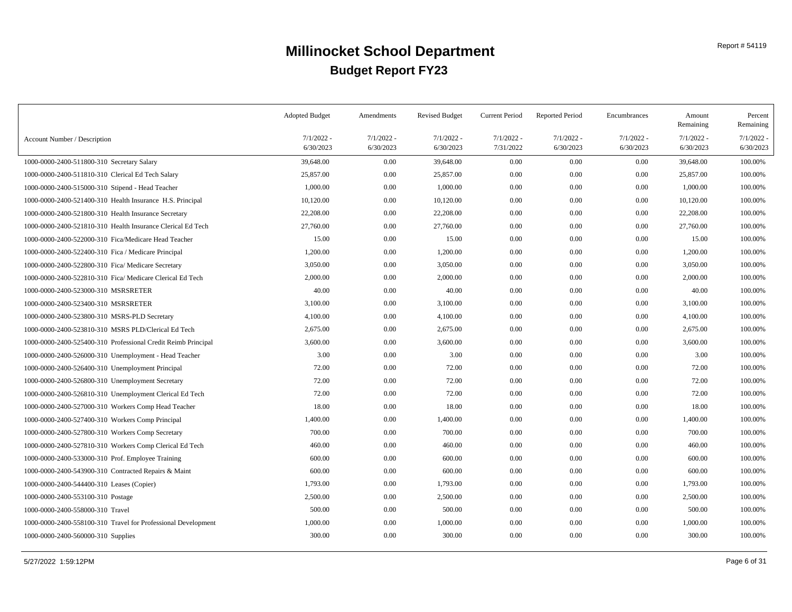|                                                               | <b>Adopted Budget</b>     | Amendments                | <b>Revised Budget</b>     | <b>Current Period</b>     | <b>Reported Period</b>    | Encumbrances              | Amount<br>Remaining       | Percent<br>Remaining  |
|---------------------------------------------------------------|---------------------------|---------------------------|---------------------------|---------------------------|---------------------------|---------------------------|---------------------------|-----------------------|
| Account Number / Description                                  | $7/1/2022 -$<br>6/30/2023 | $7/1/2022 -$<br>6/30/2023 | $7/1/2022 -$<br>6/30/2023 | $7/1/2022 -$<br>7/31/2022 | $7/1/2022$ -<br>6/30/2023 | $7/1/2022 -$<br>6/30/2023 | $7/1/2022$ -<br>6/30/2023 | 7/1/2022<br>6/30/2023 |
| 1000-0000-2400-511800-310 Secretary Salary                    | 39,648.00                 | 0.00                      | 39,648.00                 | 0.00                      | 0.00                      | 0.00                      | 39,648.00                 | 100.00%               |
| 1000-0000-2400-511810-310 Clerical Ed Tech Salary             | 25,857.00                 | 0.00                      | 25,857.00                 | 0.00                      | 0.00                      | 0.00                      | 25,857.00                 | 100.00%               |
| 1000-0000-2400-515000-310 Stipend - Head Teacher              | 1,000.00                  | 0.00                      | 1,000.00                  | 0.00                      | 0.00                      | 0.00                      | 1,000.00                  | 100.00%               |
| 1000-0000-2400-521400-310 Health Insurance H.S. Principal     | 10,120.00                 | 0.00                      | 10,120.00                 | 0.00                      | 0.00                      | 0.00                      | 10,120.00                 | 100.00%               |
| 1000-0000-2400-521800-310 Health Insurance Secretary          | 22,208.00                 | 0.00                      | 22,208.00                 | 0.00                      | 0.00                      | 0.00                      | 22,208.00                 | 100.00%               |
| 1000-0000-2400-521810-310 Health Insurance Clerical Ed Tech   | 27,760.00                 | 0.00                      | 27,760.00                 | 0.00                      | 0.00                      | 0.00                      | 27,760.00                 | 100.00%               |
| 1000-0000-2400-522000-310 Fica/Medicare Head Teacher          | 15.00                     | 0.00                      | 15.00                     | 0.00                      | 0.00                      | 0.00                      | 15.00                     | 100.00%               |
| 1000-0000-2400-522400-310 Fica / Medicare Principal           | 1,200.00                  | 0.00                      | 1,200.00                  | 0.00                      | 0.00                      | 0.00                      | 1,200.00                  | 100.00%               |
| 1000-0000-2400-522800-310 Fica/ Medicare Secretary            | 3,050.00                  | 0.00                      | 3,050.00                  | 0.00                      | 0.00                      | 0.00                      | 3,050.00                  | 100.00%               |
| 1000-0000-2400-522810-310 Fica/ Medicare Clerical Ed Tech     | 2,000.00                  | 0.00                      | 2,000.00                  | 0.00                      | 0.00                      | 0.00                      | 2,000.00                  | 100.00%               |
| 1000-0000-2400-523000-310 MSRSRETER                           | 40.00                     | 0.00                      | 40.00                     | 0.00                      | 0.00                      | 0.00                      | 40.00                     | 100.00%               |
| 1000-0000-2400-523400-310 MSRSRETER                           | 3,100.00                  | 0.00                      | 3,100.00                  | 0.00                      | 0.00                      | 0.00                      | 3,100.00                  | 100.00%               |
| 1000-0000-2400-523800-310 MSRS-PLD Secretary                  | 4,100.00                  | 0.00                      | 4,100.00                  | 0.00                      | 0.00                      | 0.00                      | 4,100.00                  | 100.00%               |
| 1000-0000-2400-523810-310 MSRS PLD/Clerical Ed Tech           | 2,675.00                  | 0.00                      | 2,675.00                  | 0.00                      | 0.00                      | 0.00                      | 2,675.00                  | 100.00%               |
| 1000-0000-2400-525400-310 Professional Credit Reimb Principal | 3,600.00                  | 0.00                      | 3,600.00                  | 0.00                      | 0.00                      | 0.00                      | 3,600.00                  | 100.00%               |
| 1000-0000-2400-526000-310 Unemployment - Head Teacher         | 3.00                      | 0.00                      | 3.00                      | 0.00                      | 0.00                      | 0.00                      | 3.00                      | 100.00%               |
| 1000-0000-2400-526400-310 Unemployment Principal              | 72.00                     | 0.00                      | 72.00                     | 0.00                      | 0.00                      | 0.00                      | 72.00                     | 100.00%               |
| 1000-0000-2400-526800-310 Unemployment Secretary              | 72.00                     | 0.00                      | 72.00                     | 0.00                      | 0.00                      | 0.00                      | 72.00                     | 100.00%               |
| 1000-0000-2400-526810-310 Unemployment Clerical Ed Tech       | 72.00                     | 0.00                      | 72.00                     | 0.00                      | 0.00                      | 0.00                      | 72.00                     | 100.00%               |
| 1000-0000-2400-527000-310 Workers Comp Head Teacher           | 18.00                     | 0.00                      | 18.00                     | 0.00                      | 0.00                      | 0.00                      | 18.00                     | 100.00%               |
| 1000-0000-2400-527400-310 Workers Comp Principal              | 1,400.00                  | 0.00                      | 1,400.00                  | 0.00                      | 0.00                      | 0.00                      | 1,400.00                  | 100.00%               |
| 1000-0000-2400-527800-310 Workers Comp Secretary              | 700.00                    | 0.00                      | 700.00                    | 0.00                      | 0.00                      | 0.00                      | 700.00                    | 100.00%               |
| 1000-0000-2400-527810-310 Workers Comp Clerical Ed Tech       | 460.00                    | 0.00                      | 460.00                    | 0.00                      | 0.00                      | 0.00                      | 460.00                    | 100.00%               |
| 1000-0000-2400-533000-310 Prof. Employee Training             | 600.00                    | 0.00                      | 600.00                    | 0.00                      | 0.00                      | 0.00                      | 600.00                    | 100.00%               |
| 1000-0000-2400-543900-310 Contracted Repairs & Maint          | 600.00                    | 0.00                      | 600.00                    | 0.00                      | 0.00                      | 0.00                      | 600.00                    | 100.00%               |
| 1000-0000-2400-544400-310 Leases (Copier)                     | 1,793.00                  | 0.00                      | 1,793.00                  | 0.00                      | 0.00                      | 0.00                      | 1,793.00                  | 100.00%               |
| 1000-0000-2400-553100-310 Postage                             | 2,500.00                  | 0.00                      | 2,500.00                  | 0.00                      | 0.00                      | 0.00                      | 2,500.00                  | 100.00%               |
| 1000-0000-2400-558000-310 Travel                              | 500.00                    | 0.00                      | 500.00                    | 0.00                      | 0.00                      | 0.00                      | 500.00                    | 100.00%               |
| 1000-0000-2400-558100-310 Travel for Professional Development | 1,000.00                  | 0.00                      | 1,000.00                  | 0.00                      | 0.00                      | 0.00                      | 1,000.00                  | 100.00%               |
| 1000-0000-2400-560000-310 Supplies                            | 300.00                    | 0.00                      | 300.00                    | 0.00                      | 0.00                      | 0.00                      | 300.00                    | 100.00%               |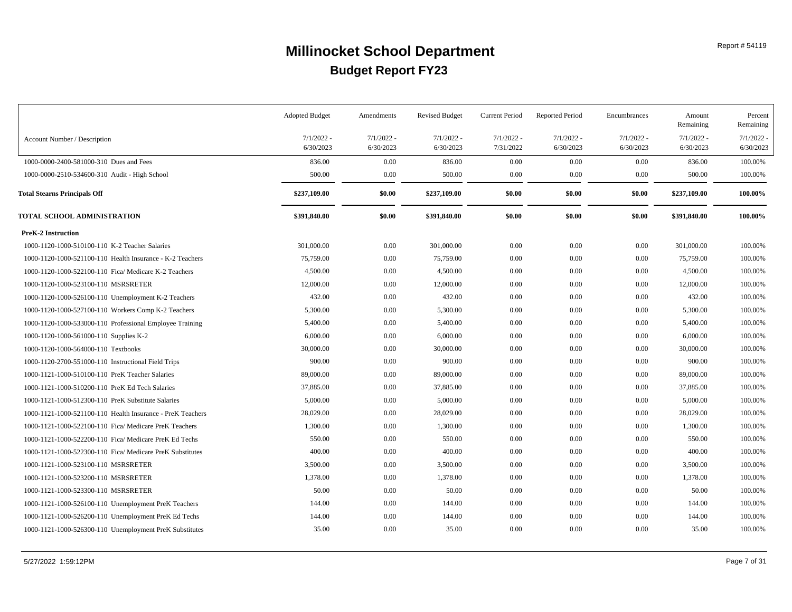|                                                            | <b>Adopted Budget</b>     | Amendments                | <b>Revised Budget</b>     | <b>Current Period</b>     | <b>Reported Period</b>    | Encumbrances              | Amount<br>Remaining       | Percent<br>Remaining      |
|------------------------------------------------------------|---------------------------|---------------------------|---------------------------|---------------------------|---------------------------|---------------------------|---------------------------|---------------------------|
| Account Number / Description                               | $7/1/2022 -$<br>6/30/2023 | $7/1/2022$ -<br>6/30/2023 | $7/1/2022 -$<br>6/30/2023 | $7/1/2022 -$<br>7/31/2022 | $7/1/2022$ -<br>6/30/2023 | $7/1/2022 -$<br>6/30/2023 | $7/1/2022 -$<br>6/30/2023 | $7/1/2022$ -<br>6/30/2023 |
| 1000-0000-2400-581000-310 Dues and Fees                    | 836.00                    | 0.00                      | 836.00                    | 0.00                      | 0.00                      | 0.00                      | 836.00                    | 100.00%                   |
| 1000-0000-2510-534600-310 Audit - High School              | 500.00                    | 0.00                      | 500.00                    | 0.00                      | 0.00                      | $0.00\,$                  | 500.00                    | 100.00%                   |
| <b>Total Stearns Principals Off</b>                        | \$237,109.00              | \$0.00                    | \$237,109.00              | \$0.00                    | \$0.00                    | \$0.00                    | \$237,109.00              | 100.00%                   |
| TOTAL SCHOOL ADMINISTRATION                                | \$391,840.00              | \$0.00                    | \$391,840.00              | \$0.00                    | \$0.00                    | \$0.00                    | \$391,840.00              | 100.00%                   |
| <b>PreK-2 Instruction</b>                                  |                           |                           |                           |                           |                           |                           |                           |                           |
| 1000-1120-1000-510100-110 K-2 Teacher Salaries             | 301,000.00                | 0.00                      | 301,000.00                | 0.00                      | 0.00                      | $0.00\,$                  | 301,000.00                | 100.00%                   |
| 1000-1120-1000-521100-110 Health Insurance - K-2 Teachers  | 75,759.00                 | 0.00                      | 75,759.00                 | 0.00                      | 0.00                      | 0.00                      | 75,759.00                 | 100.00%                   |
| 1000-1120-1000-522100-110 Fica/ Medicare K-2 Teachers      | 4,500.00                  | 0.00                      | 4,500.00                  | 0.00                      | 0.00                      | 0.00                      | 4,500.00                  | 100.00%                   |
| 1000-1120-1000-523100-110 MSRSRETER                        | 12,000.00                 | 0.00                      | 12,000.00                 | $0.00\,$                  | 0.00                      | $0.00\,$                  | 12,000.00                 | 100.00%                   |
| 1000-1120-1000-526100-110 Unemployment K-2 Teachers        | 432.00                    | 0.00                      | 432.00                    | $0.00\,$                  | 0.00                      | $0.00\,$                  | 432.00                    | 100.00%                   |
| 1000-1120-1000-527100-110 Workers Comp K-2 Teachers        | 5,300.00                  | 0.00                      | 5,300.00                  | $0.00\,$                  | 0.00                      | $0.00\,$                  | 5,300.00                  | 100.00%                   |
| 1000-1120-1000-533000-110 Professional Employee Training   | 5,400.00                  | 0.00                      | 5,400.00                  | $0.00\,$                  | 0.00                      | $0.00\,$                  | 5,400.00                  | 100.00%                   |
| 1000-1120-1000-561000-110 Supplies K-2                     | 6,000.00                  | 0.00                      | 6,000.00                  | $0.00\,$                  | 0.00                      | 0.00                      | 6,000.00                  | 100.00%                   |
| 1000-1120-1000-564000-110 Textbooks                        | 30,000.00                 | 0.00                      | 30,000.00                 | $0.00\,$                  | 0.00                      | $0.00\,$                  | 30,000.00                 | 100.00%                   |
| 1000-1120-2700-551000-110 Instructional Field Trips        | 900.00                    | 0.00                      | 900.00                    | 0.00                      | 0.00                      | $0.00\,$                  | 900.00                    | 100.00%                   |
| 1000-1121-1000-510100-110 PreK Teacher Salaries            | 89,000.00                 | 0.00                      | 89,000.00                 | $0.00\,$                  | 0.00                      | 0.00                      | 89,000.00                 | 100.00%                   |
| 1000-1121-1000-510200-110 PreK Ed Tech Salaries            | 37,885.00                 | 0.00                      | 37,885.00                 | $0.00\,$                  | 0.00                      | 0.00                      | 37,885.00                 | 100.00%                   |
| 1000-1121-1000-512300-110 PreK Substitute Salaries         | 5,000.00                  | 0.00                      | 5,000.00                  | 0.00                      | 0.00                      | $0.00\,$                  | 5,000.00                  | 100.00%                   |
| 1000-1121-1000-521100-110 Health Insurance - PreK Teachers | 28,029.00                 | 0.00                      | 28,029.00                 | $0.00\,$                  | 0.00                      | 0.00                      | 28,029.00                 | 100.00%                   |
| 1000-1121-1000-522100-110 Fica/ Medicare PreK Teachers     | 1,300.00                  | 0.00                      | 1,300.00                  | $0.00\,$                  | 0.00                      | $0.00\,$                  | 1,300.00                  | 100.00%                   |
| 1000-1121-1000-522200-110 Fica/ Medicare PreK Ed Techs     | 550.00                    | 0.00                      | 550.00                    | $0.00\,$                  | 0.00                      | 0.00                      | 550.00                    | 100.00%                   |
| 1000-1121-1000-522300-110 Fica/ Medicare PreK Substitutes  | 400.00                    | 0.00                      | 400.00                    | 0.00                      | 0.00                      | 0.00                      | 400.00                    | 100.00%                   |
| 1000-1121-1000-523100-110 MSRSRETER                        | 3,500.00                  | 0.00                      | 3,500.00                  | 0.00                      | 0.00                      | $0.00\,$                  | 3,500.00                  | 100.00%                   |
| 1000-1121-1000-523200-110 MSRSRETER                        | 1,378.00                  | 0.00                      | 1,378.00                  | $0.00\,$                  | 0.00                      | $0.00\,$                  | 1,378.00                  | 100.00%                   |
| 1000-1121-1000-523300-110 MSRSRETER                        | 50.00                     | 0.00                      | 50.00                     | 0.00                      | 0.00                      | $0.00\,$                  | 50.00                     | 100.00%                   |
| 1000-1121-1000-526100-110 Unemployment PreK Teachers       | 144.00                    | 0.00                      | 144.00                    | $0.00\,$                  | 0.00                      | $0.00\,$                  | 144.00                    | 100.00%                   |
| 1000-1121-1000-526200-110 Unemployment PreK Ed Techs       | 144.00                    | 0.00                      | 144.00                    | $0.00\,$                  | 0.00                      | 0.00                      | 144.00                    | 100.00%                   |
| 1000-1121-1000-526300-110 Unemployment PreK Substitutes    | 35.00                     | 0.00                      | 35.00                     | $0.00\,$                  | 0.00                      | $0.00\,$                  | 35.00                     | 100.00%                   |
|                                                            |                           |                           |                           |                           |                           |                           |                           |                           |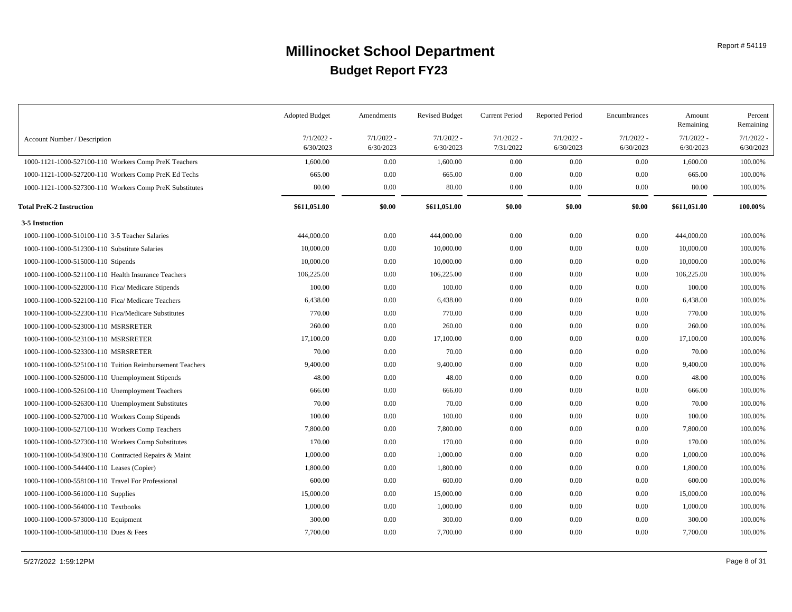|                                                          | <b>Adopted Budget</b> | Amendments   | <b>Revised Budget</b> | <b>Current Period</b> | <b>Reported Period</b> | Encumbrances | Amount<br>Remaining | Percent<br>Remaining |
|----------------------------------------------------------|-----------------------|--------------|-----------------------|-----------------------|------------------------|--------------|---------------------|----------------------|
| Account Number / Description                             | $7/1/2022$ -          | $7/1/2022$ - | $7/1/2022 -$          | $7/1/2022 -$          | $7/1/2022$ -           | $7/1/2022 -$ | $7/1/2022$ -        | 7/1/2022             |
|                                                          | 6/30/2023             | 6/30/2023    | 6/30/2023             | 7/31/2022             | 6/30/2023              | 6/30/2023    | 6/30/2023           | 6/30/2023            |
| 1000-1121-1000-527100-110 Workers Comp PreK Teachers     | 1,600.00              | 0.00         | 1,600.00              | $0.00\,$              | 0.00                   | 0.00         | 1,600.00            | 100.00%              |
| 1000-1121-1000-527200-110 Workers Comp PreK Ed Techs     | 665.00                | 0.00         | 665.00                | 0.00                  | 0.00                   | 0.00         | 665.00              | 100.00%              |
| 1000-1121-1000-527300-110 Workers Comp PreK Substitutes  | 80.00                 | 0.00         | 80.00                 | $0.00\,$              | $0.00\,$               | 0.00         | 80.00               | 100.00%              |
| <b>Total PreK-2 Instruction</b>                          | \$611,051.00          | \$0.00       | \$611,051.00          | \$0.00                | \$0.00                 | \$0.00       | \$611,051.00        | 100.00%              |
| 3-5 Instuction                                           |                       |              |                       |                       |                        |              |                     |                      |
| 1000-1100-1000-510100-110 3-5 Teacher Salaries           | 444,000.00            | 0.00         | 444,000.00            | 0.00                  | 0.00                   | 0.00         | 444,000.00          | 100.00%              |
| 1000-1100-1000-512300-110 Substitute Salaries            | 10,000.00             | 0.00         | 10,000.00             | 0.00                  | 0.00                   | 0.00         | 10,000.00           | 100.00%              |
| 1000-1100-1000-515000-110 Stipends                       | 10,000.00             | 0.00         | 10,000.00             | 0.00                  | 0.00                   | 0.00         | 10,000.00           | 100.00%              |
| 1000-1100-1000-521100-110 Health Insurance Teachers      | 106,225.00            | 0.00         | 106,225.00            | $0.00\,$              | 0.00                   | 0.00         | 106,225.00          | 100.00%              |
| 1000-1100-1000-522000-110 Fica/ Medicare Stipends        | 100.00                | 0.00         | 100.00                | 0.00                  | 0.00                   | $0.00\,$     | 100.00              | 100.00%              |
| 1000-1100-1000-522100-110 Fica/ Medicare Teachers        | 6,438.00              | 0.00         | 6,438.00              | $0.00\,$              | 0.00                   | 0.00         | 6,438.00            | 100.00%              |
| 1000-1100-1000-522300-110 Fica/Medicare Substitutes      | 770.00                | 0.00         | 770.00                | 0.00                  | 0.00                   | 0.00         | 770.00              | 100.00%              |
| 1000-1100-1000-523000-110 MSRSRETER                      | 260.00                | 0.00         | 260.00                | $0.00\,$              | 0.00                   | 0.00         | 260.00              | 100.00%              |
| 1000-1100-1000-523100-110 MSRSRETER                      | 17,100.00             | 0.00         | 17,100.00             | $0.00\,$              | 0.00                   | 0.00         | 17,100.00           | 100.00%              |
| 1000-1100-1000-523300-110 MSRSRETER                      | 70.00                 | 0.00         | 70.00                 | $0.00\,$              | 0.00                   | 0.00         | 70.00               | 100.00%              |
| 1000-1100-1000-525100-110 Tuition Reimbursement Teachers | 9,400.00              | 0.00         | 9,400.00              | $0.00\,$              | 0.00                   | 0.00         | 9,400.00            | 100.00%              |
| 1000-1100-1000-526000-110 Unemployment Stipends          | 48.00                 | 0.00         | 48.00                 | $0.00\,$              | 0.00                   | 0.00         | 48.00               | 100.00%              |
| 1000-1100-1000-526100-110 Unemployment Teachers          | 666.00                | 0.00         | 666.00                | $0.00\,$              | 0.00                   | 0.00         | 666.00              | 100.00%              |
| 1000-1100-1000-526300-110 Unemployment Substitutes       | 70.00                 | 0.00         | 70.00                 | $0.00\,$              | 0.00                   | 0.00         | 70.00               | 100.00%              |
| 1000-1100-1000-527000-110 Workers Comp Stipends          | 100.00                | 0.00         | 100.00                | $0.00\,$              | 0.00                   | 0.00         | 100.00              | 100.00%              |
| 1000-1100-1000-527100-110 Workers Comp Teachers          | 7,800.00              | 0.00         | 7,800.00              | $0.00\,$              | 0.00                   | 0.00         | 7,800.00            | 100.00%              |
| 1000-1100-1000-527300-110 Workers Comp Substitutes       | 170.00                | 0.00         | 170.00                | $0.00\,$              | 0.00                   | 0.00         | 170.00              | 100.00%              |
| 1000-1100-1000-543900-110 Contracted Repairs & Maint     | 1,000.00              | 0.00         | 1,000.00              | $0.00\,$              | 0.00                   | 0.00         | 1,000.00            | 100.00%              |
| 1000-1100-1000-544400-110 Leases (Copier)                | 1,800.00              | 0.00         | 1,800.00              | 0.00                  | 0.00                   | 0.00         | 1,800.00            | 100.00%              |
| 1000-1100-1000-558100-110 Travel For Professional        | 600.00                | 0.00         | 600.00                | 0.00                  | 0.00                   | 0.00         | 600.00              | 100.00%              |
| 1000-1100-1000-561000-110 Supplies                       | 15,000.00             | 0.00         | 15,000.00             | 0.00                  | 0.00                   | 0.00         | 15,000.00           | 100.00%              |
| 1000-1100-1000-564000-110 Textbooks                      | 1,000.00              | 0.00         | 1,000.00              | $0.00\,$              | 0.00                   | 0.00         | 1,000.00            | 100.00%              |
| 1000-1100-1000-573000-110 Equipment                      | 300.00                | 0.00         | 300.00                | 0.00                  | 0.00                   | 0.00         | 300.00              | 100.00%              |
| 1000-1100-1000-581000-110 Dues & Fees                    | 7,700.00              | 0.00         | 7,700.00              | 0.00                  | 0.00                   | 0.00         | 7,700.00            | 100.00%              |
|                                                          |                       |              |                       |                       |                        |              |                     |                      |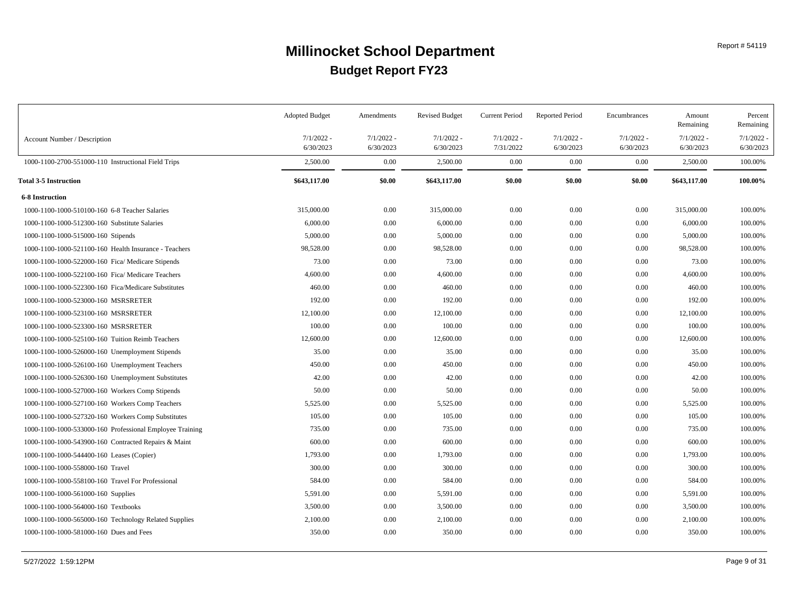|                                                          | <b>Adopted Budget</b>     | Amendments                | <b>Revised Budget</b>     | Current Period            | <b>Reported Period</b>    | Encumbrances              | Amount<br>Remaining       | Percent<br>Remaining  |
|----------------------------------------------------------|---------------------------|---------------------------|---------------------------|---------------------------|---------------------------|---------------------------|---------------------------|-----------------------|
| Account Number / Description                             | $7/1/2022 -$<br>6/30/2023 | $7/1/2022$ -<br>6/30/2023 | $7/1/2022 -$<br>6/30/2023 | $7/1/2022 -$<br>7/31/2022 | $7/1/2022$ -<br>6/30/2023 | $7/1/2022 -$<br>6/30/2023 | $7/1/2022 -$<br>6/30/2023 | 7/1/2022<br>6/30/2023 |
| 1000-1100-2700-551000-110 Instructional Field Trips      | 2,500.00                  | 0.00                      | 2,500.00                  | 0.00                      | 0.00                      | 0.00                      | 2,500.00                  | 100.00%               |
| <b>Total 3-5 Instruction</b>                             | \$643,117.00              | \$0.00                    | \$643,117.00              | \$0.00                    | \$0.00                    | \$0.00                    | \$643,117.00              | 100.00%               |
| <b>6-8 Instruction</b>                                   |                           |                           |                           |                           |                           |                           |                           |                       |
| 1000-1100-1000-510100-160 6-8 Teacher Salaries           | 315,000.00                | 0.00                      | 315,000.00                | $0.00\,$                  | 0.00                      | 0.00                      | 315,000.00                | 100.00%               |
| 1000-1100-1000-512300-160 Substitute Salaries            | 6,000.00                  | 0.00                      | 6,000.00                  | 0.00                      | 0.00                      | 0.00                      | 6,000.00                  | 100.00%               |
| 1000-1100-1000-515000-160 Stipends                       | 5,000.00                  | 0.00                      | 5,000.00                  | $0.00\,$                  | 0.00                      | 0.00                      | 5,000.00                  | 100.00%               |
| 1000-1100-1000-521100-160 Health Insurance - Teachers    | 98,528.00                 | 0.00                      | 98,528.00                 | $0.00\,$                  | 0.00                      | 0.00                      | 98,528.00                 | 100.00%               |
| 1000-1100-1000-522000-160 Fica/ Medicare Stipends        | 73.00                     | 0.00                      | 73.00                     | $0.00\,$                  | 0.00                      | 0.00                      | 73.00                     | 100.00%               |
| 1000-1100-1000-522100-160 Fica/ Medicare Teachers        | 4,600.00                  | 0.00                      | 4,600.00                  | $0.00\,$                  | 0.00                      | 0.00                      | 4,600.00                  | 100.00%               |
| 1000-1100-1000-522300-160 Fica/Medicare Substitutes      | 460.00                    | 0.00                      | 460.00                    | $0.00\,$                  | 0.00                      | 0.00                      | 460.00                    | 100.00%               |
| 1000-1100-1000-523000-160 MSRSRETER                      | 192.00                    | 0.00                      | 192.00                    | $0.00\,$                  | 0.00                      | 0.00                      | 192.00                    | 100.00%               |
| 1000-1100-1000-523100-160 MSRSRETER                      | 12,100.00                 | 0.00                      | 12,100.00                 | $0.00\,$                  | 0.00                      | 0.00                      | 12,100.00                 | 100.00%               |
| 1000-1100-1000-523300-160 MSRSRETER                      | 100.00                    | 0.00                      | 100.00                    | 0.00                      | 0.00                      | 0.00                      | 100.00                    | 100.00%               |
| 1000-1100-1000-525100-160 Tuition Reimb Teachers         | 12,600.00                 | 0.00                      | 12,600.00                 | 0.00                      | 0.00                      | 0.00                      | 12,600.00                 | 100.00%               |
| 1000-1100-1000-526000-160 Unemployment Stipends          | 35.00                     | 0.00                      | 35.00                     | 0.00                      | 0.00                      | 0.00                      | 35.00                     | 100.00%               |
| 1000-1100-1000-526100-160 Unemployment Teachers          | 450.00                    | 0.00                      | 450.00                    | 0.00                      | 0.00                      | 0.00                      | 450.00                    | 100.00%               |
| 1000-1100-1000-526300-160 Unemployment Substitutes       | 42.00                     | 0.00                      | 42.00                     | $0.00\,$                  | 0.00                      | 0.00                      | 42.00                     | 100.00%               |
| 1000-1100-1000-527000-160 Workers Comp Stipends          | 50.00                     | 0.00                      | 50.00                     | 0.00                      | 0.00                      | 0.00                      | 50.00                     | 100.00%               |
| 1000-1100-1000-527100-160 Workers Comp Teachers          | 5,525.00                  | 0.00                      | 5,525.00                  | $0.00\,$                  | 0.00                      | 0.00                      | 5,525.00                  | 100.00%               |
| 1000-1100-1000-527320-160 Workers Comp Substitutes       | 105.00                    | 0.00                      | 105.00                    | $0.00\,$                  | 0.00                      | 0.00                      | 105.00                    | 100.00%               |
| 1000-1100-1000-533000-160 Professional Employee Training | 735.00                    | 0.00                      | 735.00                    | $0.00\,$                  | 0.00                      | 0.00                      | 735.00                    | 100.00%               |
| 1000-1100-1000-543900-160 Contracted Repairs & Maint     | 600.00                    | 0.00                      | 600.00                    | $0.00\,$                  | 0.00                      | 0.00                      | 600.00                    | 100.00%               |
| 1000-1100-1000-544400-160 Leases (Copier)                | 1,793.00                  | 0.00                      | 1,793.00                  | 0.00                      | 0.00                      | 0.00                      | 1,793.00                  | 100.00%               |
| 1000-1100-1000-558000-160 Travel                         | 300.00                    | 0.00                      | 300.00                    | $0.00\,$                  | 0.00                      | 0.00                      | 300.00                    | 100.00%               |
| 1000-1100-1000-558100-160 Travel For Professional        | 584.00                    | 0.00                      | 584.00                    | $0.00\,$                  | 0.00                      | 0.00                      | 584.00                    | 100.00%               |
| 1000-1100-1000-561000-160 Supplies                       | 5,591.00                  | 0.00                      | 5,591.00                  | $0.00\,$                  | 0.00                      | 0.00                      | 5,591.00                  | 100.00%               |
| 1000-1100-1000-564000-160 Textbooks                      | 3,500.00                  | 0.00                      | 3,500.00                  | $0.00\,$                  | 0.00                      | 0.00                      | 3,500.00                  | 100.00%               |
| 1000-1100-1000-565000-160 Technology Related Supplies    | 2,100.00                  | 0.00                      | 2,100.00                  | $0.00\,$                  | 0.00                      | 0.00                      | 2,100.00                  | 100.00%               |
| 1000-1100-1000-581000-160 Dues and Fees                  | 350.00                    | 0.00                      | 350.00                    | 0.00                      | 0.00                      | 0.00                      | 350.00                    | 100.00%               |
|                                                          |                           |                           |                           |                           |                           |                           |                           |                       |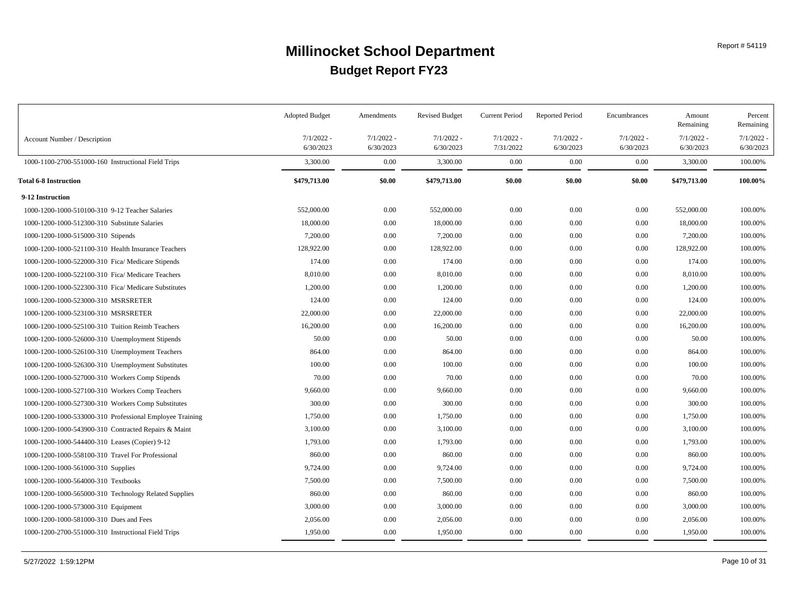|                                                          | <b>Adopted Budget</b>     | Amendments                | <b>Revised Budget</b>     | <b>Current Period</b>     | <b>Reported Period</b>    | Encumbrances              | Amount<br>Remaining       | Percent<br>Remaining      |
|----------------------------------------------------------|---------------------------|---------------------------|---------------------------|---------------------------|---------------------------|---------------------------|---------------------------|---------------------------|
| Account Number / Description                             | $7/1/2022 -$<br>6/30/2023 | $7/1/2022$ -<br>6/30/2023 | $7/1/2022 -$<br>6/30/2023 | $7/1/2022 -$<br>7/31/2022 | $7/1/2022$ -<br>6/30/2023 | $7/1/2022 -$<br>6/30/2023 | $7/1/2022 -$<br>6/30/2023 | $7/1/2022$ .<br>6/30/2023 |
| 1000-1100-2700-551000-160 Instructional Field Trips      | 3,300.00                  | 0.00                      | 3,300.00                  | 0.00                      | 0.00                      | 0.00                      | 3,300.00                  | 100.00%                   |
| <b>Total 6-8 Instruction</b>                             | \$479,713.00              | \$0.00                    | \$479,713.00              | \$0.00                    | \$0.00                    | \$0.00                    | \$479,713.00              | 100.00%                   |
| 9-12 Instruction                                         |                           |                           |                           |                           |                           |                           |                           |                           |
| 1000-1200-1000-510100-310 9-12 Teacher Salaries          | 552,000.00                | 0.00                      | 552,000.00                | 0.00                      | 0.00                      | 0.00                      | 552,000.00                | 100.00%                   |
| 1000-1200-1000-512300-310 Substitute Salaries            | 18,000.00                 | 0.00                      | 18,000.00                 | $0.00\,$                  | 0.00                      | 0.00                      | 18,000.00                 | 100.00%                   |
| 1000-1200-1000-515000-310 Stipends                       | 7,200.00                  | 0.00                      | 7,200.00                  | $0.00\,$                  | 0.00                      | 0.00                      | 7,200.00                  | 100.00%                   |
| 1000-1200-1000-521100-310 Health Insurance Teachers      | 128,922.00                | 0.00                      | 128,922.00                | $0.00\,$                  | 0.00                      | 0.00                      | 128,922.00                | 100.00%                   |
| 1000-1200-1000-522000-310 Fica/ Medicare Stipends        | 174.00                    | 0.00                      | 174.00                    | $0.00\,$                  | 0.00                      | 0.00                      | 174.00                    | 100.00%                   |
| 1000-1200-1000-522100-310 Fica/ Medicare Teachers        | 8,010.00                  | 0.00                      | 8,010.00                  | $0.00\,$                  | 0.00                      | 0.00                      | 8,010.00                  | 100.00%                   |
| 1000-1200-1000-522300-310 Fica/ Medicare Substitutes     | 1,200.00                  | 0.00                      | 1,200.00                  | $0.00\,$                  | 0.00                      | 0.00                      | 1,200.00                  | 100.00%                   |
| 1000-1200-1000-523000-310 MSRSRETER                      | 124.00                    | 0.00                      | 124.00                    | $0.00\,$                  | 0.00                      | 0.00                      | 124.00                    | 100.00%                   |
| 1000-1200-1000-523100-310 MSRSRETER                      | 22,000.00                 | 0.00                      | 22,000.00                 | $0.00\,$                  | 0.00                      | 0.00                      | 22,000.00                 | 100.00%                   |
| 1000-1200-1000-525100-310 Tuition Reimb Teachers         | 16,200.00                 | 0.00                      | 16,200.00                 | $0.00\,$                  | 0.00                      | 0.00                      | 16,200.00                 | 100.00%                   |
| 1000-1200-1000-526000-310 Unemployment Stipends          | 50.00                     | 0.00                      | 50.00                     | $0.00\,$                  | 0.00                      | 0.00                      | 50.00                     | 100.00%                   |
| 1000-1200-1000-526100-310 Unemployment Teachers          | 864.00                    | 0.00                      | 864.00                    | $0.00\,$                  | 0.00                      | 0.00                      | 864.00                    | 100.00%                   |
| 1000-1200-1000-526300-310 Unemployment Substitutes       | 100.00                    | 0.00                      | 100.00                    | $0.00\,$                  | 0.00                      | 0.00                      | 100.00                    | 100.00%                   |
| 1000-1200-1000-527000-310 Workers Comp Stipends          | 70.00                     | 0.00                      | 70.00                     | $0.00\,$                  | 0.00                      | 0.00                      | 70.00                     | 100.00%                   |
| 1000-1200-1000-527100-310 Workers Comp Teachers          | 9,660.00                  | 0.00                      | 9,660.00                  | $0.00\,$                  | 0.00                      | 0.00                      | 9,660.00                  | 100.00%                   |
| 1000-1200-1000-527300-310 Workers Comp Substitutes       | 300.00                    | 0.00                      | 300.00                    | $0.00\,$                  | 0.00                      | 0.00                      | 300.00                    | 100.00%                   |
| 1000-1200-1000-533000-310 Professional Employee Training | 1,750.00                  | 0.00                      | 1,750.00                  | $0.00\,$                  | 0.00                      | 0.00                      | 1,750.00                  | 100.00%                   |
| 1000-1200-1000-543900-310 Contracted Repairs & Maint     | 3,100.00                  | 0.00                      | 3,100.00                  | $0.00\,$                  | 0.00                      | 0.00                      | 3,100.00                  | 100.00%                   |
| 1000-1200-1000-544400-310 Leases (Copier) 9-12           | 1,793.00                  | 0.00                      | 1,793.00                  | $0.00\,$                  | 0.00                      | 0.00                      | 1,793.00                  | 100.00%                   |
| 1000-1200-1000-558100-310 Travel For Professional        | 860.00                    | 0.00                      | 860.00                    | 0.00                      | 0.00                      | 0.00                      | 860.00                    | 100.00%                   |
| 1000-1200-1000-561000-310 Supplies                       | 9,724.00                  | 0.00                      | 9,724.00                  | $0.00\,$                  | 0.00                      | 0.00                      | 9,724.00                  | 100.00%                   |
| 1000-1200-1000-564000-310 Textbooks                      | 7,500.00                  | 0.00                      | 7,500.00                  | $0.00\,$                  | 0.00                      | 0.00                      | 7,500.00                  | 100.00%                   |
| 1000-1200-1000-565000-310 Technology Related Supplies    | 860.00                    | 0.00                      | 860.00                    | 0.00                      | 0.00                      | 0.00                      | 860.00                    | 100.00%                   |
| 1000-1200-1000-573000-310 Equipment                      | 3,000.00                  | 0.00                      | 3,000.00                  | $0.00\,$                  | 0.00                      | 0.00                      | 3,000.00                  | 100.00%                   |
| 1000-1200-1000-581000-310 Dues and Fees                  | 2,056.00                  | 0.00                      | 2,056.00                  | 0.00                      | 0.00                      | 0.00                      | 2,056.00                  | 100.00%                   |
| 1000-1200-2700-551000-310 Instructional Field Trips      | 1,950.00                  | 0.00                      | 1,950.00                  | 0.00                      | 0.00                      | 0.00                      | 1,950.00                  | 100.00%                   |
|                                                          |                           |                           |                           |                           |                           |                           |                           |                           |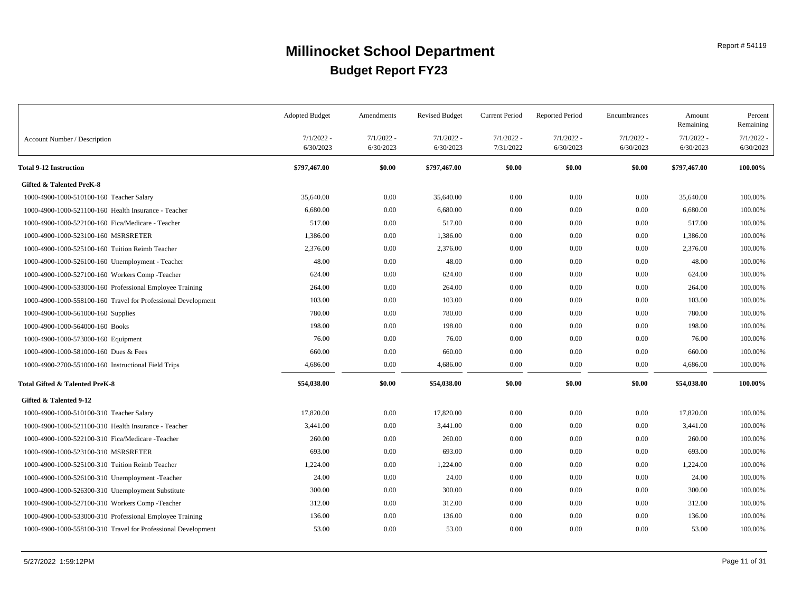|                                                               | <b>Adopted Budget</b>     | Amendments                | <b>Revised Budget</b>     | <b>Current Period</b>     | <b>Reported Period</b>    | Encumbrances              | Amount<br>Remaining       | Percent<br>Remaining      |
|---------------------------------------------------------------|---------------------------|---------------------------|---------------------------|---------------------------|---------------------------|---------------------------|---------------------------|---------------------------|
| Account Number / Description                                  | $7/1/2022$ -<br>6/30/2023 | $7/1/2022$ -<br>6/30/2023 | $7/1/2022$ -<br>6/30/2023 | $7/1/2022 -$<br>7/31/2022 | $7/1/2022$ -<br>6/30/2023 | $7/1/2022 -$<br>6/30/2023 | $7/1/2022$ -<br>6/30/2023 | $7/1/2022$ -<br>6/30/2023 |
| <b>Total 9-12 Instruction</b>                                 | \$797,467.00              | \$0.00                    | \$797,467.00              | \$0.00                    | \$0.00                    | \$0.00                    | \$797,467.00              | 100.00%                   |
| <b>Gifted &amp; Talented PreK-8</b>                           |                           |                           |                           |                           |                           |                           |                           |                           |
| 1000-4900-1000-510100-160 Teacher Salary                      | 35,640.00                 | 0.00                      | 35,640.00                 | 0.00                      | 0.00                      | 0.00                      | 35,640.00                 | 100.00%                   |
| 1000-4900-1000-521100-160 Health Insurance - Teacher          | 6,680.00                  | 0.00                      | 6,680.00                  | $0.00\,$                  | 0.00                      | 0.00                      | 6,680.00                  | 100.00%                   |
| 1000-4900-1000-522100-160 Fica/Medicare - Teacher             | 517.00                    | 0.00                      | 517.00                    | $0.00\,$                  | 0.00                      | 0.00                      | 517.00                    | 100.00%                   |
| 1000-4900-1000-523100-160 MSRSRETER                           | 1,386.00                  | 0.00                      | 1,386.00                  | $0.00\,$                  | 0.00                      | 0.00                      | 1,386.00                  | 100.00%                   |
| 1000-4900-1000-525100-160 Tuition Reimb Teacher               | 2,376.00                  | 0.00                      | 2,376.00                  | 0.00                      | 0.00                      | 0.00                      | 2,376.00                  | 100.00%                   |
| 1000-4900-1000-526100-160 Unemployment - Teacher              | 48.00                     | 0.00                      | 48.00                     | $0.00\,$                  | 0.00                      | $0.00\,$                  | 48.00                     | 100.00%                   |
| 1000-4900-1000-527100-160 Workers Comp-Teacher                | 624.00                    | 0.00                      | 624.00                    | 0.00                      | 0.00                      | 0.00                      | 624.00                    | 100.00%                   |
| 1000-4900-1000-533000-160 Professional Employee Training      | 264.00                    | 0.00                      | 264.00                    | $0.00\,$                  | 0.00                      | 0.00                      | 264.00                    | 100.00%                   |
| 1000-4900-1000-558100-160 Travel for Professional Development | 103.00                    | 0.00                      | 103.00                    | $0.00\,$                  | 0.00                      | 0.00                      | 103.00                    | 100.00%                   |
| 1000-4900-1000-561000-160 Supplies                            | 780.00                    | 0.00                      | 780.00                    | $0.00\,$                  | 0.00                      | 0.00                      | 780.00                    | 100.00%                   |
| 1000-4900-1000-564000-160 Books                               | 198.00                    | 0.00                      | 198.00                    | $0.00\,$                  | 0.00                      | 0.00                      | 198.00                    | 100.00%                   |
| 1000-4900-1000-573000-160 Equipment                           | 76.00                     | 0.00                      | 76.00                     | $0.00\,$                  | 0.00                      | 0.00                      | 76.00                     | 100.00%                   |
| 1000-4900-1000-581000-160 Dues & Fees                         | 660.00                    | 0.00                      | 660.00                    | $0.00\,$                  | 0.00                      | 0.00                      | 660.00                    | 100.00%                   |
| 1000-4900-2700-551000-160 Instructional Field Trips           | 4,686.00                  | 0.00                      | 4,686.00                  | 0.00                      | 0.00                      | $0.00\,$                  | 4,686.00                  | 100.00%                   |
| Total Gifted & Talented PreK-8                                | \$54,038.00               | \$0.00                    | \$54,038.00               | \$0.00                    | \$0.00                    | \$0.00                    | \$54,038.00               | 100.00%                   |
| Gifted & Talented 9-12                                        |                           |                           |                           |                           |                           |                           |                           |                           |
| 1000-4900-1000-510100-310 Teacher Salary                      | 17,820.00                 | 0.00                      | 17,820.00                 | 0.00                      | 0.00                      | 0.00                      | 17,820.00                 | 100.00%                   |
| 1000-4900-1000-521100-310 Health Insurance - Teacher          | 3,441.00                  | 0.00                      | 3,441.00                  | 0.00                      | 0.00                      | 0.00                      | 3,441.00                  | 100.00%                   |
| 1000-4900-1000-522100-310 Fica/Medicare -Teacher              | 260.00                    | 0.00                      | 260.00                    | $0.00\,$                  | 0.00                      | 0.00                      | 260.00                    | 100.00%                   |
| 1000-4900-1000-523100-310 MSRSRETER                           | 693.00                    | 0.00                      | 693.00                    | $0.00\,$                  | 0.00                      | $0.00\,$                  | 693.00                    | 100.00%                   |
| 1000-4900-1000-525100-310 Tuition Reimb Teacher               | 1,224.00                  | 0.00                      | 1,224.00                  | $0.00\,$                  | 0.00                      | 0.00                      | 1,224.00                  | 100.00%                   |
| 1000-4900-1000-526100-310 Unemployment -Teacher               | 24.00                     | 0.00                      | 24.00                     | 0.00                      | 0.00                      | 0.00                      | 24.00                     | 100.00%                   |
| 1000-4900-1000-526300-310 Unemployment Substitute             | 300.00                    | 0.00                      | 300.00                    | $0.00\,$                  | 0.00                      | 0.00                      | 300.00                    | 100.00%                   |
| 1000-4900-1000-527100-310 Workers Comp-Teacher                | 312.00                    | 0.00                      | 312.00                    | $0.00\,$                  | 0.00                      | $0.00\,$                  | 312.00                    | 100.00%                   |
| 1000-4900-1000-533000-310 Professional Employee Training      | 136.00                    | 0.00                      | 136.00                    | $0.00\,$                  | 0.00                      | 0.00                      | 136.00                    | 100.00%                   |
| 1000-4900-1000-558100-310 Travel for Professional Development | 53.00                     | 0.00                      | 53.00                     | $0.00\,$                  | 0.00                      | 0.00                      | 53.00                     | 100.00%                   |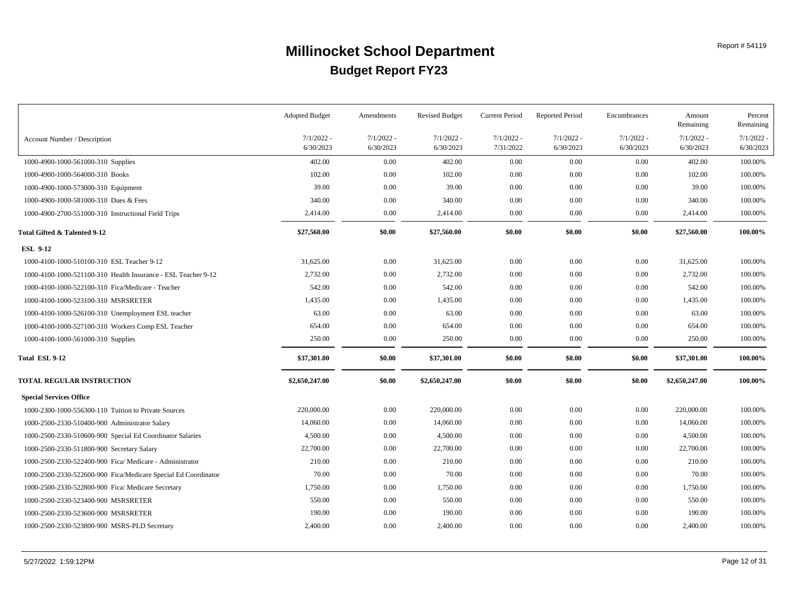|                                                                | <b>Adopted Budget</b>     | Amendments                | <b>Revised Budget</b>     | <b>Current Period</b>     | <b>Reported Period</b>    | Encumbrances              | Amount<br>Remaining       | Percent<br>Remaining      |
|----------------------------------------------------------------|---------------------------|---------------------------|---------------------------|---------------------------|---------------------------|---------------------------|---------------------------|---------------------------|
| Account Number / Description                                   | $7/1/2022 -$<br>6/30/2023 | $7/1/2022$ -<br>6/30/2023 | $7/1/2022$ -<br>6/30/2023 | $7/1/2022 -$<br>7/31/2022 | $7/1/2022$ -<br>6/30/2023 | $7/1/2022 -$<br>6/30/2023 | $7/1/2022$ -<br>6/30/2023 | $7/1/2022$ .<br>6/30/2023 |
| 1000-4900-1000-561000-310 Supplies                             | 402.00                    | 0.00                      | 402.00                    | $0.00\,$                  | 0.00                      | $0.00\,$                  | 402.00                    | 100.00%                   |
| 1000-4900-1000-564000-310 Books                                | 102.00                    | 0.00                      | 102.00                    | 0.00                      | 0.00                      | 0.00                      | 102.00                    | 100.00%                   |
| 1000-4900-1000-573000-310 Equipment                            | 39.00                     | 0.00                      | 39.00                     | 0.00                      | 0.00                      | 0.00                      | 39.00                     | 100.00%                   |
| 1000-4900-1000-581000-310 Dues & Fees                          | 340.00                    | 0.00                      | 340.00                    | $0.00\,$                  | 0.00                      | 0.00                      | 340.00                    | 100.00%                   |
| 1000-4900-2700-551000-310 Instructional Field Trips            | 2,414.00                  | 0.00                      | 2,414.00                  | $0.00\,$                  | 0.00                      | 0.00                      | 2,414.00                  | 100.00%                   |
| Total Gifted & Talented 9-12                                   | \$27,560.00               | \$0.00                    | \$27,560.00               | \$0.00                    | \$0.00                    | \$0.00                    | \$27,560.00               | 100.00%                   |
| <b>ESL 9-12</b>                                                |                           |                           |                           |                           |                           |                           |                           |                           |
| 1000-4100-1000-510100-310 ESL Teacher 9-12                     | 31,625.00                 | 0.00                      | 31,625.00                 | 0.00                      | 0.00                      | $0.00\,$                  | 31,625.00                 | 100.00%                   |
| 1000-4100-1000-521100-310 Health Insurance - ESL Teacher 9-12  | 2,732.00                  | 0.00                      | 2,732.00                  | 0.00                      | 0.00                      | 0.00                      | 2,732.00                  | 100.00%                   |
| 1000-4100-1000-522100-310 Fica/Medicare - Teacher              | 542.00                    | 0.00                      | 542.00                    | $0.00\,$                  | 0.00                      | 0.00                      | 542.00                    | 100.00%                   |
| 1000-4100-1000-523100-310 MSRSRETER                            | 1,435.00                  | 0.00                      | 1,435.00                  | $0.00\,$                  | 0.00                      | 0.00                      | 1,435.00                  | 100.00%                   |
| 1000-4100-1000-526100-310 Unemployment ESL teacher             | 63.00                     | 0.00                      | 63.00                     | $0.00\,$                  | 0.00                      | 0.00                      | 63.00                     | 100.00%                   |
| 1000-4100-1000-527100-310 Workers Comp ESL Teacher             | 654.00                    | 0.00                      | 654.00                    | 0.00                      | 0.00                      | 0.00                      | 654.00                    | 100.00%                   |
| 1000-4100-1000-561000-310 Supplies                             | 250.00                    | 0.00                      | 250.00                    | $0.00\,$                  | 0.00                      | $0.00\,$                  | 250.00                    | 100.00%                   |
| Total ESL 9-12                                                 | \$37,301.00               | \$0.00                    | \$37,301.00               | \$0.00                    | \$0.00                    | \$0.00                    | \$37,301.00               | 100.00%                   |
| TOTAL REGULAR INSTRUCTION                                      | \$2,650,247.00            | \$0.00                    | \$2,650,247.00            | \$0.00                    | \$0.00                    | \$0.00                    | \$2,650,247.00            | 100.00%                   |
| <b>Special Services Office</b>                                 |                           |                           |                           |                           |                           |                           |                           |                           |
| 1000-2300-1000-556300-110 Tuition to Private Sources           | 220,000.00                | 0.00                      | 220,000.00                | 0.00                      | 0.00                      | 0.00                      | 220,000.00                | 100.00%                   |
| 1000-2500-2330-510400-900 Administrator Salary                 | 14,060.00                 | 0.00                      | 14,060.00                 | $0.00\,$                  | 0.00                      | 0.00                      | 14,060.00                 | 100.00%                   |
| 1000-2500-2330-510600-900 Special Ed Coordinator Salaries      | 4,500.00                  | 0.00                      | 4,500.00                  | $0.00\,$                  | 0.00                      | 0.00                      | 4,500.00                  | 100.00%                   |
| 1000-2500-2330-511800-900 Secretary Salary                     | 22,700.00                 | 0.00                      | 22,700.00                 | 0.00                      | 0.00                      | $0.00\,$                  | 22,700.00                 | 100.00%                   |
| 1000-2500-2330-522400-900 Fica/ Medicare - Administrator       | 210.00                    | 0.00                      | 210.00                    | $0.00\,$                  | 0.00                      | 0.00                      | 210.00                    | 100.00%                   |
| 1000-2500-2330-522600-900 Fica/Medicare Special Ed Coordinator | 70.00                     | 0.00                      | 70.00                     | $0.00\,$                  | 0.00                      | 0.00                      | 70.00                     | 100.00%                   |
| 1000-2500-2330-522800-900 Fica/ Medicare Secretary             | 1,750.00                  | 0.00                      | 1,750.00                  | $0.00\,$                  | 0.00                      | 0.00                      | 1,750.00                  | 100.00%                   |
| 1000-2500-2330-523400-900 MSRSRETER                            | 550.00                    | 0.00                      | 550.00                    | 0.00                      | 0.00                      | $0.00\,$                  | 550.00                    | 100.00%                   |
| 1000-2500-2330-523600-900 MSRSRETER                            | 190.00                    | 0.00                      | 190.00                    | $0.00\,$                  | 0.00                      | 0.00                      | 190.00                    | 100.00%                   |
| 1000-2500-2330-523800-900 MSRS-PLD Secretary                   | 2,400.00                  | 0.00                      | 2,400.00                  | $0.00\,$                  | 0.00                      | 0.00                      | 2,400.00                  | 100.00%                   |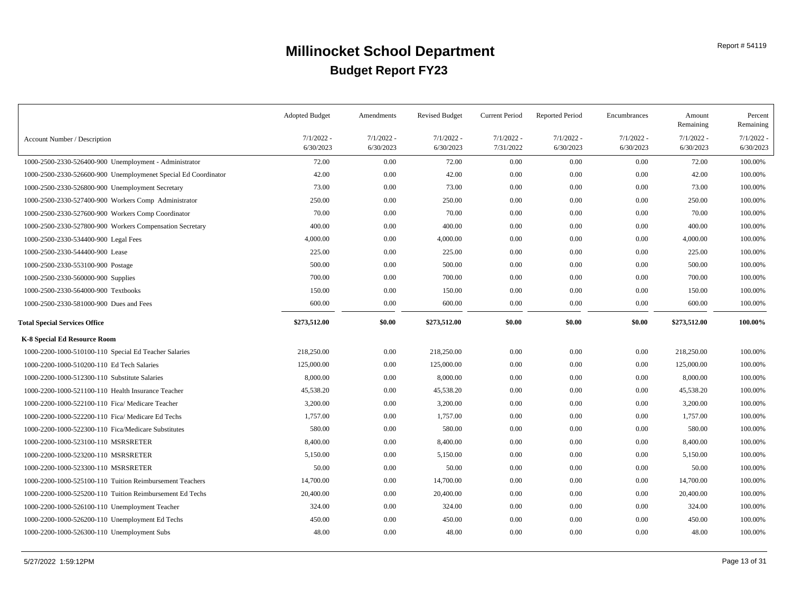|                                                                | <b>Adopted Budget</b>     | Amendments                | <b>Revised Budget</b>     | Current Period            | <b>Reported Period</b>    | Encumbrances              | Amount<br>Remaining       | Percent<br>Remaining      |
|----------------------------------------------------------------|---------------------------|---------------------------|---------------------------|---------------------------|---------------------------|---------------------------|---------------------------|---------------------------|
| Account Number / Description                                   | $7/1/2022 -$<br>6/30/2023 | $7/1/2022$ -<br>6/30/2023 | $7/1/2022 -$<br>6/30/2023 | $7/1/2022 -$<br>7/31/2022 | $7/1/2022$ -<br>6/30/2023 | $7/1/2022 -$<br>6/30/2023 | $7/1/2022 -$<br>6/30/2023 | $7/1/2022$ -<br>6/30/2023 |
| 1000-2500-2330-526400-900 Unemployment - Administrator         | 72.00                     | 0.00                      | 72.00                     | 0.00                      | 0.00                      | 0.00                      | 72.00                     | 100.00%                   |
| 1000-2500-2330-526600-900 Unemploymenet Special Ed Coordinator | 42.00                     | 0.00                      | 42.00                     | 0.00                      | 0.00                      | 0.00                      | 42.00                     | 100.00%                   |
| 1000-2500-2330-526800-900 Unemployment Secretary               | 73.00                     | 0.00                      | 73.00                     | 0.00                      | 0.00                      | 0.00                      | 73.00                     | 100.00%                   |
| 1000-2500-2330-527400-900 Workers Comp Administrator           | 250.00                    | 0.00                      | 250.00                    | 0.00                      | 0.00                      | 0.00                      | 250.00                    | 100.00%                   |
| 1000-2500-2330-527600-900 Workers Comp Coordinator             | 70.00                     | 0.00                      | 70.00                     | $0.00\,$                  | 0.00                      | 0.00                      | 70.00                     | 100.00%                   |
| 1000-2500-2330-527800-900 Workers Compensation Secretary       | 400.00                    | 0.00                      | 400.00                    | $0.00\,$                  | 0.00                      | 0.00                      | 400.00                    | 100.00%                   |
| 1000-2500-2330-534400-900 Legal Fees                           | 4,000.00                  | 0.00                      | 4,000.00                  | $0.00\,$                  | 0.00                      | 0.00                      | 4,000.00                  | 100.00%                   |
| 1000-2500-2330-544400-900 Lease                                | 225.00                    | 0.00                      | 225.00                    | $0.00\,$                  | 0.00                      | 0.00                      | 225.00                    | 100.00%                   |
| 1000-2500-2330-553100-900 Postage                              | 500.00                    | 0.00                      | 500.00                    | $0.00\,$                  | 0.00                      | 0.00                      | 500.00                    | 100.00%                   |
| 1000-2500-2330-560000-900 Supplies                             | 700.00                    | 0.00                      | 700.00                    | 0.00                      | 0.00                      | 0.00                      | 700.00                    | 100.00%                   |
| 1000-2500-2330-564000-900 Textbooks                            | 150.00                    | 0.00                      | 150.00                    | 0.00                      | 0.00                      | 0.00                      | 150.00                    | 100.00%                   |
| 1000-2500-2330-581000-900 Dues and Fees                        | 600.00                    | 0.00                      | 600.00                    | 0.00                      | 0.00                      | 0.00                      | 600.00                    | 100.00%                   |
| <b>Total Special Services Office</b>                           | \$273,512.00              | \$0.00                    | \$273,512.00              | \$0.00                    | \$0.00                    | \$0.00                    | \$273,512.00              | 100.00%                   |
| K-8 Special Ed Resource Room                                   |                           |                           |                           |                           |                           |                           |                           |                           |
| 1000-2200-1000-510100-110 Special Ed Teacher Salaries          | 218,250.00                | 0.00                      | 218,250.00                | 0.00                      | 0.00                      | 0.00                      | 218,250.00                | 100.00%                   |
| 1000-2200-1000-510200-110 Ed Tech Salaries                     | 125,000.00                | 0.00                      | 125,000.00                | 0.00                      | 0.00                      | 0.00                      | 125,000.00                | 100.00%                   |
| 1000-2200-1000-512300-110 Substitute Salaries                  | 8,000.00                  | 0.00                      | 8,000.00                  | $0.00\,$                  | 0.00                      | 0.00                      | 8,000.00                  | 100.00%                   |
| 1000-2200-1000-521100-110 Health Insurance Teacher             | 45,538.20                 | 0.00                      | 45,538.20                 | $0.00\,$                  | 0.00                      | 0.00                      | 45,538.20                 | 100.00%                   |
| 1000-2200-1000-522100-110 Fica/ Medicare Teacher               | 3,200.00                  | 0.00                      | 3,200.00                  | $0.00\,$                  | 0.00                      | 0.00                      | 3,200.00                  | 100.00%                   |
| 1000-2200-1000-522200-110 Fica/ Medicare Ed Techs              | 1,757.00                  | 0.00                      | 1,757.00                  | $0.00\,$                  | 0.00                      | 0.00                      | 1,757.00                  | 100.00%                   |
| 1000-2200-1000-522300-110 Fica/Medicare Substitutes            | 580.00                    | 0.00                      | 580.00                    | $0.00\,$                  | 0.00                      | 0.00                      | 580.00                    | 100.00%                   |
| 1000-2200-1000-523100-110 MSRSRETER                            | 8,400.00                  | 0.00                      | 8,400.00                  | $0.00\,$                  | 0.00                      | 0.00                      | 8,400.00                  | 100.00%                   |
| 1000-2200-1000-523200-110 MSRSRETER                            | 5,150.00                  | 0.00                      | 5,150.00                  | $0.00\,$                  | 0.00                      | 0.00                      | 5,150.00                  | 100.00%                   |
| 1000-2200-1000-523300-110 MSRSRETER                            | 50.00                     | 0.00                      | 50.00                     | $0.00\,$                  | 0.00                      | 0.00                      | 50.00                     | 100.00%                   |
| 1000-2200-1000-525100-110 Tuition Reimbursement Teachers       | 14,700.00                 | 0.00                      | 14,700.00                 | $0.00\,$                  | 0.00                      | 0.00                      | 14,700.00                 | 100.00%                   |
| 1000-2200-1000-525200-110 Tuition Reimbursement Ed Techs       | 20,400.00                 | 0.00                      | 20,400.00                 | $0.00\,$                  | 0.00                      | 0.00                      | 20,400.00                 | 100.00%                   |
| 1000-2200-1000-526100-110 Unemployment Teacher                 | 324.00                    | 0.00                      | 324.00                    | $0.00\,$                  | 0.00                      | 0.00                      | 324.00                    | 100.00%                   |
| 1000-2200-1000-526200-110 Unemployment Ed Techs                | 450.00                    | 0.00                      | 450.00                    | $0.00\,$                  | 0.00                      | 0.00                      | 450.00                    | 100.00%                   |
| 1000-2200-1000-526300-110 Unemployment Subs                    | 48.00                     | 0.00                      | 48.00                     | 0.00                      | 0.00                      | 0.00                      | 48.00                     | 100.00%                   |
|                                                                |                           |                           |                           |                           |                           |                           |                           |                           |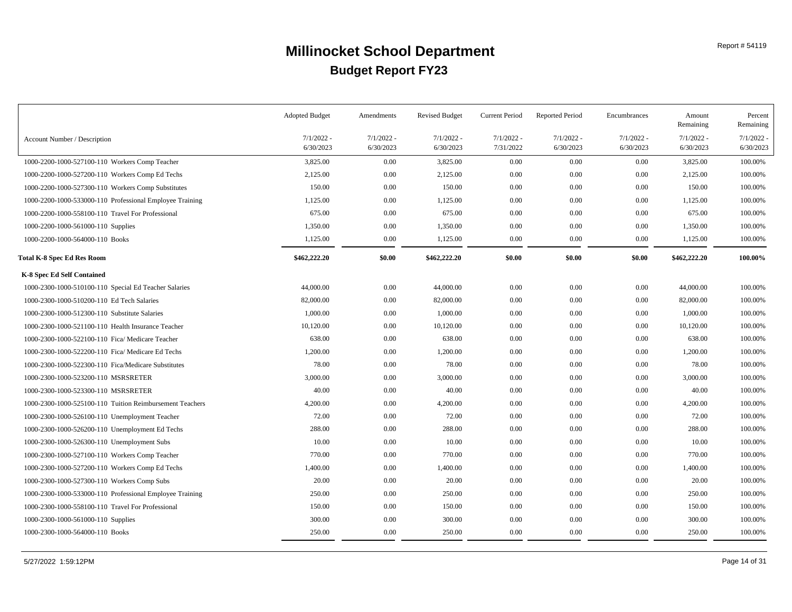|                                                          | <b>Adopted Budget</b>     | Amendments                | <b>Revised Budget</b>     | <b>Current Period</b>     | <b>Reported Period</b>    | Encumbrances              | Amount<br>Remaining       | Percent<br>Remaining      |
|----------------------------------------------------------|---------------------------|---------------------------|---------------------------|---------------------------|---------------------------|---------------------------|---------------------------|---------------------------|
| Account Number / Description                             | $7/1/2022 -$<br>6/30/2023 | $7/1/2022 -$<br>6/30/2023 | $7/1/2022 -$<br>6/30/2023 | $7/1/2022 -$<br>7/31/2022 | $7/1/2022 -$<br>6/30/2023 | $7/1/2022 -$<br>6/30/2023 | $7/1/2022 -$<br>6/30/2023 | $7/1/2022$ -<br>6/30/2023 |
| 1000-2200-1000-527100-110 Workers Comp Teacher           | 3,825.00                  | 0.00                      | 3,825.00                  | 0.00                      | 0.00                      | 0.00                      | 3,825.00                  | 100.00%                   |
| 1000-2200-1000-527200-110 Workers Comp Ed Techs          | 2,125.00                  | 0.00                      | 2,125.00                  | $0.00\,$                  | 0.00                      | $0.00\,$                  | 2,125.00                  | 100.00%                   |
| 1000-2200-1000-527300-110 Workers Comp Substitutes       | 150.00                    | 0.00                      | 150.00                    | $0.00\,$                  | 0.00                      | $0.00\,$                  | 150.00                    | 100.00%                   |
| 1000-2200-1000-533000-110 Professional Employee Training | 1,125.00                  | 0.00                      | 1,125.00                  | $0.00\,$                  | 0.00                      | 0.00                      | 1,125.00                  | 100.00%                   |
| 1000-2200-1000-558100-110 Travel For Professional        | 675.00                    | 0.00                      | 675.00                    | $0.00\,$                  | 0.00                      | $0.00\,$                  | 675.00                    | 100.00%                   |
| 1000-2200-1000-561000-110 Supplies                       | 1,350.00                  | 0.00                      | 1,350.00                  | $0.00\,$                  | 0.00                      | 0.00                      | 1,350.00                  | 100.00%                   |
| 1000-2200-1000-564000-110 Books                          | 1,125.00                  | 0.00                      | 1,125.00                  | $0.00\,$                  | 0.00                      | 0.00                      | 1,125.00                  | 100.00%                   |
| <b>Total K-8 Spec Ed Res Room</b>                        | \$462,222.20              | \$0.00                    | \$462,222.20              | \$0.00                    | \$0.00                    | \$0.00                    | \$462,222.20              | 100.00%                   |
| K-8 Spec Ed Self Contained                               |                           |                           |                           |                           |                           |                           |                           |                           |
| 1000-2300-1000-510100-110 Special Ed Teacher Salaries    | 44,000.00                 | 0.00                      | 44,000.00                 | 0.00                      | 0.00                      | $0.00\,$                  | 44,000.00                 | 100.00%                   |
| 1000-2300-1000-510200-110 Ed Tech Salaries               | 82,000.00                 | 0.00                      | 82,000.00                 | 0.00                      | 0.00                      | $0.00\,$                  | 82,000.00                 | 100.00%                   |
| 1000-2300-1000-512300-110 Substitute Salaries            | 1,000.00                  | 0.00                      | 1,000.00                  | $0.00\,$                  | 0.00                      | $0.00\,$                  | 1,000.00                  | 100.00%                   |
| 1000-2300-1000-521100-110 Health Insurance Teacher       | 10,120.00                 | 0.00                      | 10,120.00                 | $0.00\,$                  | 0.00                      | $0.00\,$                  | 10,120.00                 | 100.00%                   |
| 1000-2300-1000-522100-110 Fica/ Medicare Teacher         | 638.00                    | 0.00                      | 638.00                    | $0.00\,$                  | 0.00                      | 0.00                      | 638.00                    | 100.00%                   |
| 1000-2300-1000-522200-110 Fica/ Medicare Ed Techs        | 1,200.00                  | 0.00                      | 1,200.00                  | 0.00                      | 0.00                      | 0.00                      | 1,200.00                  | 100.00%                   |
| 1000-2300-1000-522300-110 Fica/Medicare Substitutes      | 78.00                     | 0.00                      | 78.00                     | 0.00                      | 0.00                      | 0.00                      | 78.00                     | 100.00%                   |
| 1000-2300-1000-523200-110 MSRSRETER                      | 3,000.00                  | 0.00                      | 3,000.00                  | 0.00                      | 0.00                      | 0.00                      | 3,000.00                  | 100.00%                   |
| 1000-2300-1000-523300-110 MSRSRETER                      | 40.00                     | 0.00                      | 40.00                     | 0.00                      | 0.00                      | 0.00                      | 40.00                     | 100.00%                   |
| 1000-2300-1000-525100-110 Tuition Reimbursement Teachers | 4,200.00                  | 0.00                      | 4,200.00                  | 0.00                      | 0.00                      | $0.00\,$                  | 4,200.00                  | 100.00%                   |
| 1000-2300-1000-526100-110 Unemployment Teacher           | 72.00                     | 0.00                      | 72.00                     | 0.00                      | 0.00                      | $0.00\,$                  | 72.00                     | 100.00%                   |
| 1000-2300-1000-526200-110 Unemployment Ed Techs          | 288.00                    | 0.00                      | 288.00                    | 0.00                      | 0.00                      | $0.00\,$                  | 288.00                    | 100.00%                   |
| 1000-2300-1000-526300-110 Unemployment Subs              | 10.00                     | 0.00                      | 10.00                     | 0.00                      | 0.00                      | 0.00                      | 10.00                     | 100.00%                   |
| 1000-2300-1000-527100-110 Workers Comp Teacher           | 770.00                    | 0.00                      | 770.00                    | 0.00                      | 0.00                      | 0.00                      | 770.00                    | 100.00%                   |
| 1000-2300-1000-527200-110 Workers Comp Ed Techs          | 1,400.00                  | 0.00                      | 1,400.00                  | 0.00                      | 0.00                      | $0.00\,$                  | 1,400.00                  | 100.00%                   |
| 1000-2300-1000-527300-110 Workers Comp Subs              | 20.00                     | 0.00                      | 20.00                     | 0.00                      | 0.00                      | $0.00\,$                  | 20.00                     | 100.00%                   |
| 1000-2300-1000-533000-110 Professional Employee Training | 250.00                    | 0.00                      | 250.00                    | 0.00                      | 0.00                      | 0.00                      | 250.00                    | 100.00%                   |
| 1000-2300-1000-558100-110 Travel For Professional        | 150.00                    | 0.00                      | 150.00                    | 0.00                      | 0.00                      | 0.00                      | 150.00                    | 100.00%                   |
| 1000-2300-1000-561000-110 Supplies                       | 300.00                    | 0.00                      | 300.00                    | 0.00                      | 0.00                      | 0.00                      | 300.00                    | 100.00%                   |
| 1000-2300-1000-564000-110 Books                          | 250.00                    | 0.00                      | 250.00                    | $0.00\,$                  | 0.00                      | 0.00                      | 250.00                    | 100.00%                   |
|                                                          |                           |                           |                           |                           |                           |                           |                           |                           |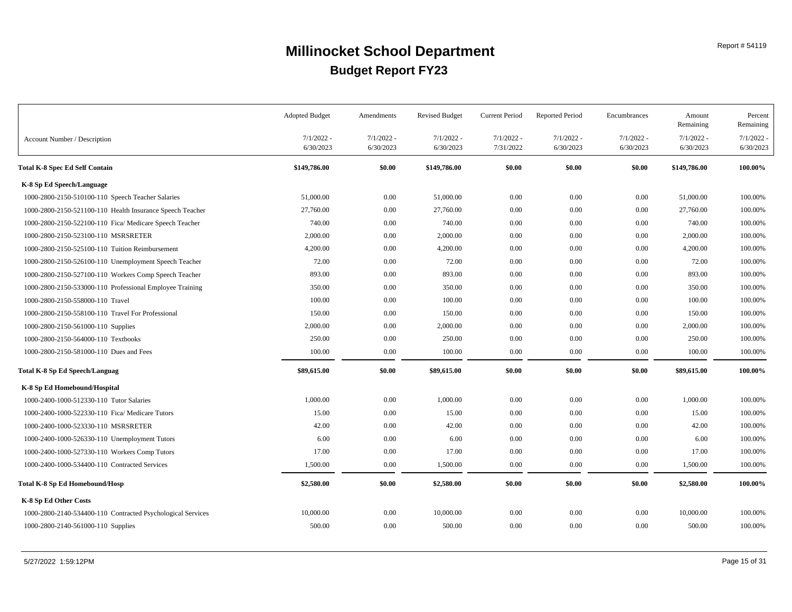|                                                             | <b>Adopted Budget</b>     | Amendments                | <b>Revised Budget</b>     | <b>Current Period</b>     | <b>Reported Period</b>    | Encumbrances              | Amount<br>Remaining       | Percent<br>Remaining      |
|-------------------------------------------------------------|---------------------------|---------------------------|---------------------------|---------------------------|---------------------------|---------------------------|---------------------------|---------------------------|
| Account Number / Description                                | $7/1/2022 -$<br>6/30/2023 | $7/1/2022 -$<br>6/30/2023 | $7/1/2022 -$<br>6/30/2023 | $7/1/2022 -$<br>7/31/2022 | $7/1/2022$ -<br>6/30/2023 | $7/1/2022 -$<br>6/30/2023 | $7/1/2022 -$<br>6/30/2023 | $7/1/2022$ -<br>6/30/2023 |
| <b>Total K-8 Spec Ed Self Contain</b>                       | \$149,786.00              | \$0.00                    | \$149,786.00              | \$0.00                    | \$0.00                    | \$0.00                    | \$149,786.00              | 100.00%                   |
| K-8 Sp Ed Speech/Language                                   |                           |                           |                           |                           |                           |                           |                           |                           |
| 1000-2800-2150-510100-110 Speech Teacher Salaries           | 51,000.00                 | 0.00                      | 51,000.00                 | 0.00                      | 0.00                      | 0.00                      | 51,000.00                 | 100.00%                   |
| 1000-2800-2150-521100-110 Health Insurance Speech Teacher   | 27,760.00                 | 0.00                      | 27,760.00                 | 0.00                      | 0.00                      | $0.00\,$                  | 27,760.00                 | 100.00%                   |
| 1000-2800-2150-522100-110 Fica/ Medicare Speech Teacher     | 740.00                    | 0.00                      | 740.00                    | 0.00                      | 0.00                      | 0.00                      | 740.00                    | 100.00%                   |
| 1000-2800-2150-523100-110 MSRSRETER                         | 2,000.00                  | 0.00                      | 2,000.00                  | $0.00\,$                  | 0.00                      | 0.00                      | 2,000.00                  | 100.00%                   |
| 1000-2800-2150-525100-110 Tuition Reimbursement             | 4,200.00                  | 0.00                      | 4,200.00                  | 0.00                      | 0.00                      | $0.00\,$                  | 4,200.00                  | 100.00%                   |
| 1000-2800-2150-526100-110 Unemployment Speech Teacher       | 72.00                     | 0.00                      | 72.00                     | 0.00                      | 0.00                      | 0.00                      | 72.00                     | 100.00%                   |
| 1000-2800-2150-527100-110 Workers Comp Speech Teacher       | 893.00                    | 0.00                      | 893.00                    | $0.00\,$                  | 0.00                      | 0.00                      | 893.00                    | 100.00%                   |
| 1000-2800-2150-533000-110 Professional Employee Training    | 350.00                    | 0.00                      | 350.00                    | 0.00                      | 0.00                      | 0.00                      | 350.00                    | 100.00%                   |
| 1000-2800-2150-558000-110 Travel                            | 100.00                    | 0.00                      | 100.00                    | $0.00\,$                  | 0.00                      | 0.00                      | 100.00                    | 100.00%                   |
| 1000-2800-2150-558100-110 Travel For Professional           | 150.00                    | 0.00                      | 150.00                    | 0.00                      | 0.00                      | 0.00                      | 150.00                    | 100.00%                   |
| 1000-2800-2150-561000-110 Supplies                          | 2,000.00                  | 0.00                      | 2,000.00                  | 0.00                      | 0.00                      | 0.00                      | 2,000.00                  | 100.00%                   |
| 1000-2800-2150-564000-110 Textbooks                         | 250.00                    | 0.00                      | 250.00                    | 0.00                      | 0.00                      | 0.00                      | 250.00                    | 100.00%                   |
| 1000-2800-2150-581000-110 Dues and Fees                     | 100.00                    | 0.00                      | 100.00                    | 0.00                      | 0.00                      | 0.00                      | 100.00                    | 100.00%                   |
| Total K-8 Sp Ed Speech/Languag                              | \$89,615.00               | \$0.00                    | \$89,615.00               | \$0.00                    | \$0.00                    | \$0.00                    | \$89,615.00               | 100.00%                   |
| K-8 Sp Ed Homebound/Hospital                                |                           |                           |                           |                           |                           |                           |                           |                           |
| 1000-2400-1000-512330-110 Tutor Salaries                    | 1,000.00                  | 0.00                      | 1,000.00                  | 0.00                      | 0.00                      | 0.00                      | 1,000.00                  | 100.00%                   |
| 1000-2400-1000-522330-110 Fica/ Medicare Tutors             | 15.00                     | 0.00                      | 15.00                     | $0.00\,$                  | 0.00                      | $0.00\,$                  | 15.00                     | 100.00%                   |
| 1000-2400-1000-523330-110 MSRSRETER                         | 42.00                     | 0.00                      | 42.00                     | 0.00                      | 0.00                      | 0.00                      | 42.00                     | 100.00%                   |
| 1000-2400-1000-526330-110 Unemployment Tutors               | 6.00                      | 0.00                      | 6.00                      | $0.00\,$                  | 0.00                      | $0.00\,$                  | 6.00                      | 100.00%                   |
| 1000-2400-1000-527330-110 Workers Comp Tutors               | 17.00                     | 0.00                      | 17.00                     | $0.00\,$                  | 0.00                      | $0.00\,$                  | 17.00                     | 100.00%                   |
| 1000-2400-1000-534400-110 Contracted Services               | 1,500.00                  | 0.00                      | 1,500.00                  | 0.00                      | 0.00                      | 0.00                      | 1,500.00                  | 100.00%                   |
| Total K-8 Sp Ed Homebound/Hosp                              | \$2,580.00                | \$0.00                    | \$2,580.00                | \$0.00                    | \$0.00                    | \$0.00                    | \$2,580.00                | 100.00%                   |
| K-8 Sp Ed Other Costs                                       |                           |                           |                           |                           |                           |                           |                           |                           |
| 1000-2800-2140-534400-110 Contracted Psychological Services | 10,000.00                 | 0.00                      | 10,000.00                 | 0.00                      | 0.00                      | $0.00\,$                  | 10,000.00                 | 100.00%                   |
| 1000-2800-2140-561000-110 Supplies                          | 500.00                    | 0.00                      | 500.00                    | $0.00\,$                  | 0.00                      | $0.00\,$                  | 500.00                    | 100.00%                   |
|                                                             |                           |                           |                           |                           |                           |                           |                           |                           |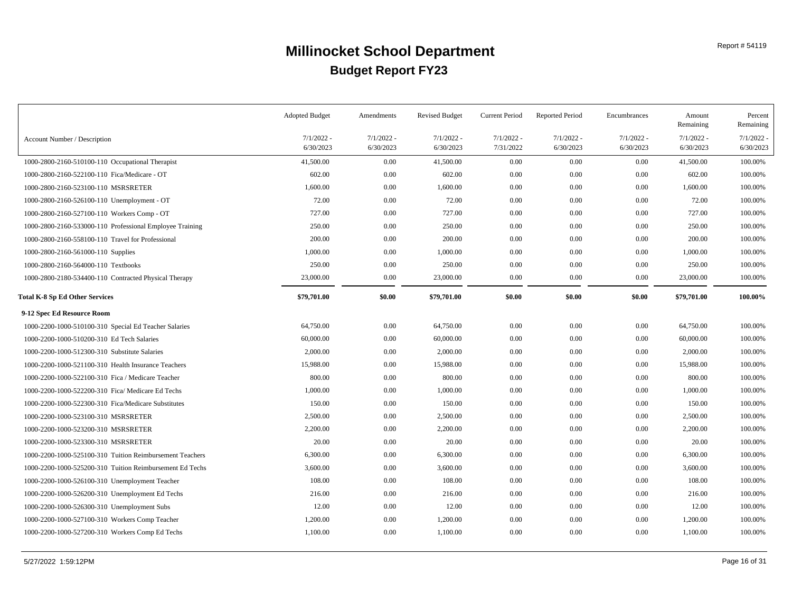|                                                          | <b>Adopted Budget</b>     | Amendments                | <b>Revised Budget</b>     | <b>Current Period</b>     | <b>Reported Period</b>    | Encumbrances              | Amount<br>Remaining       | Percent<br>Remaining      |
|----------------------------------------------------------|---------------------------|---------------------------|---------------------------|---------------------------|---------------------------|---------------------------|---------------------------|---------------------------|
| Account Number / Description                             | $7/1/2022$ -<br>6/30/2023 | $7/1/2022$ -<br>6/30/2023 | $7/1/2022 -$<br>6/30/2023 | $7/1/2022 -$<br>7/31/2022 | $7/1/2022$ -<br>6/30/2023 | $7/1/2022 -$<br>6/30/2023 | $7/1/2022 -$<br>6/30/2023 | $7/1/2022$ .<br>6/30/2023 |
| 1000-2800-2160-510100-110 Occupational Therapist         | 41,500.00                 | 0.00                      | 41,500.00                 | 0.00                      | 0.00                      | 0.00                      | 41,500.00                 | 100.00%                   |
| 1000-2800-2160-522100-110 Fica/Medicare - OT             | 602.00                    | 0.00                      | 602.00                    | 0.00                      | 0.00                      | 0.00                      | 602.00                    | 100.00%                   |
| 1000-2800-2160-523100-110 MSRSRETER                      | 1,600.00                  | 0.00                      | 1,600.00                  | 0.00                      | 0.00                      | 0.00                      | 1,600.00                  | 100.00%                   |
| 1000-2800-2160-526100-110 Unemployment - OT              | 72.00                     | 0.00                      | 72.00                     | 0.00                      | 0.00                      | 0.00                      | 72.00                     | 100.00%                   |
| 1000-2800-2160-527100-110 Workers Comp - OT              | 727.00                    | 0.00                      | 727.00                    | $0.00\,$                  | 0.00                      | 0.00                      | 727.00                    | 100.00%                   |
| 1000-2800-2160-533000-110 Professional Employee Training | 250.00                    | 0.00                      | 250.00                    | 0.00                      | 0.00                      | 0.00                      | 250.00                    | 100.00%                   |
| 1000-2800-2160-558100-110 Travel for Professional        | 200.00                    | 0.00                      | 200.00                    | 0.00                      | 0.00                      | 0.00                      | 200.00                    | 100.00%                   |
| 1000-2800-2160-561000-110 Supplies                       | 1,000.00                  | 0.00                      | 1,000.00                  | 0.00                      | 0.00                      | 0.00                      | 1,000.00                  | 100.00%                   |
| 1000-2800-2160-564000-110 Textbooks                      | 250.00                    | 0.00                      | 250.00                    | 0.00                      | 0.00                      | 0.00                      | 250.00                    | 100.00%                   |
| 1000-2800-2180-534400-110 Contracted Physical Therapy    | 23,000.00                 | 0.00                      | 23,000.00                 | $0.00\,$                  | 0.00                      | 0.00                      | 23,000.00                 | 100.00%                   |
| Total K-8 Sp Ed Other Services                           | \$79,701.00               | \$0.00                    | \$79,701.00               | \$0.00                    | \$0.00                    | \$0.00                    | \$79,701.00               | 100.00%                   |
| 9-12 Spec Ed Resource Room                               |                           |                           |                           |                           |                           |                           |                           |                           |
| 1000-2200-1000-510100-310 Special Ed Teacher Salaries    | 64,750.00                 | 0.00                      | 64,750.00                 | $0.00\,$                  | 0.00                      | 0.00                      | 64,750.00                 | 100.00%                   |
| 1000-2200-1000-510200-310 Ed Tech Salaries               | 60,000.00                 | 0.00                      | 60,000.00                 | $0.00\,$                  | 0.00                      | 0.00                      | 60,000.00                 | 100.00%                   |
| 1000-2200-1000-512300-310 Substitute Salaries            | 2,000.00                  | 0.00                      | 2,000.00                  | $0.00\,$                  | 0.00                      | 0.00                      | 2,000.00                  | 100.00%                   |
| 1000-2200-1000-521100-310 Health Insurance Teachers      | 15,988.00                 | 0.00                      | 15,988.00                 | $0.00\,$                  | 0.00                      | 0.00                      | 15,988.00                 | 100.00%                   |
| 1000-2200-1000-522100-310 Fica / Medicare Teacher        | 800.00                    | 0.00                      | 800.00                    | $0.00\,$                  | 0.00                      | 0.00                      | 800.00                    | 100.00%                   |
| 1000-2200-1000-522200-310 Fica/ Medicare Ed Techs        | 1,000.00                  | 0.00                      | 1,000.00                  | $0.00\,$                  | 0.00                      | 0.00                      | 1,000.00                  | 100.00%                   |
| 1000-2200-1000-522300-310 Fica/Medicare Substitutes      | 150.00                    | 0.00                      | 150.00                    | $0.00\,$                  | 0.00                      | 0.00                      | 150.00                    | 100.00%                   |
| 1000-2200-1000-523100-310 MSRSRETER                      | 2,500.00                  | 0.00                      | 2,500.00                  | $0.00\,$                  | 0.00                      | 0.00                      | 2,500.00                  | 100.00%                   |
| 1000-2200-1000-523200-310 MSRSRETER                      | 2,200.00                  | 0.00                      | 2,200.00                  | $0.00\,$                  | 0.00                      | 0.00                      | 2,200.00                  | 100.00%                   |
| 1000-2200-1000-523300-310 MSRSRETER                      | 20.00                     | 0.00                      | 20.00                     | $0.00\,$                  | 0.00                      | 0.00                      | 20.00                     | 100.00%                   |
| 1000-2200-1000-525100-310 Tuition Reimbursement Teachers | 6,300.00                  | 0.00                      | 6,300.00                  | 0.00                      | 0.00                      | 0.00                      | 6,300.00                  | 100.00%                   |
| 1000-2200-1000-525200-310 Tuition Reimbursement Ed Techs | 3,600.00                  | 0.00                      | 3,600.00                  | $0.00\,$                  | 0.00                      | 0.00                      | 3,600.00                  | 100.00%                   |
| 1000-2200-1000-526100-310 Unemployment Teacher           | 108.00                    | 0.00                      | 108.00                    | $0.00\,$                  | 0.00                      | 0.00                      | 108.00                    | 100.00%                   |
| 1000-2200-1000-526200-310 Unemployment Ed Techs          | 216.00                    | 0.00                      | 216.00                    | 0.00                      | 0.00                      | 0.00                      | 216.00                    | 100.00%                   |
| 1000-2200-1000-526300-310 Unemployment Subs              | 12.00                     | 0.00                      | 12.00                     | $0.00\,$                  | 0.00                      | 0.00                      | 12.00                     | 100.00%                   |
| 1000-2200-1000-527100-310 Workers Comp Teacher           | 1,200.00                  | 0.00                      | 1,200.00                  | 0.00                      | 0.00                      | 0.00                      | 1,200.00                  | 100.00%                   |
| 1000-2200-1000-527200-310 Workers Comp Ed Techs          | 1,100.00                  | 0.00                      | 1,100.00                  | 0.00                      | 0.00                      | 0.00                      | 1,100.00                  | 100.00%                   |
|                                                          |                           |                           |                           |                           |                           |                           |                           |                           |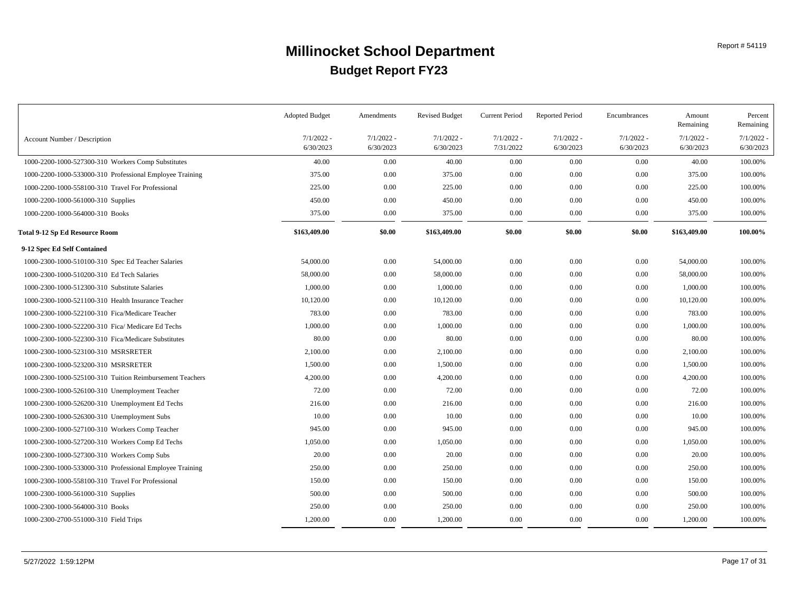|                                                          | <b>Adopted Budget</b>     | Amendments                | <b>Revised Budget</b>     | <b>Current Period</b>     | <b>Reported Period</b>    | Encumbrances              | Amount<br>Remaining       | Percent<br>Remaining  |
|----------------------------------------------------------|---------------------------|---------------------------|---------------------------|---------------------------|---------------------------|---------------------------|---------------------------|-----------------------|
| Account Number / Description                             | $7/1/2022$ -<br>6/30/2023 | $7/1/2022$ -<br>6/30/2023 | $7/1/2022$ -<br>6/30/2023 | $7/1/2022 -$<br>7/31/2022 | $7/1/2022$ -<br>6/30/2023 | $7/1/2022 -$<br>6/30/2023 | $7/1/2022 -$<br>6/30/2023 | 7/1/2022<br>6/30/2023 |
| 1000-2200-1000-527300-310 Workers Comp Substitutes       | 40.00                     | 0.00                      | 40.00                     | 0.00                      | 0.00                      | $0.00\,$                  | 40.00                     | 100.00%               |
| 1000-2200-1000-533000-310 Professional Employee Training | 375.00                    | 0.00                      | 375.00                    | 0.00                      | 0.00                      | 0.00                      | 375.00                    | 100.00%               |
| 1000-2200-1000-558100-310 Travel For Professional        | 225.00                    | 0.00                      | 225.00                    | 0.00                      | 0.00                      | 0.00                      | 225.00                    | 100.00%               |
| 1000-2200-1000-561000-310 Supplies                       | 450.00                    | 0.00                      | 450.00                    | 0.00                      | 0.00                      | 0.00                      | 450.00                    | 100.00%               |
| 1000-2200-1000-564000-310 Books                          | 375.00                    | 0.00                      | 375.00                    | 0.00                      | $0.00\,$                  | 0.00                      | 375.00                    | 100.00%               |
| Total 9-12 Sp Ed Resource Room                           | \$163,409.00              | \$0.00                    | \$163,409.00              | \$0.00                    | \$0.00                    | \$0.00                    | \$163,409.00              | 100.00%               |
| 9-12 Spec Ed Self Contained                              |                           |                           |                           |                           |                           |                           |                           |                       |
| 1000-2300-1000-510100-310 Spec Ed Teacher Salaries       | 54,000.00                 | 0.00                      | 54,000.00                 | 0.00                      | 0.00                      | 0.00                      | 54,000.00                 | 100.00%               |
| 1000-2300-1000-510200-310 Ed Tech Salaries               | 58,000.00                 | 0.00                      | 58,000.00                 | 0.00                      | 0.00                      | 0.00                      | 58,000.00                 | 100.00%               |
| 1000-2300-1000-512300-310 Substitute Salaries            | 1,000.00                  | 0.00                      | 1,000.00                  | 0.00                      | 0.00                      | 0.00                      | 1,000.00                  | 100.00%               |
| 1000-2300-1000-521100-310 Health Insurance Teacher       | 10,120.00                 | 0.00                      | 10,120.00                 | 0.00                      | 0.00                      | 0.00                      | 10,120.00                 | 100.00%               |
| 1000-2300-1000-522100-310 Fica/Medicare Teacher          | 783.00                    | 0.00                      | 783.00                    | $0.00\,$                  | 0.00                      | 0.00                      | 783.00                    | 100.00%               |
| 1000-2300-1000-522200-310 Fica/ Medicare Ed Techs        | 1,000.00                  | 0.00                      | 1,000.00                  | $0.00\,$                  | 0.00                      | 0.00                      | 1,000.00                  | 100.00%               |
| 1000-2300-1000-522300-310 Fica/Medicare Substitutes      | 80.00                     | 0.00                      | 80.00                     | $0.00\,$                  | 0.00                      | 0.00                      | 80.00                     | 100.00%               |
| 1000-2300-1000-523100-310 MSRSRETER                      | 2,100.00                  | 0.00                      | 2,100.00                  | $0.00\,$                  | 0.00                      | 0.00                      | 2,100.00                  | 100.00%               |
| 1000-2300-1000-523200-310 MSRSRETER                      | 1,500.00                  | 0.00                      | 1,500.00                  | $0.00\,$                  | 0.00                      | 0.00                      | 1,500.00                  | 100.00%               |
| 1000-2300-1000-525100-310 Tuition Reimbursement Teachers | 4,200.00                  | 0.00                      | 4,200.00                  | $0.00\,$                  | 0.00                      | 0.00                      | 4,200.00                  | 100.00%               |
| 1000-2300-1000-526100-310 Unemployment Teacher           | 72.00                     | 0.00                      | 72.00                     | 0.00                      | 0.00                      | 0.00                      | 72.00                     | 100.00%               |
| 1000-2300-1000-526200-310 Unemployment Ed Techs          | 216.00                    | 0.00                      | 216.00                    | 0.00                      | 0.00                      | 0.00                      | 216.00                    | 100.00%               |
| 1000-2300-1000-526300-310 Unemployment Subs              | 10.00                     | 0.00                      | 10.00                     | 0.00                      | 0.00                      | 0.00                      | 10.00                     | 100.00%               |
| 1000-2300-1000-527100-310 Workers Comp Teacher           | 945.00                    | 0.00                      | 945.00                    | 0.00                      | 0.00                      | 0.00                      | 945.00                    | 100.00%               |
| 1000-2300-1000-527200-310 Workers Comp Ed Techs          | 1,050.00                  | 0.00                      | 1,050.00                  | $0.00\,$                  | 0.00                      | 0.00                      | 1,050.00                  | 100.00%               |
| 1000-2300-1000-527300-310 Workers Comp Subs              | 20.00                     | 0.00                      | 20.00                     | $0.00\,$                  | 0.00                      | 0.00                      | 20.00                     | 100.00%               |
| 1000-2300-1000-533000-310 Professional Employee Training | 250.00                    | 0.00                      | 250.00                    | $0.00\,$                  | 0.00                      | 0.00                      | 250.00                    | 100.00%               |
| 1000-2300-1000-558100-310 Travel For Professional        | 150.00                    | 0.00                      | 150.00                    | 0.00                      | 0.00                      | 0.00                      | 150.00                    | 100.00%               |
| 1000-2300-1000-561000-310 Supplies                       | 500.00                    | 0.00                      | 500.00                    | 0.00                      | 0.00                      | 0.00                      | 500.00                    | 100.00%               |
| 1000-2300-1000-564000-310 Books                          | 250.00                    | 0.00                      | 250.00                    | 0.00                      | 0.00                      | 0.00                      | 250.00                    | 100.00%               |
| 1000-2300-2700-551000-310 Field Trips                    | 1,200.00                  | 0.00                      | 1,200.00                  | 0.00                      | 0.00                      | 0.00                      | 1,200.00                  | 100.00%               |
|                                                          |                           |                           |                           |                           |                           |                           |                           |                       |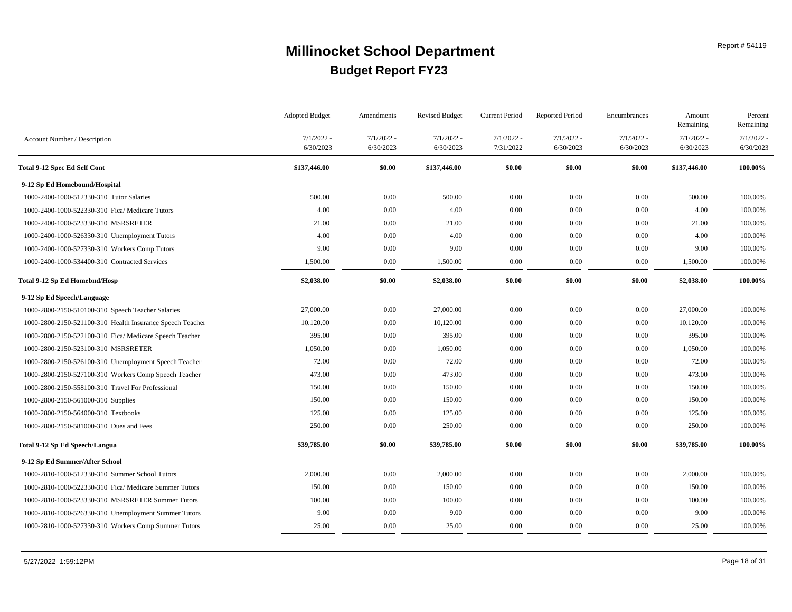|                                                           | <b>Adopted Budget</b>     | Amendments                | <b>Revised Budget</b>     | <b>Current Period</b>     | <b>Reported Period</b>    | Encumbrances              | Amount<br>Remaining       | Percent<br>Remaining      |
|-----------------------------------------------------------|---------------------------|---------------------------|---------------------------|---------------------------|---------------------------|---------------------------|---------------------------|---------------------------|
| Account Number / Description                              | $7/1/2022 -$<br>6/30/2023 | $7/1/2022$ -<br>6/30/2023 | $7/1/2022 -$<br>6/30/2023 | $7/1/2022 -$<br>7/31/2022 | $7/1/2022$ -<br>6/30/2023 | $7/1/2022$ -<br>6/30/2023 | $7/1/2022$ -<br>6/30/2023 | $7/1/2022$ -<br>6/30/2023 |
| <b>Total 9-12 Spec Ed Self Cont</b>                       | \$137,446.00              | \$0.00                    | \$137,446.00              | \$0.00                    | \$0.00                    | \$0.00                    | \$137,446.00              | 100.00%                   |
| 9-12 Sp Ed Homebound/Hospital                             |                           |                           |                           |                           |                           |                           |                           |                           |
| 1000-2400-1000-512330-310 Tutor Salaries                  | 500.00                    | 0.00                      | 500.00                    | 0.00                      | 0.00                      | 0.00                      | 500.00                    | 100.00%                   |
| 1000-2400-1000-522330-310 Fica/ Medicare Tutors           | 4.00                      | 0.00                      | 4.00                      | $0.00\,$                  | 0.00                      | 0.00                      | 4.00                      | 100.00%                   |
| 1000-2400-1000-523330-310 MSRSRETER                       | 21.00                     | 0.00                      | 21.00                     | 0.00                      | 0.00                      | 0.00                      | 21.00                     | 100.00%                   |
| 1000-2400-1000-526330-310 Unemployment Tutors             | 4.00                      | 0.00                      | 4.00                      | $0.00\,$                  | 0.00                      | 0.00                      | 4.00                      | 100.00%                   |
| 1000-2400-1000-527330-310 Workers Comp Tutors             | 9.00                      | 0.00                      | 9.00                      | $0.00\,$                  | 0.00                      | 0.00                      | 9.00                      | 100.00%                   |
| 1000-2400-1000-534400-310 Contracted Services             | 1,500.00                  | 0.00                      | 1,500.00                  | 0.00                      | 0.00                      | 0.00                      | 1,500.00                  | 100.00%                   |
| Total 9-12 Sp Ed Homebnd/Hosp                             | \$2,038.00                | \$0.00                    | \$2,038.00                | \$0.00                    | \$0.00                    | \$0.00                    | \$2,038.00                | 100.00%                   |
| 9-12 Sp Ed Speech/Language                                |                           |                           |                           |                           |                           |                           |                           |                           |
| 1000-2800-2150-510100-310 Speech Teacher Salaries         | 27,000.00                 | 0.00                      | 27,000.00                 | $0.00\,$                  | 0.00                      | 0.00                      | 27,000.00                 | 100.00%                   |
| 1000-2800-2150-521100-310 Health Insurance Speech Teacher | 10,120.00                 | 0.00                      | 10,120.00                 | $0.00\,$                  | 0.00                      | 0.00                      | 10,120.00                 | 100.00%                   |
| 1000-2800-2150-522100-310 Fica/ Medicare Speech Teacher   | 395.00                    | 0.00                      | 395.00                    | 0.00                      | 0.00                      | $0.00\,$                  | 395.00                    | 100.00%                   |
| 1000-2800-2150-523100-310 MSRSRETER                       | 1,050.00                  | 0.00                      | 1,050.00                  | $0.00\,$                  | 0.00                      | 0.00                      | 1,050.00                  | 100.00%                   |
| 1000-2800-2150-526100-310 Unemployment Speech Teacher     | 72.00                     | 0.00                      | 72.00                     | $0.00\,$                  | 0.00                      | 0.00                      | 72.00                     | 100.00%                   |
| 1000-2800-2150-527100-310 Workers Comp Speech Teacher     | 473.00                    | 0.00                      | 473.00                    | $0.00\,$                  | 0.00                      | 0.00                      | 473.00                    | 100.00%                   |
| 1000-2800-2150-558100-310 Travel For Professional         | 150.00                    | 0.00                      | 150.00                    | $0.00\,$                  | 0.00                      | $0.00\,$                  | 150.00                    | 100.00%                   |
| 1000-2800-2150-561000-310 Supplies                        | 150.00                    | 0.00                      | 150.00                    | $0.00\,$                  | 0.00                      | 0.00                      | 150.00                    | 100.00%                   |
| 1000-2800-2150-564000-310 Textbooks                       | 125.00                    | 0.00                      | 125.00                    | $0.00\,$                  | 0.00                      | 0.00                      | 125.00                    | 100.00%                   |
| 1000-2800-2150-581000-310 Dues and Fees                   | 250.00                    | 0.00                      | 250.00                    | 0.00                      | 0.00                      | 0.00                      | 250.00                    | 100.00%                   |
| Total 9-12 Sp Ed Speech/Langua                            | \$39,785.00               | \$0.00                    | \$39,785.00               | \$0.00                    | \$0.00                    | \$0.00                    | \$39,785.00               | 100.00%                   |
| 9-12 Sp Ed Summer/After School                            |                           |                           |                           |                           |                           |                           |                           |                           |
| 1000-2810-1000-512330-310 Summer School Tutors            | 2,000.00                  | 0.00                      | 2,000.00                  | 0.00                      | 0.00                      | 0.00                      | 2,000.00                  | 100.00%                   |
| 1000-2810-1000-522330-310 Fica/ Medicare Summer Tutors    | 150.00                    | 0.00                      | 150.00                    | $0.00\,$                  | 0.00                      | 0.00                      | 150.00                    | 100.00%                   |
| 1000-2810-1000-523330-310 MSRSRETER Summer Tutors         | 100.00                    | 0.00                      | 100.00                    | $0.00\,$                  | 0.00                      | 0.00                      | 100.00                    | 100.00%                   |
| 1000-2810-1000-526330-310 Unemployment Summer Tutors      | 9.00                      | 0.00                      | 9.00                      | $0.00\,$                  | 0.00                      | 0.00                      | 9.00                      | 100.00%                   |
| 1000-2810-1000-527330-310 Workers Comp Summer Tutors      | 25.00                     | 0.00                      | 25.00                     | $0.00\,$                  | 0.00                      | 0.00                      | 25.00                     | 100.00%                   |
|                                                           |                           |                           |                           |                           |                           |                           |                           |                           |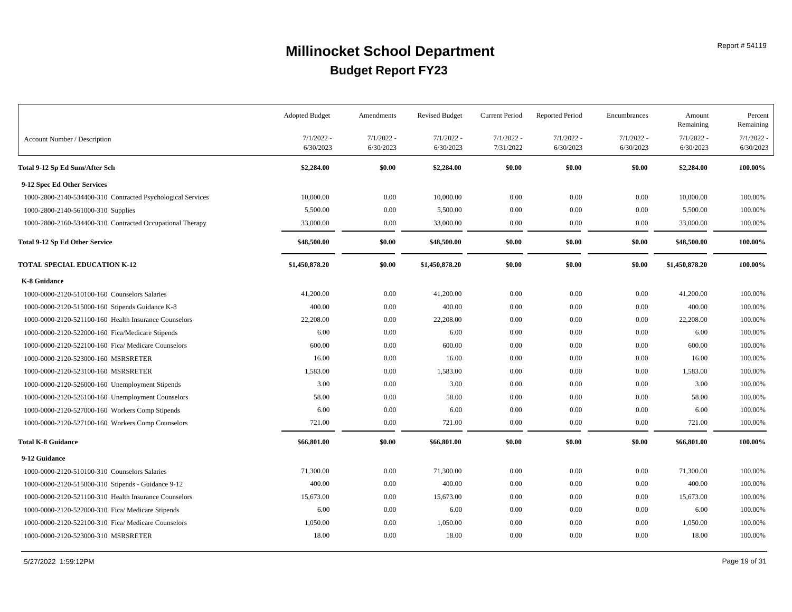|                                                             | <b>Adopted Budget</b> | Amendments   | <b>Revised Budget</b> | <b>Current Period</b> | <b>Reported Period</b> | Encumbrances | Amount<br>Remaining | Percent<br>Remaining |
|-------------------------------------------------------------|-----------------------|--------------|-----------------------|-----------------------|------------------------|--------------|---------------------|----------------------|
| Account Number / Description                                | $7/1/2022$ -          | $7/1/2022$ - | $7/1/2022 -$          | $7/1/2022 -$          | $7/1/2022 -$           | $7/1/2022 -$ | $7/1/2022$ -        | 7/1/2022             |
|                                                             | 6/30/2023             | 6/30/2023    | 6/30/2023             | 7/31/2022             | 6/30/2023              | 6/30/2023    | 6/30/2023           | 6/30/2023            |
| Total 9-12 Sp Ed Sum/After Sch                              | \$2,284.00            | \$0.00       | \$2,284.00            | \$0.00                | \$0.00                 | \$0.00       | \$2,284.00          | 100.00%              |
| 9-12 Spec Ed Other Services                                 |                       |              |                       |                       |                        |              |                     |                      |
| 1000-2800-2140-534400-310 Contracted Psychological Services | 10,000.00             | 0.00         | 10,000.00             | 0.00                  | 0.00                   | 0.00         | 10,000.00           | 100.00%              |
| 1000-2800-2140-561000-310 Supplies                          | 5,500.00              | 0.00         | 5,500.00              | 0.00                  | 0.00                   | $0.00\,$     | 5,500.00            | 100.00%              |
| 1000-2800-2160-534400-310 Contracted Occupational Therapy   | 33,000.00             | 0.00         | 33,000.00             | 0.00                  | 0.00                   | 0.00         | 33,000.00           | 100.00%              |
| <b>Total 9-12 Sp Ed Other Service</b>                       | \$48,500.00           | \$0.00       | \$48,500.00           | \$0.00                | \$0.00                 | \$0.00       | \$48,500.00         | 100.00%              |
| <b>TOTAL SPECIAL EDUCATION K-12</b>                         | \$1,450,878.20        | \$0.00       | \$1,450,878.20        | \$0.00                | \$0.00                 | \$0.00       | \$1,450,878.20      | 100.00%              |
| K-8 Guidance                                                |                       |              |                       |                       |                        |              |                     |                      |
| 1000-0000-2120-510100-160 Counselors Salaries               | 41,200.00             | 0.00         | 41,200.00             | 0.00                  | 0.00                   | 0.00         | 41,200.00           | 100.00%              |
| 1000-0000-2120-515000-160 Stipends Guidance K-8             | 400.00                | 0.00         | 400.00                | 0.00                  | 0.00                   | $0.00\,$     | 400.00              | 100.00%              |
| 1000-0000-2120-521100-160 Health Insurance Counselors       | 22,208.00             | 0.00         | 22,208.00             | 0.00                  | 0.00                   | 0.00         | 22,208.00           | 100.00%              |
| 1000-0000-2120-522000-160 Fica/Medicare Stipends            | 6.00                  | 0.00         | 6.00                  | 0.00                  | 0.00                   | 0.00         | 6.00                | 100.00%              |
| 1000-0000-2120-522100-160 Fica/ Medicare Counselors         | 600.00                | 0.00         | 600.00                | 0.00                  | 0.00                   | $0.00\,$     | 600.00              | 100.00%              |
| 1000-0000-2120-523000-160 MSRSRETER                         | 16.00                 | 0.00         | 16.00                 | 0.00                  | 0.00                   | 0.00         | 16.00               | 100.00%              |
| 1000-0000-2120-523100-160 MSRSRETER                         | 1,583.00              | 0.00         | 1,583.00              | 0.00                  | 0.00                   | 0.00         | 1,583.00            | 100.00%              |
| 1000-0000-2120-526000-160 Unemployment Stipends             | 3.00                  | 0.00         | 3.00                  | 0.00                  | 0.00                   | 0.00         | 3.00                | 100.00%              |
| 1000-0000-2120-526100-160 Unemployment Counselors           | 58.00                 | 0.00         | 58.00                 | 0.00                  | 0.00                   | 0.00         | 58.00               | 100.00%              |
| 1000-0000-2120-527000-160 Workers Comp Stipends             | 6.00                  | 0.00         | 6.00                  | 0.00                  | 0.00                   | 0.00         | 6.00                | 100.00%              |
| 1000-0000-2120-527100-160 Workers Comp Counselors           | 721.00                | 0.00         | 721.00                | 0.00                  | 0.00                   | $0.00\,$     | 721.00              | 100.00%              |
| <b>Total K-8 Guidance</b>                                   | \$66,801.00           | \$0.00       | \$66,801.00           | \$0.00                | \$0.00                 | \$0.00       | \$66,801.00         | 100.00%              |
| 9-12 Guidance                                               |                       |              |                       |                       |                        |              |                     |                      |
| 1000-0000-2120-510100-310 Counselors Salaries               | 71,300.00             | 0.00         | 71,300.00             | 0.00                  | 0.00                   | 0.00         | 71,300.00           | 100.00%              |
| 1000-0000-2120-515000-310 Stipends - Guidance 9-12          | 400.00                | 0.00         | 400.00                | 0.00                  | 0.00                   | $0.00\,$     | 400.00              | 100.00%              |
| 1000-0000-2120-521100-310 Health Insurance Counselors       | 15,673.00             | 0.00         | 15,673.00             | 0.00                  | 0.00                   | 0.00         | 15,673.00           | 100.00%              |
| 1000-0000-2120-522000-310 Fica/ Medicare Stipends           | 6.00                  | 0.00         | 6.00                  | 0.00                  | 0.00                   | 0.00         | 6.00                | 100.00%              |
| 1000-0000-2120-522100-310 Fica/ Medicare Counselors         | 1,050.00              | 0.00         | 1,050.00              | 0.00                  | 0.00                   | 0.00         | 1,050.00            | 100.00%              |
| 1000-0000-2120-523000-310 MSRSRETER                         | 18.00                 | 0.00         | 18.00                 | 0.00                  | 0.00                   | 0.00         | 18.00               | 100.00%              |
|                                                             |                       |              |                       |                       |                        |              |                     |                      |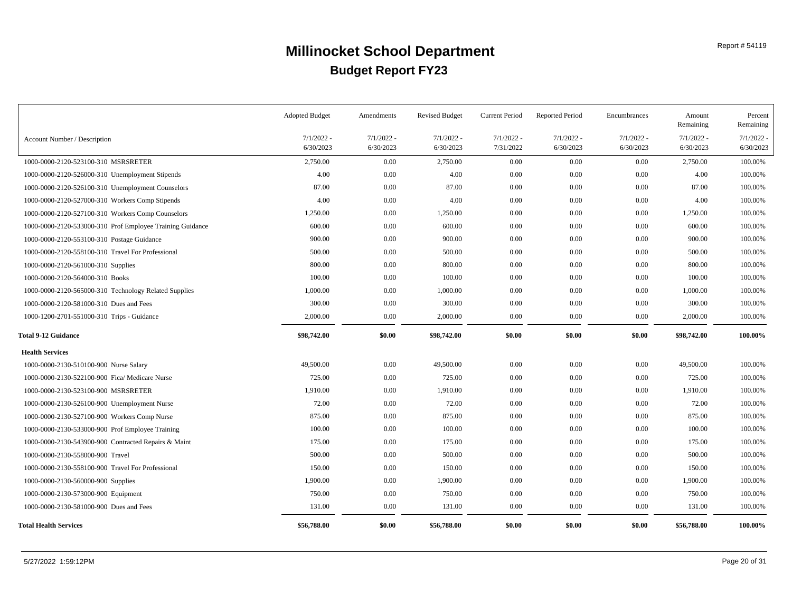|                                                           | <b>Adopted Budget</b>     | Amendments                | <b>Revised Budget</b>     | <b>Current Period</b>     | <b>Reported Period</b>    | Encumbrances              | Amount<br>Remaining       | Percent<br>Remaining  |
|-----------------------------------------------------------|---------------------------|---------------------------|---------------------------|---------------------------|---------------------------|---------------------------|---------------------------|-----------------------|
| Account Number / Description                              | $7/1/2022$ -<br>6/30/2023 | $7/1/2022$ -<br>6/30/2023 | $7/1/2022 -$<br>6/30/2023 | $7/1/2022 -$<br>7/31/2022 | $7/1/2022$ -<br>6/30/2023 | $7/1/2022 -$<br>6/30/2023 | $7/1/2022 -$<br>6/30/2023 | 7/1/2022<br>6/30/2023 |
| 1000-0000-2120-523100-310 MSRSRETER                       | 2,750.00                  | 0.00                      | 2,750.00                  | $0.00\,$                  | 0.00                      | 0.00                      | 2,750.00                  | 100.00%               |
| 1000-0000-2120-526000-310 Unemployment Stipends           | 4.00                      | 0.00                      | 4.00                      | 0.00                      | 0.00                      | 0.00                      | 4.00                      | 100.00%               |
| 1000-0000-2120-526100-310 Unemployment Counselors         | 87.00                     | 0.00                      | 87.00                     | $0.00\,$                  | 0.00                      | 0.00                      | 87.00                     | 100.00%               |
| 1000-0000-2120-527000-310 Workers Comp Stipends           | 4.00                      | 0.00                      | 4.00                      | $0.00\,$                  | 0.00                      | 0.00                      | 4.00                      | 100.00%               |
| 1000-0000-2120-527100-310 Workers Comp Counselors         | 1,250.00                  | 0.00                      | 1,250.00                  | $0.00\,$                  | 0.00                      | 0.00                      | 1,250.00                  | 100.00%               |
| 1000-0000-2120-533000-310 Prof Employee Training Guidance | 600.00                    | 0.00                      | 600.00                    | 0.00                      | 0.00                      | 0.00                      | 600.00                    | 100.00%               |
| 1000-0000-2120-553100-310 Postage Guidance                | 900.00                    | 0.00                      | 900.00                    | 0.00                      | 0.00                      | 0.00                      | 900.00                    | 100.00%               |
| 1000-0000-2120-558100-310 Travel For Professional         | 500.00                    | 0.00                      | 500.00                    | $0.00\,$                  | 0.00                      | 0.00                      | 500.00                    | 100.00%               |
| 1000-0000-2120-561000-310 Supplies                        | 800.00                    | 0.00                      | 800.00                    | $0.00\,$                  | 0.00                      | 0.00                      | 800.00                    | 100.00%               |
| 1000-0000-2120-564000-310 Books                           | 100.00                    | 0.00                      | 100.00                    | 0.00                      | 0.00                      | $0.00\,$                  | 100.00                    | 100.00%               |
| 1000-0000-2120-565000-310 Technology Related Supplies     | 1,000.00                  | 0.00                      | 1,000.00                  | $0.00\,$                  | 0.00                      | 0.00                      | 1,000.00                  | 100.00%               |
| 1000-0000-2120-581000-310 Dues and Fees                   | 300.00                    | 0.00                      | 300.00                    | $0.00\,$                  | 0.00                      | 0.00                      | 300.00                    | 100.00%               |
| 1000-1200-2701-551000-310 Trips - Guidance                | 2,000.00                  | 0.00                      | 2,000.00                  | $0.00\,$                  | 0.00                      | 0.00                      | 2,000.00                  | 100.00%               |
| <b>Total 9-12 Guidance</b>                                | \$98,742.00               | \$0.00                    | \$98,742.00               | \$0.00                    | \$0.00                    | \$0.00                    | \$98,742.00               | 100.00%               |
| <b>Health Services</b>                                    |                           |                           |                           |                           |                           |                           |                           |                       |
| 1000-0000-2130-510100-900 Nurse Salary                    | 49,500.00                 | 0.00                      | 49,500.00                 | $0.00\,$                  | 0.00                      | 0.00                      | 49,500.00                 | 100.00%               |
| 1000-0000-2130-522100-900 Fica/ Medicare Nurse            | 725.00                    | 0.00                      | 725.00                    | $0.00\,$                  | 0.00                      | 0.00                      | 725.00                    | 100.00%               |
| 1000-0000-2130-523100-900 MSRSRETER                       | 1,910.00                  | 0.00                      | 1,910.00                  | $0.00\,$                  | 0.00                      | 0.00                      | 1,910.00                  | 100.00%               |
| 1000-0000-2130-526100-900 Unemployment Nurse              | 72.00                     | 0.00                      | 72.00                     | $0.00\,$                  | 0.00                      | 0.00                      | 72.00                     | 100.00%               |
| 1000-0000-2130-527100-900 Workers Comp Nurse              | 875.00                    | 0.00                      | 875.00                    | $0.00\,$                  | 0.00                      | 0.00                      | 875.00                    | 100.00%               |
| 1000-0000-2130-533000-900 Prof Employee Training          | 100.00                    | 0.00                      | 100.00                    | $0.00\,$                  | 0.00                      | 0.00                      | 100.00                    | 100.00%               |
| 1000-0000-2130-543900-900 Contracted Repairs & Maint      | 175.00                    | 0.00                      | 175.00                    | $0.00\,$                  | 0.00                      | 0.00                      | 175.00                    | 100.00%               |
| 1000-0000-2130-558000-900 Travel                          | 500.00                    | 0.00                      | 500.00                    | $0.00\,$                  | 0.00                      | 0.00                      | 500.00                    | 100.00%               |
| 1000-0000-2130-558100-900 Travel For Professional         | 150.00                    | 0.00                      | 150.00                    | $0.00\,$                  | 0.00                      | 0.00                      | 150.00                    | 100.00%               |
| 1000-0000-2130-560000-900 Supplies                        | 1,900.00                  | 0.00                      | 1,900.00                  | 0.00                      | 0.00                      | 0.00                      | 1,900.00                  | 100.00%               |
| 1000-0000-2130-573000-900 Equipment                       | 750.00                    | 0.00                      | 750.00                    | 0.00                      | 0.00                      | 0.00                      | 750.00                    | 100.00%               |
| 1000-0000-2130-581000-900 Dues and Fees                   | 131.00                    | 0.00                      | 131.00                    | $0.00\,$                  | 0.00                      | 0.00                      | 131.00                    | 100.00%               |
| <b>Total Health Services</b>                              | \$56,788.00               | \$0.00                    | \$56,788.00               | \$0.00                    | \$0.00                    | \$0.00                    | \$56,788.00               | 100.00%               |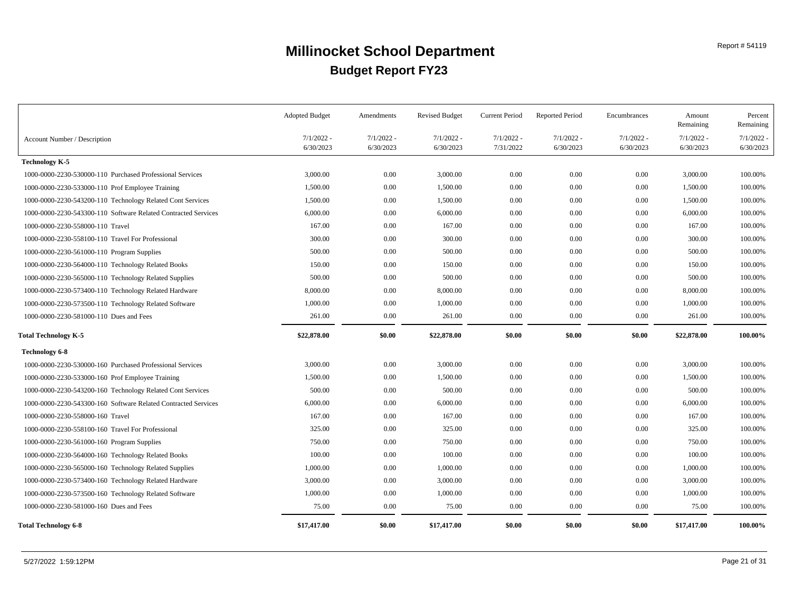|                                                                | <b>Adopted Budget</b>     | Amendments                | <b>Revised Budget</b>     | <b>Current Period</b>     | <b>Reported Period</b>    | Encumbrances              | Amount<br>Remaining       | Percent<br>Remaining  |
|----------------------------------------------------------------|---------------------------|---------------------------|---------------------------|---------------------------|---------------------------|---------------------------|---------------------------|-----------------------|
| Account Number / Description                                   | $7/1/2022$ -<br>6/30/2023 | $7/1/2022$ -<br>6/30/2023 | $7/1/2022 -$<br>6/30/2023 | $7/1/2022 -$<br>7/31/2022 | $7/1/2022$ -<br>6/30/2023 | $7/1/2022$ -<br>6/30/2023 | $7/1/2022 -$<br>6/30/2023 | 7/1/2022<br>6/30/2023 |
| <b>Technology K-5</b>                                          |                           |                           |                           |                           |                           |                           |                           |                       |
| 1000-0000-2230-530000-110 Purchased Professional Services      | 3,000.00                  | 0.00                      | 3,000.00                  | 0.00                      | 0.00                      | 0.00                      | 3,000.00                  | 100.00%               |
| 1000-0000-2230-533000-110 Prof Employee Training               | 1,500.00                  | 0.00                      | 1,500.00                  | $0.00\,$                  | 0.00                      | 0.00                      | 1,500.00                  | 100.00%               |
| 1000-0000-2230-543200-110 Technology Related Cont Services     | 1,500.00                  | 0.00                      | 1,500.00                  | $0.00\,$                  | 0.00                      | 0.00                      | 1,500.00                  | 100.00%               |
| 1000-0000-2230-543300-110 Software Related Contracted Services | 6,000.00                  | 0.00                      | 6,000.00                  | $0.00\,$                  | 0.00                      | 0.00                      | 6,000.00                  | 100.00%               |
| 1000-0000-2230-558000-110 Travel                               | 167.00                    | 0.00                      | 167.00                    | 0.00                      | 0.00                      | 0.00                      | 167.00                    | 100.00%               |
| 1000-0000-2230-558100-110 Travel For Professional              | 300.00                    | 0.00                      | 300.00                    | $0.00\,$                  | 0.00                      | 0.00                      | 300.00                    | 100.00%               |
| 1000-0000-2230-561000-110 Program Supplies                     | 500.00                    | 0.00                      | 500.00                    | $0.00\,$                  | 0.00                      | 0.00                      | 500.00                    | 100.00%               |
| 1000-0000-2230-564000-110 Technology Related Books             | 150.00                    | 0.00                      | 150.00                    | 0.00                      | 0.00                      | 0.00                      | 150.00                    | 100.00%               |
| 1000-0000-2230-565000-110 Technology Related Supplies          | 500.00                    | 0.00                      | 500.00                    | 0.00                      | 0.00                      | $0.00\,$                  | 500.00                    | 100.00%               |
| 1000-0000-2230-573400-110 Technology Related Hardware          | 8,000.00                  | 0.00                      | 8,000.00                  | $0.00\,$                  | 0.00                      | 0.00                      | 8,000.00                  | 100.00%               |
| 1000-0000-2230-573500-110 Technology Related Software          | 1,000.00                  | 0.00                      | 1,000.00                  | $0.00\,$                  | 0.00                      | 0.00                      | 1,000.00                  | 100.00%               |
| 1000-0000-2230-581000-110 Dues and Fees                        | 261.00                    | 0.00                      | 261.00                    | $0.00\,$                  | 0.00                      | 0.00                      | 261.00                    | 100.00%               |
| Total Technology K-5                                           | \$22,878.00               | \$0.00                    | \$22,878.00               | \$0.00                    | \$0.00                    | \$0.00                    | \$22,878.00               | 100.00%               |
| <b>Technology 6-8</b>                                          |                           |                           |                           |                           |                           |                           |                           |                       |
| 1000-0000-2230-530000-160 Purchased Professional Services      | 3,000.00                  | 0.00                      | 3,000.00                  | $0.00\,$                  | 0.00                      | 0.00                      | 3,000.00                  | 100.00%               |
| 1000-0000-2230-533000-160 Prof Employee Training               | 1,500.00                  | 0.00                      | 1,500.00                  | $0.00\,$                  | 0.00                      | 0.00                      | 1,500.00                  | 100.00%               |
| 1000-0000-2230-543200-160 Technology Related Cont Services     | 500.00                    | 0.00                      | 500.00                    | 0.00                      | 0.00                      | 0.00                      | 500.00                    | 100.00%               |
| 1000-0000-2230-543300-160 Software Related Contracted Services | 6,000.00                  | 0.00                      | 6,000.00                  | 0.00                      | 0.00                      | 0.00                      | 6,000.00                  | 100.00%               |
| 1000-0000-2230-558000-160 Travel                               | 167.00                    | 0.00                      | 167.00                    | $0.00\,$                  | 0.00                      | 0.00                      | 167.00                    | 100.00%               |
| 1000-0000-2230-558100-160 Travel For Professional              | 325.00                    | 0.00                      | 325.00                    | 0.00                      | 0.00                      | 0.00                      | 325.00                    | 100.00%               |
| 1000-0000-2230-561000-160 Program Supplies                     | 750.00                    | 0.00                      | 750.00                    | 0.00                      | 0.00                      | 0.00                      | 750.00                    | 100.00%               |
| 1000-0000-2230-564000-160 Technology Related Books             | 100.00                    | 0.00                      | 100.00                    | 0.00                      | 0.00                      | 0.00                      | 100.00                    | 100.00%               |
| 1000-0000-2230-565000-160 Technology Related Supplies          | 1,000.00                  | 0.00                      | 1,000.00                  | $0.00\,$                  | 0.00                      | 0.00                      | 1,000.00                  | 100.00%               |
| 1000-0000-2230-573400-160 Technology Related Hardware          | 3,000.00                  | 0.00                      | 3,000.00                  | $0.00\,$                  | 0.00                      | 0.00                      | 3,000.00                  | 100.00%               |
| 1000-0000-2230-573500-160 Technology Related Software          | 1,000.00                  | 0.00                      | 1,000.00                  | 0.00                      | 0.00                      | 0.00                      | 1,000.00                  | 100.00%               |
| 1000-0000-2230-581000-160 Dues and Fees                        | 75.00                     | 0.00                      | 75.00                     | $0.00\,$                  | 0.00                      | $0.00\,$                  | 75.00                     | 100.00%               |
| <b>Total Technology 6-8</b>                                    | \$17,417.00               | \$0.00                    | \$17,417.00               | \$0.00                    | \$0.00                    | \$0.00                    | \$17,417.00               | 100.00%               |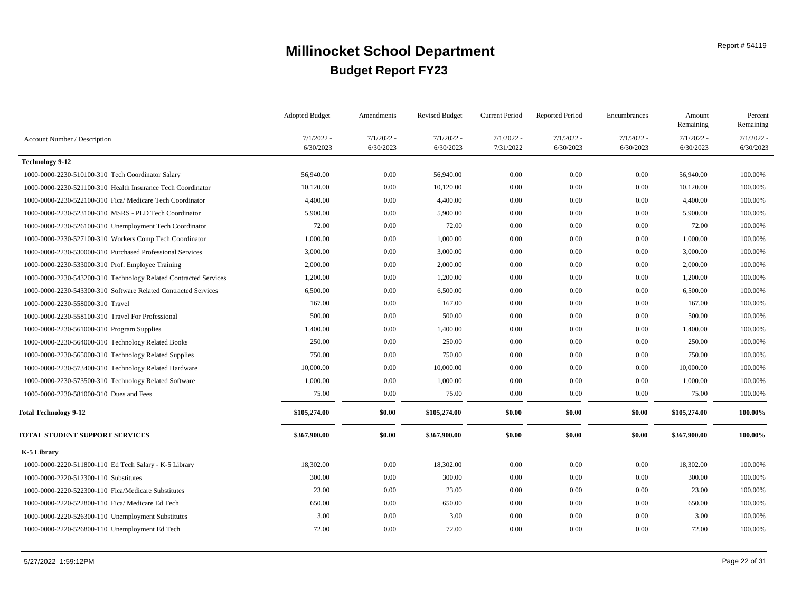|                                                                  | <b>Adopted Budget</b>     | Amendments                | <b>Revised Budget</b>     | <b>Current Period</b>     | <b>Reported Period</b>    | Encumbrances              | Amount<br>Remaining       | Percent<br>Remaining      |
|------------------------------------------------------------------|---------------------------|---------------------------|---------------------------|---------------------------|---------------------------|---------------------------|---------------------------|---------------------------|
| Account Number / Description                                     | $7/1/2022 -$<br>6/30/2023 | $7/1/2022 -$<br>6/30/2023 | $7/1/2022 -$<br>6/30/2023 | $7/1/2022 -$<br>7/31/2022 | $7/1/2022 -$<br>6/30/2023 | $7/1/2022 -$<br>6/30/2023 | $7/1/2022 -$<br>6/30/2023 | $7/1/2022$ -<br>6/30/2023 |
| <b>Technology 9-12</b>                                           |                           |                           |                           |                           |                           |                           |                           |                           |
| 1000-0000-2230-510100-310 Tech Coordinator Salary                | 56,940.00                 | 0.00                      | 56,940.00                 | $0.00\,$                  | 0.00                      | 0.00                      | 56,940.00                 | 100.00%                   |
| 1000-0000-2230-521100-310 Health Insurance Tech Coordinator      | 10,120.00                 | 0.00                      | 10,120.00                 | 0.00                      | 0.00                      | 0.00                      | 10,120.00                 | 100.00%                   |
| 1000-0000-2230-522100-310 Fica/ Medicare Tech Coordinator        | 4,400.00                  | 0.00                      | 4,400.00                  | $0.00\,$                  | 0.00                      | $0.00\,$                  | 4,400.00                  | 100.00%                   |
| 1000-0000-2230-523100-310 MSRS - PLD Tech Coordinator            | 5,900.00                  | 0.00                      | 5,900.00                  | $0.00\,$                  | 0.00                      | $0.00\,$                  | 5,900.00                  | 100.00%                   |
| 1000-0000-2230-526100-310 Unemployment Tech Coordinator          | 72.00                     | 0.00                      | 72.00                     | 0.00                      | 0.00                      | $0.00\,$                  | 72.00                     | 100.00%                   |
| 1000-0000-2230-527100-310 Workers Comp Tech Coordinator          | 1,000.00                  | 0.00                      | 1,000.00                  | $0.00\,$                  | 0.00                      | $0.00\,$                  | 1,000.00                  | 100.00%                   |
| 1000-0000-2230-530000-310 Purchased Professional Services        | 3,000.00                  | 0.00                      | 3,000.00                  | $0.00\,$                  | 0.00                      | $0.00\,$                  | 3,000.00                  | 100.00%                   |
| 1000-0000-2230-533000-310 Prof. Employee Training                | 2,000.00                  | 0.00                      | 2,000.00                  | $0.00\,$                  | 0.00                      | $0.00\,$                  | 2,000.00                  | 100.00%                   |
| 1000-0000-2230-543200-310 Technology Related Contracted Services | 1,200.00                  | 0.00                      | 1,200.00                  | $0.00\,$                  | 0.00                      | 0.00                      | 1,200.00                  | 100.00%                   |
| 1000-0000-2230-543300-310 Software Related Contracted Services   | 6,500.00                  | 0.00                      | 6,500.00                  | $0.00\,$                  | 0.00                      | $0.00\,$                  | 6,500.00                  | 100.00%                   |
| 1000-0000-2230-558000-310 Travel                                 | 167.00                    | 0.00                      | 167.00                    | $0.00\,$                  | 0.00                      | 0.00                      | 167.00                    | 100.00%                   |
| 1000-0000-2230-558100-310 Travel For Professional                | 500.00                    | 0.00                      | 500.00                    | 0.00                      | 0.00                      | 0.00                      | 500.00                    | 100.00%                   |
| 1000-0000-2230-561000-310 Program Supplies                       | 1,400.00                  | 0.00                      | 1,400.00                  | 0.00                      | 0.00                      | 0.00                      | 1,400.00                  | 100.00%                   |
| 1000-0000-2230-564000-310 Technology Related Books               | 250.00                    | 0.00                      | 250.00                    | $0.00\,$                  | 0.00                      | $0.00\,$                  | 250.00                    | 100.00%                   |
| 1000-0000-2230-565000-310 Technology Related Supplies            | 750.00                    | 0.00                      | 750.00                    | 0.00                      | 0.00                      | 0.00                      | 750.00                    | 100.00%                   |
| 1000-0000-2230-573400-310 Technology Related Hardware            | 10,000.00                 | 0.00                      | 10,000.00                 | $0.00\,$                  | 0.00                      | $0.00\,$                  | 10,000.00                 | 100.00%                   |
| 1000-0000-2230-573500-310 Technology Related Software            | 1,000.00                  | 0.00                      | 1,000.00                  | $0.00\,$                  | 0.00                      | $0.00\,$                  | 1,000.00                  | 100.00%                   |
| 1000-0000-2230-581000-310 Dues and Fees                          | 75.00                     | 0.00                      | 75.00                     | 0.00                      | 0.00                      | 0.00                      | 75.00                     | 100.00%                   |
| <b>Total Technology 9-12</b>                                     | \$105,274.00              | \$0.00                    | \$105,274.00              | \$0.00                    | \$0.00                    | \$0.00                    | \$105,274.00              | 100.00%                   |
| TOTAL STUDENT SUPPORT SERVICES                                   | \$367,900.00              | \$0.00                    | \$367,900.00              | \$0.00                    | \$0.00                    | \$0.00                    | \$367,900.00              | 100.00%                   |
| K-5 Library                                                      |                           |                           |                           |                           |                           |                           |                           |                           |
| 1000-0000-2220-511800-110 Ed Tech Salary - K-5 Library           | 18,302.00                 | 0.00                      | 18,302.00                 | 0.00                      | 0.00                      | 0.00                      | 18,302.00                 | 100.00%                   |
| 1000-0000-2220-512300-110 Substitutes                            | 300.00                    | 0.00                      | 300.00                    | $0.00\,$                  | 0.00                      | $0.00\,$                  | 300.00                    | 100.00%                   |
| 1000-0000-2220-522300-110 Fica/Medicare Substitutes              | 23.00                     | 0.00                      | 23.00                     | $0.00\,$                  | 0.00                      | $0.00\,$                  | 23.00                     | 100.00%                   |
| 1000-0000-2220-522800-110 Fica/ Medicare Ed Tech                 | 650.00                    | 0.00                      | 650.00                    | $0.00\,$                  | 0.00                      | $0.00\,$                  | 650.00                    | 100.00%                   |
| 1000-0000-2220-526300-110 Unemployment Substitutes               | 3.00                      | 0.00                      | 3.00                      | $0.00\,$                  | 0.00                      | $0.00\,$                  | 3.00                      | 100.00%                   |
| 1000-0000-2220-526800-110 Unemployment Ed Tech                   | 72.00                     | 0.00                      | 72.00                     | $0.00\,$                  | 0.00                      | $0.00\,$                  | 72.00                     | 100.00%                   |
|                                                                  |                           |                           |                           |                           |                           |                           |                           |                           |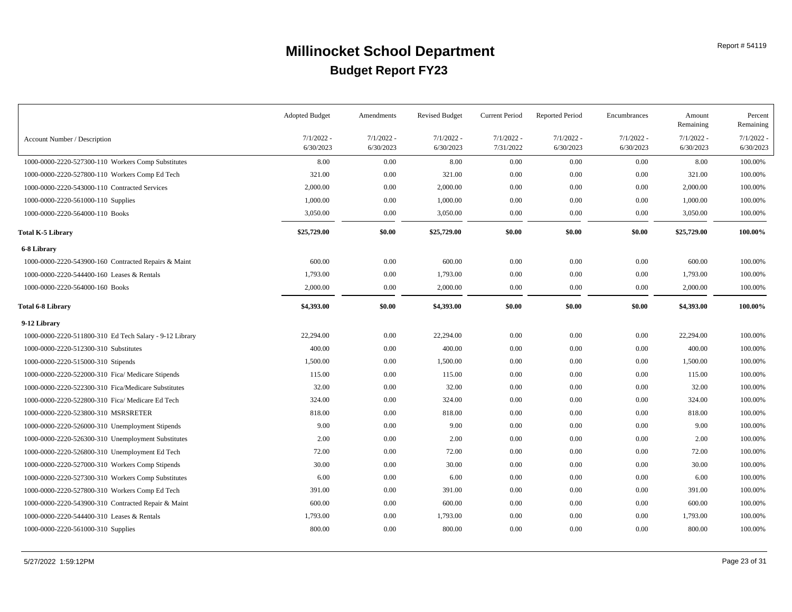|                                                         | <b>Adopted Budget</b>     | Amendments                | <b>Revised Budget</b>     | <b>Current Period</b>     | <b>Reported Period</b>    | Encumbrances              | Amount<br>Remaining       | Percent<br>Remaining      |
|---------------------------------------------------------|---------------------------|---------------------------|---------------------------|---------------------------|---------------------------|---------------------------|---------------------------|---------------------------|
| Account Number / Description                            | $7/1/2022$ -<br>6/30/2023 | $7/1/2022$ -<br>6/30/2023 | $7/1/2022 -$<br>6/30/2023 | $7/1/2022 -$<br>7/31/2022 | $7/1/2022$ -<br>6/30/2023 | $7/1/2022 -$<br>6/30/2023 | $7/1/2022 -$<br>6/30/2023 | $7/1/2022$ -<br>6/30/2023 |
| 1000-0000-2220-527300-110 Workers Comp Substitutes      | 8.00                      | 0.00                      | 8.00                      | 0.00                      | 0.00                      | $0.00\,$                  | 8.00                      | 100.00%                   |
| 1000-0000-2220-527800-110 Workers Comp Ed Tech          | 321.00                    | 0.00                      | 321.00                    | 0.00                      | 0.00                      | 0.00                      | 321.00                    | 100.00%                   |
| 1000-0000-2220-543000-110 Contracted Services           | 2,000.00                  | 0.00                      | 2,000.00                  | $0.00\,$                  | 0.00                      | 0.00                      | 2,000.00                  | 100.00%                   |
| 1000-0000-2220-561000-110 Supplies                      | 1,000.00                  | 0.00                      | 1,000.00                  | $0.00\,$                  | 0.00                      | 0.00                      | 1,000.00                  | 100.00%                   |
| 1000-0000-2220-564000-110 Books                         | 3,050.00                  | 0.00                      | 3,050.00                  | 0.00                      | 0.00                      | 0.00                      | 3,050.00                  | 100.00%                   |
| Total K-5 Library                                       | \$25,729.00               | \$0.00                    | \$25,729.00               | \$0.00                    | \$0.00                    | \$0.00                    | \$25,729.00               | 100.00%                   |
| 6-8 Library                                             |                           |                           |                           |                           |                           |                           |                           |                           |
| 1000-0000-2220-543900-160 Contracted Repairs & Maint    | 600.00                    | 0.00                      | 600.00                    | 0.00                      | 0.00                      | 0.00                      | 600.00                    | 100.00%                   |
| 1000-0000-2220-544400-160 Leases & Rentals              | 1,793.00                  | 0.00                      | 1,793.00                  | $0.00\,$                  | 0.00                      | 0.00                      | 1,793.00                  | 100.00%                   |
| 1000-0000-2220-564000-160 Books                         | 2,000.00                  | 0.00                      | 2,000.00                  | $0.00\,$                  | 0.00                      | $0.00\,$                  | 2,000.00                  | 100.00%                   |
| Total 6-8 Library                                       | \$4,393.00                | \$0.00                    | \$4,393.00                | \$0.00                    | \$0.00                    | \$0.00                    | \$4,393.00                | 100.00%                   |
| 9-12 Library                                            |                           |                           |                           |                           |                           |                           |                           |                           |
| 1000-0000-2220-511800-310 Ed Tech Salary - 9-12 Library | 22,294.00                 | 0.00                      | 22,294.00                 | 0.00                      | 0.00                      | 0.00                      | 22,294.00                 | 100.00%                   |
| 1000-0000-2220-512300-310 Substitutes                   | 400.00                    | 0.00                      | 400.00                    | $0.00\,$                  | 0.00                      | 0.00                      | 400.00                    | 100.00%                   |
| 1000-0000-2220-515000-310 Stipends                      | 1,500.00                  | 0.00                      | 1,500.00                  | $0.00\,$                  | 0.00                      | 0.00                      | 1,500.00                  | 100.00%                   |
| 1000-0000-2220-522000-310 Fica/ Medicare Stipends       | 115.00                    | 0.00                      | 115.00                    | 0.00                      | 0.00                      | 0.00                      | 115.00                    | 100.00%                   |
| 1000-0000-2220-522300-310 Fica/Medicare Substitutes     | 32.00                     | 0.00                      | 32.00                     | 0.00                      | 0.00                      | 0.00                      | 32.00                     | 100.00%                   |
| 1000-0000-2220-522800-310 Fica/ Medicare Ed Tech        | 324.00                    | 0.00                      | 324.00                    | 0.00                      | 0.00                      | 0.00                      | 324.00                    | 100.00%                   |
| 1000-0000-2220-523800-310 MSRSRETER                     | 818.00                    | 0.00                      | 818.00                    | $0.00\,$                  | 0.00                      | 0.00                      | 818.00                    | 100.00%                   |
| 1000-0000-2220-526000-310 Unemployment Stipends         | 9.00                      | 0.00                      | 9.00                      | 0.00                      | 0.00                      | 0.00                      | 9.00                      | 100.00%                   |
| 1000-0000-2220-526300-310 Unemployment Substitutes      | 2.00                      | 0.00                      | 2.00                      | 0.00                      | 0.00                      | 0.00                      | 2.00                      | 100.00%                   |
| 1000-0000-2220-526800-310 Unemployment Ed Tech          | 72.00                     | 0.00                      | 72.00                     | 0.00                      | 0.00                      | 0.00                      | 72.00                     | 100.00%                   |
| 1000-0000-2220-527000-310 Workers Comp Stipends         | 30.00                     | 0.00                      | 30.00                     | $0.00\,$                  | 0.00                      | 0.00                      | 30.00                     | 100.00%                   |
| 1000-0000-2220-527300-310 Workers Comp Substitutes      | 6.00                      | 0.00                      | 6.00                      | $0.00\,$                  | 0.00                      | 0.00                      | 6.00                      | 100.00%                   |
| 1000-0000-2220-527800-310 Workers Comp Ed Tech          | 391.00                    | 0.00                      | 391.00                    | 0.00                      | 0.00                      | 0.00                      | 391.00                    | 100.00%                   |
| 1000-0000-2220-543900-310 Contracted Repair & Maint     | 600.00                    | 0.00                      | 600.00                    | $0.00\,$                  | 0.00                      | 0.00                      | 600.00                    | 100.00%                   |
| 1000-0000-2220-544400-310 Leases & Rentals              | 1,793.00                  | 0.00                      | 1,793.00                  | $0.00\,$                  | 0.00                      | 0.00                      | 1,793.00                  | 100.00%                   |
| 1000-0000-2220-561000-310 Supplies                      | 800.00                    | 0.00                      | 800.00                    | $0.00\,$                  | 0.00                      | 0.00                      | 800.00                    | 100.00%                   |
|                                                         |                           |                           |                           |                           |                           |                           |                           |                           |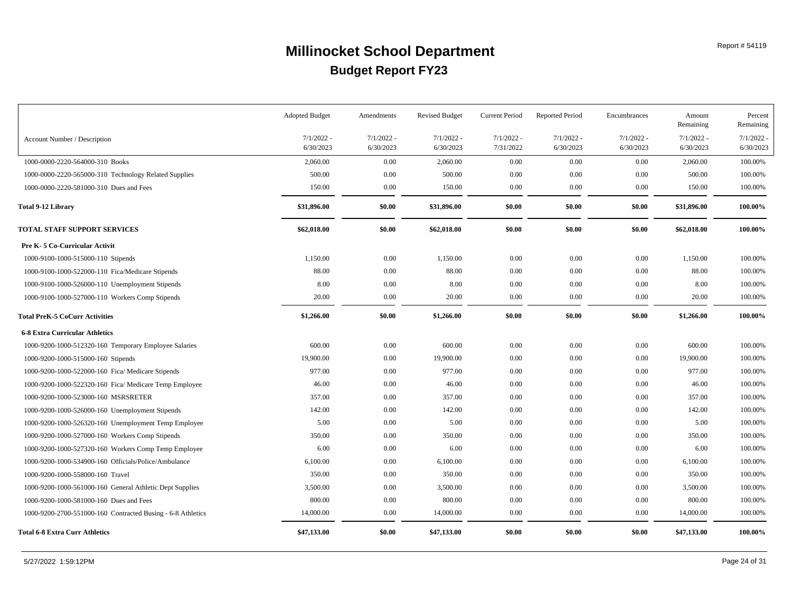|                                                             | <b>Adopted Budget</b> | Amendments   | <b>Revised Budget</b> | Current Period | <b>Reported Period</b> | Encumbrances | Amount<br>Remaining | Percent<br>Remaining |
|-------------------------------------------------------------|-----------------------|--------------|-----------------------|----------------|------------------------|--------------|---------------------|----------------------|
| Account Number / Description                                | $7/1/2022$ -          | $7/1/2022 -$ | $7/1/2022 -$          | $7/1/2022 -$   | $7/1/2022 -$           | $7/1/2022 -$ | $7/1/2022$ -        | 7/1/2022             |
|                                                             | 6/30/2023             | 6/30/2023    | 6/30/2023             | 7/31/2022      | 6/30/2023              | 6/30/2023    | 6/30/2023           | 6/30/2023            |
| 1000-0000-2220-564000-310 Books                             | 2,060.00              | 0.00         | 2,060.00              | 0.00           | 0.00                   | 0.00         | 2,060.00            | 100.00%              |
| 1000-0000-2220-565000-310 Technology Related Supplies       | 500.00                | 0.00         | 500.00                | 0.00           | 0.00                   | 0.00         | 500.00              | 100.00%              |
| 1000-0000-2220-581000-310 Dues and Fees                     | 150.00                | 0.00         | 150.00                | 0.00           | 0.00                   | 0.00         | 150.00              | 100.00%              |
| <b>Total 9-12 Library</b>                                   | \$31,896.00           | \$0.00       | \$31,896.00           | \$0.00         | \$0.00                 | \$0.00       | \$31,896.00         | 100.00%              |
| <b>TOTAL STAFF SUPPORT SERVICES</b>                         | \$62,018.00           | \$0.00       | \$62,018.00           | \$0.00         | \$0.00                 | \$0.00       | \$62,018.00         | 100.00%              |
| Pre K-5 Co-Curricular Activit                               |                       |              |                       |                |                        |              |                     |                      |
| 1000-9100-1000-515000-110 Stipends                          | 1,150.00              | 0.00         | 1,150.00              | 0.00           | 0.00                   | 0.00         | 1,150.00            | 100.00%              |
| 1000-9100-1000-522000-110 Fica/Medicare Stipends            | 88.00                 | 0.00         | 88.00                 | 0.00           | 0.00                   | 0.00         | 88.00               | 100.00%              |
| 1000-9100-1000-526000-110 Unemployment Stipends             | 8.00                  | 0.00         | 8.00                  | 0.00           | 0.00                   | 0.00         | 8.00                | 100.00%              |
| 1000-9100-1000-527000-110 Workers Comp Stipends             | 20.00                 | 0.00         | 20.00                 | 0.00           | 0.00                   | 0.00         | 20.00               | 100.00%              |
| <b>Total PreK-5 CoCurr Activities</b>                       | \$1,266.00            | \$0.00       | \$1,266.00            | \$0.00         | \$0.00                 | \$0.00       | \$1,266.00          | 100.00%              |
| <b>6-8 Extra Curricular Athletics</b>                       |                       |              |                       |                |                        |              |                     |                      |
| 1000-9200-1000-512320-160 Temporary Employee Salaries       | 600.00                | 0.00         | 600.00                | 0.00           | 0.00                   | 0.00         | 600.00              | 100.00%              |
| 1000-9200-1000-515000-160 Stipends                          | 19,900.00             | 0.00         | 19,900.00             | 0.00           | 0.00                   | $0.00\,$     | 19,900.00           | 100.00%              |
| 1000-9200-1000-522000-160 Fica/ Medicare Stipends           | 977.00                | 0.00         | 977.00                | 0.00           | 0.00                   | 0.00         | 977.00              | 100.00%              |
| 1000-9200-1000-522320-160 Fica/ Medicare Temp Employee      | 46.00                 | 0.00         | 46.00                 | 0.00           | 0.00                   | 0.00         | 46.00               | 100.00%              |
| 1000-9200-1000-523000-160 MSRSRETER                         | 357.00                | 0.00         | 357.00                | 0.00           | 0.00                   | 0.00         | 357.00              | 100.00%              |
| 1000-9200-1000-526000-160 Unemployment Stipends             | 142.00                | 0.00         | 142.00                | 0.00           | 0.00                   | 0.00         | 142.00              | 100.00%              |
| 1000-9200-1000-526320-160 Unemployment Temp Employee        | 5.00                  | 0.00         | 5.00                  | 0.00           | 0.00                   | 0.00         | 5.00                | 100.00%              |
| 1000-9200-1000-527000-160 Workers Comp Stipends             | 350.00                | 0.00         | 350.00                | 0.00           | 0.00                   | 0.00         | 350.00              | 100.00%              |
| 1000-9200-1000-527320-160 Workers Comp Temp Employee        | 6.00                  | 0.00         | 6.00                  | 0.00           | 0.00                   | 0.00         | 6.00                | 100.00%              |
| 1000-9200-1000-534900-160 Officials/Police/Ambulance        | 6,100.00              | 0.00         | 6,100.00              | 0.00           | 0.00                   | 0.00         | 6,100.00            | 100.00%              |
| 1000-9200-1000-558000-160 Travel                            | 350.00                | 0.00         | 350.00                | 0.00           | 0.00                   | 0.00         | 350.00              | 100.00%              |
| 1000-9200-1000-561000-160 General Athletic Dept Supplies    | 3,500.00              | 0.00         | 3,500.00              | 0.00           | 0.00                   | 0.00         | 3,500.00            | 100.00%              |
| 1000-9200-1000-581000-160 Dues and Fees                     | 800.00                | 0.00         | 800.00                | 0.00           | 0.00                   | 0.00         | 800.00              | 100.00%              |
| 1000-9200-2700-551000-160 Contracted Busing - 6-8 Athletics | 14,000.00             | 0.00         | 14,000.00             | $0.00\,$       | 0.00                   | 0.00         | 14,000.00           | 100.00%              |
|                                                             |                       |              |                       |                |                        |              |                     |                      |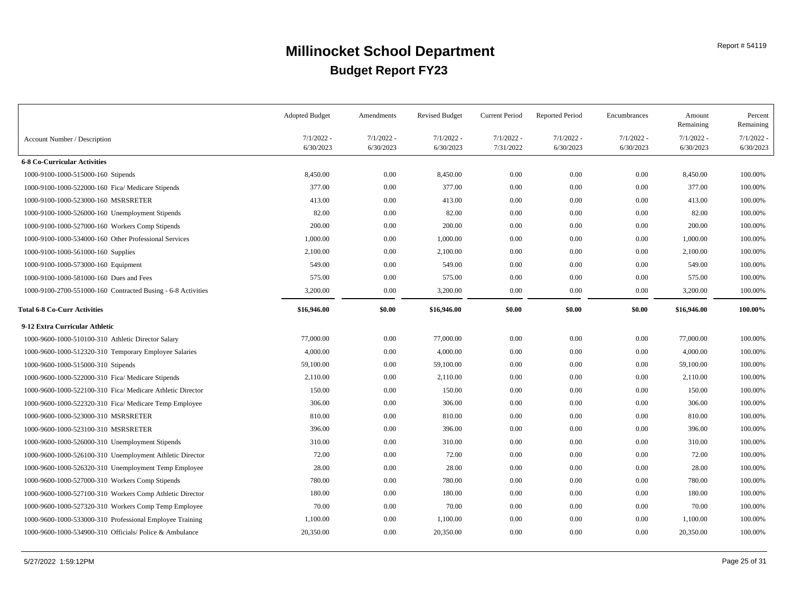|                                                              | <b>Adopted Budget</b>     | Amendments                | <b>Revised Budget</b>     | <b>Current Period</b>     | <b>Reported Period</b>    | Encumbrances              | Amount<br>Remaining       | Percent<br>Remaining      |
|--------------------------------------------------------------|---------------------------|---------------------------|---------------------------|---------------------------|---------------------------|---------------------------|---------------------------|---------------------------|
| Account Number / Description                                 | $7/1/2022$ -<br>6/30/2023 | $7/1/2022$ -<br>6/30/2023 | $7/1/2022 -$<br>6/30/2023 | $7/1/2022 -$<br>7/31/2022 | $7/1/2022$ -<br>6/30/2023 | $7/1/2022$ -<br>6/30/2023 | $7/1/2022$ -<br>6/30/2023 | $7/1/2022$ -<br>6/30/2023 |
| <b>6-8 Co-Curricular Activities</b>                          |                           |                           |                           |                           |                           |                           |                           |                           |
| 1000-9100-1000-515000-160 Stipends                           | 8,450.00                  | 0.00                      | 8,450.00                  | $0.00\,$                  | 0.00                      | 0.00                      | 8,450.00                  | 100.00%                   |
| 1000-9100-1000-522000-160 Fica/ Medicare Stipends            | 377.00                    | 0.00                      | 377.00                    | $0.00\,$                  | 0.00                      | 0.00                      | 377.00                    | 100.00%                   |
| 1000-9100-1000-523000-160 MSRSRETER                          | 413.00                    | 0.00                      | 413.00                    | $0.00\,$                  | 0.00                      | 0.00                      | 413.00                    | 100.00%                   |
| 1000-9100-1000-526000-160 Unemployment Stipends              | 82.00                     | 0.00                      | 82.00                     | $0.00\,$                  | 0.00                      | 0.00                      | 82.00                     | 100.00%                   |
| 1000-9100-1000-527000-160 Workers Comp Stipends              | 200.00                    | 0.00                      | 200.00                    | 0.00                      | 0.00                      | 0.00                      | 200.00                    | 100.00%                   |
| 1000-9100-1000-534000-160 Other Professional Services        | 1,000.00                  | 0.00                      | 1,000.00                  | $0.00\,$                  | 0.00                      | 0.00                      | 1,000.00                  | 100.00%                   |
| 1000-9100-1000-561000-160 Supplies                           | 2,100.00                  | 0.00                      | 2,100.00                  | $0.00\,$                  | 0.00                      | 0.00                      | 2,100.00                  | 100.00%                   |
| 1000-9100-1000-573000-160 Equipment                          | 549.00                    | 0.00                      | 549.00                    | $0.00\,$                  | 0.00                      | 0.00                      | 549.00                    | 100.00%                   |
| 1000-9100-1000-581000-160 Dues and Fees                      | 575.00                    | 0.00                      | 575.00                    | $0.00\,$                  | 0.00                      | 0.00                      | 575.00                    | 100.00%                   |
| 1000-9100-2700-551000-160 Contracted Busing - 6-8 Activities | 3,200.00                  | 0.00                      | 3,200.00                  | 0.00                      | 0.00                      | 0.00                      | 3,200.00                  | 100.00%                   |
| <b>Total 6-8 Co-Curr Activities</b>                          | \$16,946.00               | \$0.00                    | \$16,946.00               | \$0.00                    | \$0.00                    | \$0.00                    | \$16,946.00               | 100.00%                   |
| 9-12 Extra Curricular Athletic                               |                           |                           |                           |                           |                           |                           |                           |                           |
| 1000-9600-1000-510100-310 Athletic Director Salary           | 77,000.00                 | 0.00                      | 77,000.00                 | 0.00                      | 0.00                      | 0.00                      | 77,000.00                 | 100.00%                   |
| 1000-9600-1000-512320-310 Temporary Employee Salaries        | 4,000.00                  | 0.00                      | 4,000.00                  | 0.00                      | 0.00                      | 0.00                      | 4,000.00                  | 100.00%                   |
| 1000-9600-1000-515000-310 Stipends                           | 59,100.00                 | 0.00                      | 59,100.00                 | $0.00\,$                  | 0.00                      | 0.00                      | 59,100.00                 | 100.00%                   |
| 1000-9600-1000-522000-310 Fica/ Medicare Stipends            | 2,110.00                  | 0.00                      | 2,110.00                  | 0.00                      | 0.00                      | 0.00                      | 2,110.00                  | 100.00%                   |
| 1000-9600-1000-522100-310 Fica/ Medicare Athletic Director   | 150.00                    | 0.00                      | 150.00                    | $0.00\,$                  | 0.00                      | 0.00                      | 150.00                    | 100.00%                   |
| 1000-9600-1000-522320-310 Fica/ Medicare Temp Employee       | 306.00                    | 0.00                      | 306.00                    | 0.00                      | 0.00                      | 0.00                      | 306.00                    | 100.00%                   |
| 1000-9600-1000-523000-310 MSRSRETER                          | 810.00                    | 0.00                      | 810.00                    | $0.00\,$                  | 0.00                      | 0.00                      | 810.00                    | 100.00%                   |
| 1000-9600-1000-523100-310 MSRSRETER                          | 396.00                    | 0.00                      | 396.00                    | $0.00\,$                  | 0.00                      | 0.00                      | 396.00                    | 100.00%                   |
| 1000-9600-1000-526000-310 Unemployment Stipends              | 310.00                    | 0.00                      | 310.00                    | $0.00\,$                  | 0.00                      | 0.00                      | 310.00                    | 100.00%                   |
| 1000-9600-1000-526100-310 Unemployment Athletic Director     | 72.00                     | 0.00                      | 72.00                     | $0.00\,$                  | 0.00                      | 0.00                      | 72.00                     | 100.00%                   |
| 1000-9600-1000-526320-310 Unemployment Temp Employee         | 28.00                     | 0.00                      | 28.00                     | $0.00\,$                  | 0.00                      | 0.00                      | 28.00                     | 100.00%                   |
| 1000-9600-1000-527000-310 Workers Comp Stipends              | 780.00                    | 0.00                      | 780.00                    | $0.00\,$                  | 0.00                      | 0.00                      | 780.00                    | 100.00%                   |
| 1000-9600-1000-527100-310 Workers Comp Athletic Director     | 180.00                    | 0.00                      | 180.00                    | $0.00\,$                  | 0.00                      | 0.00                      | 180.00                    | 100.00%                   |
| 1000-9600-1000-527320-310 Workers Comp Temp Employee         | 70.00                     | 0.00                      | 70.00                     | $0.00\,$                  | 0.00                      | 0.00                      | 70.00                     | 100.00%                   |
| 1000-9600-1000-533000-310 Professional Employee Training     | 1,100.00                  | 0.00                      | 1,100.00                  | $0.00\,$                  | 0.00                      | 0.00                      | 1,100.00                  | 100.00%                   |
| 1000-9600-1000-534900-310 Officials/Police & Ambulance       | 20,350.00                 | 0.00                      | 20,350.00                 | 0.00                      | 0.00                      | 0.00                      | 20,350.00                 | 100.00%                   |
|                                                              |                           |                           |                           |                           |                           |                           |                           |                           |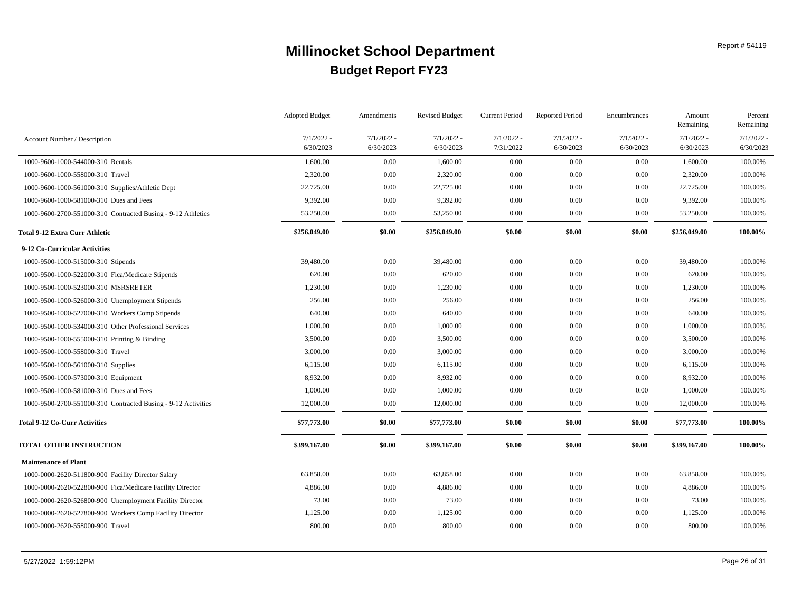|                                                               | <b>Adopted Budget</b>     | Amendments                | <b>Revised Budget</b>     | <b>Current Period</b>     | <b>Reported Period</b>    | Encumbrances              | Amount<br>Remaining       | Percent<br>Remaining      |
|---------------------------------------------------------------|---------------------------|---------------------------|---------------------------|---------------------------|---------------------------|---------------------------|---------------------------|---------------------------|
| Account Number / Description                                  | $7/1/2022 -$<br>6/30/2023 | $7/1/2022 -$<br>6/30/2023 | $7/1/2022$ -<br>6/30/2023 | $7/1/2022 -$<br>7/31/2022 | $7/1/2022 -$<br>6/30/2023 | $7/1/2022 -$<br>6/30/2023 | $7/1/2022$ -<br>6/30/2023 | $7/1/2022$ -<br>6/30/2023 |
| 1000-9600-1000-544000-310 Rentals                             | 1,600.00                  | 0.00                      | 1,600.00                  | 0.00                      | 0.00                      | 0.00                      | 1,600.00                  | 100.00%                   |
| 1000-9600-1000-558000-310 Travel                              | 2,320.00                  | 0.00                      | 2,320.00                  | 0.00                      | 0.00                      | $0.00\,$                  | 2,320.00                  | 100.00%                   |
| 1000-9600-1000-561000-310 Supplies/Athletic Dept              | 22,725.00                 | 0.00                      | 22,725.00                 | 0.00                      | 0.00                      | $0.00\,$                  | 22,725.00                 | 100.00%                   |
| 1000-9600-1000-581000-310 Dues and Fees                       | 9,392.00                  | 0.00                      | 9,392.00                  | $0.00\,$                  | 0.00                      | $0.00\,$                  | 9,392.00                  | 100.00%                   |
| 1000-9600-2700-551000-310 Contracted Busing - 9-12 Athletics  | 53,250.00                 | 0.00                      | 53,250.00                 | $0.00\,$                  | 0.00                      | $0.00\,$                  | 53,250.00                 | 100.00%                   |
| Total 9-12 Extra Curr Athletic                                | \$256,049.00              | \$0.00                    | \$256,049.00              | \$0.00                    | \$0.00                    | \$0.00                    | \$256,049.00              | 100.00%                   |
| 9-12 Co-Curricular Activities                                 |                           |                           |                           |                           |                           |                           |                           |                           |
| 1000-9500-1000-515000-310 Stipends                            | 39,480.00                 | 0.00                      | 39,480.00                 | 0.00                      | 0.00                      | $0.00\,$                  | 39,480.00                 | 100.00%                   |
| 1000-9500-1000-522000-310 Fica/Medicare Stipends              | 620.00                    | 0.00                      | 620.00                    | $0.00\,$                  | 0.00                      | 0.00                      | 620.00                    | 100.00%                   |
| 1000-9500-1000-523000-310 MSRSRETER                           | 1,230.00                  | 0.00                      | 1,230.00                  | 0.00                      | 0.00                      | 0.00                      | 1,230.00                  | 100.00%                   |
| 1000-9500-1000-526000-310 Unemployment Stipends               | 256.00                    | 0.00                      | 256.00                    | $0.00\,$                  | 0.00                      | $0.00\,$                  | 256.00                    | 100.00%                   |
| 1000-9500-1000-527000-310 Workers Comp Stipends               | 640.00                    | 0.00                      | 640.00                    | $0.00\,$                  | 0.00                      | 0.00                      | 640.00                    | 100.00%                   |
| 1000-9500-1000-534000-310 Other Professional Services         | 1,000.00                  | 0.00                      | 1,000.00                  | 0.00                      | 0.00                      | $0.00\,$                  | 1,000.00                  | 100.00%                   |
| 1000-9500-1000-555000-310 Printing & Binding                  | 3,500.00                  | 0.00                      | 3,500.00                  | $0.00\,$                  | 0.00                      | $0.00\,$                  | 3,500.00                  | 100.00%                   |
| 1000-9500-1000-558000-310 Travel                              | 3,000.00                  | 0.00                      | 3,000.00                  | $0.00\,$                  | 0.00                      | $0.00\,$                  | 3,000.00                  | 100.00%                   |
| 1000-9500-1000-561000-310 Supplies                            | 6,115.00                  | 0.00                      | 6,115.00                  | 0.00                      | 0.00                      | $0.00\,$                  | 6,115.00                  | 100.00%                   |
| 1000-9500-1000-573000-310 Equipment                           | 8,932.00                  | 0.00                      | 8,932.00                  | $0.00\,$                  | 0.00                      | 0.00                      | 8,932.00                  | 100.00%                   |
| 1000-9500-1000-581000-310 Dues and Fees                       | 1,000.00                  | 0.00                      | 1,000.00                  | $0.00\,$                  | 0.00                      | 0.00                      | 1,000.00                  | 100.00%                   |
| 1000-9500-2700-551000-310 Contracted Busing - 9-12 Activities | 12,000.00                 | 0.00                      | 12,000.00                 | $0.00\,$                  | 0.00                      | $0.00\,$                  | 12,000.00                 | 100.00%                   |
| Total 9-12 Co-Curr Activities                                 | \$77,773.00               | \$0.00                    | \$77,773.00               | \$0.00                    | \$0.00                    | \$0.00                    | \$77,773.00               | 100.00%                   |
| <b>TOTAL OTHER INSTRUCTION</b>                                | \$399,167.00              | \$0.00                    | \$399,167.00              | \$0.00                    | \$0.00                    | \$0.00                    | \$399,167.00              | 100.00%                   |
| <b>Maintenance of Plant</b>                                   |                           |                           |                           |                           |                           |                           |                           |                           |
| 1000-0000-2620-511800-900 Facility Director Salary            | 63,858.00                 | 0.00                      | 63,858.00                 | 0.00                      | 0.00                      | 0.00                      | 63,858.00                 | 100.00%                   |
| 1000-0000-2620-522800-900 Fica/Medicare Facility Director     | 4,886.00                  | 0.00                      | 4,886.00                  | $0.00\,$                  | 0.00                      | 0.00                      | 4,886.00                  | 100.00%                   |
| 1000-0000-2620-526800-900 Unemployment Facility Director      | 73.00                     | 0.00                      | 73.00                     | 0.00                      | 0.00                      | $0.00\,$                  | 73.00                     | 100.00%                   |
| 1000-0000-2620-527800-900 Workers Comp Facility Director      | 1,125.00                  | 0.00                      | 1,125.00                  | 0.00                      | 0.00                      | 0.00                      | 1,125.00                  | 100.00%                   |
| 1000-0000-2620-558000-900 Travel                              | 800.00                    | 0.00                      | 800.00                    | $0.00\,$                  | 0.00                      | 0.00                      | 800.00                    | 100.00%                   |
|                                                               |                           |                           |                           |                           |                           |                           |                           |                           |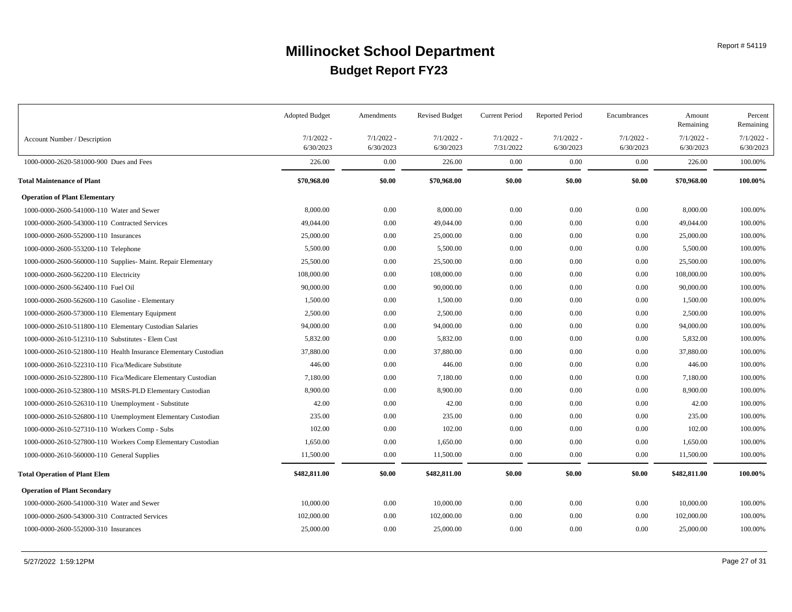|                                                                 | <b>Adopted Budget</b>     | Amendments                | <b>Revised Budget</b>     | Current Period            | <b>Reported Period</b>    | Encumbrances              | Amount<br>Remaining       | Percent<br>Remaining  |
|-----------------------------------------------------------------|---------------------------|---------------------------|---------------------------|---------------------------|---------------------------|---------------------------|---------------------------|-----------------------|
| Account Number / Description                                    | $7/1/2022 -$<br>6/30/2023 | $7/1/2022$ -<br>6/30/2023 | $7/1/2022$ -<br>6/30/2023 | $7/1/2022 -$<br>7/31/2022 | $7/1/2022$ -<br>6/30/2023 | $7/1/2022 -$<br>6/30/2023 | $7/1/2022 -$<br>6/30/2023 | 7/1/2022<br>6/30/2023 |
| 1000-0000-2620-581000-900 Dues and Fees                         | 226.00                    | 0.00                      | 226.00                    | $0.00\,$                  | 0.00                      | $0.00\,$                  | 226.00                    | 100.00%               |
| <b>Total Maintenance of Plant</b>                               | \$70,968.00               | \$0.00                    | \$70,968.00               | \$0.00                    | \$0.00                    | \$0.00                    | \$70,968.00               | 100.00%               |
| <b>Operation of Plant Elementary</b>                            |                           |                           |                           |                           |                           |                           |                           |                       |
| 1000-0000-2600-541000-110 Water and Sewer                       | 8,000.00                  | 0.00                      | 8,000.00                  | 0.00                      | 0.00                      | 0.00                      | 8,000.00                  | 100.00%               |
| 1000-0000-2600-543000-110 Contracted Services                   | 49,044.00                 | 0.00                      | 49,044.00                 | $0.00\,$                  | 0.00                      | 0.00                      | 49,044.00                 | 100.00%               |
| 1000-0000-2600-552000-110 Insurances                            | 25,000.00                 | 0.00                      | 25,000.00                 | $0.00\,$                  | 0.00                      | 0.00                      | 25,000.00                 | 100.00%               |
| 1000-0000-2600-553200-110 Telephone                             | 5,500.00                  | 0.00                      | 5,500.00                  | $0.00\,$                  | 0.00                      | 0.00                      | 5,500.00                  | 100.00%               |
| 1000-0000-2600-560000-110 Supplies- Maint. Repair Elementary    | 25,500.00                 | 0.00                      | 25,500.00                 | $0.00\,$                  | 0.00                      | 0.00                      | 25,500.00                 | 100.00%               |
| 1000-0000-2600-562200-110 Electricity                           | 108,000.00                | 0.00                      | 108,000.00                | 0.00                      | 0.00                      | 0.00                      | 108,000.00                | 100.00%               |
| 1000-0000-2600-562400-110 Fuel Oil                              | 90,000.00                 | 0.00                      | 90,000.00                 | $0.00\,$                  | 0.00                      | 0.00                      | 90,000.00                 | 100.00%               |
| 1000-0000-2600-562600-110 Gasoline - Elementary                 | 1,500.00                  | 0.00                      | 1,500.00                  | $0.00\,$                  | 0.00                      | 0.00                      | 1,500.00                  | 100.00%               |
| 1000-0000-2600-573000-110 Elementary Equipment                  | 2,500.00                  | 0.00                      | 2,500.00                  | $0.00\,$                  | 0.00                      | 0.00                      | 2,500.00                  | 100.00%               |
| 1000-0000-2610-511800-110 Elementary Custodian Salaries         | 94,000.00                 | 0.00                      | 94,000.00                 | $0.00\,$                  | 0.00                      | 0.00                      | 94,000.00                 | 100.00%               |
| 1000-0000-2610-512310-110 Substitutes - Elem Cust               | 5,832.00                  | 0.00                      | 5,832.00                  | 0.00                      | 0.00                      | 0.00                      | 5,832.00                  | 100.00%               |
| 1000-0000-2610-521800-110 Health Insurance Elementary Custodian | 37,880.00                 | 0.00                      | 37,880.00                 | $0.00\,$                  | 0.00                      | 0.00                      | 37,880.00                 | 100.00%               |
| 1000-0000-2610-522310-110 Fica/Medicare Substitute              | 446.00                    | 0.00                      | 446.00                    | $0.00\,$                  | 0.00                      | 0.00                      | 446.00                    | 100.00%               |
| 1000-0000-2610-522800-110 Fica/Medicare Elementary Custodian    | 7,180.00                  | 0.00                      | 7,180.00                  | $0.00\,$                  | 0.00                      | $0.00\,$                  | 7,180.00                  | 100.00%               |
| 1000-0000-2610-523800-110 MSRS-PLD Elementary Custodian         | 8,900.00                  | 0.00                      | 8,900.00                  | $0.00\,$                  | 0.00                      | 0.00                      | 8,900.00                  | 100.00%               |
| 1000-0000-2610-526310-110 Unemployment - Substitute             | 42.00                     | 0.00                      | 42.00                     | $0.00\,$                  | 0.00                      | 0.00                      | 42.00                     | 100.00%               |
| 1000-0000-2610-526800-110 Unemployment Elementary Custodian     | 235.00                    | 0.00                      | 235.00                    | $0.00\,$                  | 0.00                      | 0.00                      | 235.00                    | 100.00%               |
| 1000-0000-2610-527310-110 Workers Comp - Subs                   | 102.00                    | 0.00                      | 102.00                    | $0.00\,$                  | 0.00                      | 0.00                      | 102.00                    | 100.00%               |
| 1000-0000-2610-527800-110 Workers Comp Elementary Custodian     | 1,650.00                  | 0.00                      | 1,650.00                  | 0.00                      | 0.00                      | 0.00                      | 1,650.00                  | 100.00%               |
| 1000-0000-2610-560000-110 General Supplies                      | 11,500.00                 | 0.00                      | 11,500.00                 | $0.00\,$                  | 0.00                      | 0.00                      | 11,500.00                 | 100.00%               |
| <b>Total Operation of Plant Elem</b>                            | \$482,811.00              | \$0.00                    | \$482,811.00              | \$0.00                    | \$0.00                    | \$0.00                    | \$482,811.00              | 100.00%               |
| <b>Operation of Plant Secondary</b>                             |                           |                           |                           |                           |                           |                           |                           |                       |
| 1000-0000-2600-541000-310 Water and Sewer                       | 10,000.00                 | 0.00                      | 10,000.00                 | 0.00                      | 0.00                      | $0.00\,$                  | 10,000.00                 | 100.00%               |
| 1000-0000-2600-543000-310 Contracted Services                   | 102,000.00                | 0.00                      | 102,000.00                | $0.00\,$                  | 0.00                      | $0.00\,$                  | 102,000.00                | 100.00%               |
| 1000-0000-2600-552000-310 Insurances                            | 25,000.00                 | 0.00                      | 25,000.00                 | $0.00\,$                  | 0.00                      | $0.00\,$                  | 25,000.00                 | 100.00%               |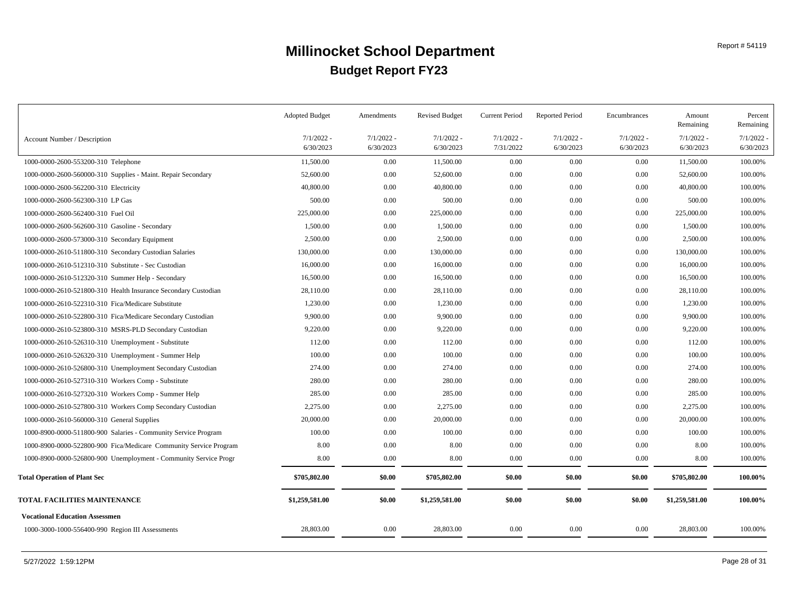|                                                                   | <b>Adopted Budget</b>     | Amendments                | <b>Revised Budget</b>     | Current Period            | <b>Reported Period</b>    | Encumbrances              | Amount<br>Remaining       | Percent<br>Remaining  |
|-------------------------------------------------------------------|---------------------------|---------------------------|---------------------------|---------------------------|---------------------------|---------------------------|---------------------------|-----------------------|
| Account Number / Description                                      | $7/1/2022 -$<br>6/30/2023 | $7/1/2022 -$<br>6/30/2023 | $7/1/2022 -$<br>6/30/2023 | $7/1/2022 -$<br>7/31/2022 | $7/1/2022 -$<br>6/30/2023 | $7/1/2022 -$<br>6/30/2023 | $7/1/2022$ -<br>6/30/2023 | 7/1/2022<br>6/30/2023 |
| 1000-0000-2600-553200-310 Telephone                               | 11,500.00                 | 0.00                      | 11,500.00                 | 0.00                      | 0.00                      | $0.00\,$                  | 11,500.00                 | 100.00%               |
| 1000-0000-2600-560000-310 Supplies - Maint. Repair Secondary      | 52,600.00                 | 0.00                      | 52,600.00                 | 0.00                      | 0.00                      | $0.00\,$                  | 52,600.00                 | 100.00%               |
| 1000-0000-2600-562200-310 Electricity                             | 40,800.00                 | 0.00                      | 40,800.00                 | 0.00                      | 0.00                      | 0.00                      | 40,800.00                 | 100.00%               |
| 1000-0000-2600-562300-310 LP Gas                                  | 500.00                    | 0.00                      | 500.00                    | 0.00                      | 0.00                      | 0.00                      | 500.00                    | 100.00%               |
| 1000-0000-2600-562400-310 Fuel Oil                                | 225,000.00                | 0.00                      | 225,000.00                | 0.00                      | 0.00                      | 0.00                      | 225,000.00                | 100.00%               |
| 1000-0000-2600-562600-310 Gasoline - Secondary                    | 1,500.00                  | 0.00                      | 1,500.00                  | 0.00                      | 0.00                      | 0.00                      | 1,500.00                  | 100.00%               |
| 1000-0000-2600-573000-310 Secondary Equipment                     | 2,500.00                  | 0.00                      | 2,500.00                  | 0.00                      | 0.00                      | $0.00\,$                  | 2,500.00                  | 100.00%               |
| 1000-0000-2610-511800-310 Secondary Custodian Salaries            | 130,000.00                | 0.00                      | 130,000.00                | 0.00                      | 0.00                      | $0.00\,$                  | 130,000.00                | 100.00%               |
| 1000-0000-2610-512310-310 Substitute - Sec Custodian              | 16,000.00                 | 0.00                      | 16,000.00                 | 0.00                      | 0.00                      | $0.00\,$                  | 16,000.00                 | 100.00%               |
| 1000-0000-2610-512320-310 Summer Help - Secondary                 | 16,500.00                 | 0.00                      | 16,500.00                 | 0.00                      | 0.00                      | $0.00\,$                  | 16,500.00                 | 100.00%               |
| 1000-0000-2610-521800-310 Health Insurance Secondary Custodian    | 28,110.00                 | 0.00                      | 28,110.00                 | 0.00                      | 0.00                      | 0.00                      | 28,110.00                 | 100.00%               |
| 1000-0000-2610-522310-310 Fica/Medicare Substitute                | 1,230.00                  | 0.00                      | 1,230.00                  | 0.00                      | 0.00                      | $0.00\,$                  | 1,230.00                  | 100.00%               |
| 1000-0000-2610-522800-310 Fica/Medicare Secondary Custodian       | 9,900.00                  | 0.00                      | 9,900.00                  | 0.00                      | 0.00                      | 0.00                      | 9,900.00                  | 100.00%               |
| 1000-0000-2610-523800-310 MSRS-PLD Secondary Custodian            | 9,220.00                  | 0.00                      | 9,220.00                  | 0.00                      | 0.00                      | $0.00\,$                  | 9,220.00                  | 100.00%               |
| 1000-0000-2610-526310-310 Unemployment - Substitute               | 112.00                    | 0.00                      | 112.00                    | 0.00                      | 0.00                      | 0.00                      | 112.00                    | 100.00%               |
| 1000-0000-2610-526320-310 Unemployment - Summer Help              | 100.00                    | 0.00                      | 100.00                    | 0.00                      | 0.00                      | 0.00                      | 100.00                    | 100.00%               |
| 1000-0000-2610-526800-310 Unemployment Secondary Custodian        | 274.00                    | 0.00                      | 274.00                    | 0.00                      | 0.00                      | $0.00\,$                  | 274.00                    | 100.00%               |
| 1000-0000-2610-527310-310 Workers Comp - Substitute               | 280.00                    | 0.00                      | 280.00                    | 0.00                      | 0.00                      | 0.00                      | 280.00                    | 100.00%               |
| 1000-0000-2610-527320-310 Workers Comp - Summer Help              | 285.00                    | 0.00                      | 285.00                    | 0.00                      | 0.00                      | 0.00                      | 285.00                    | 100.00%               |
| 1000-0000-2610-527800-310 Workers Comp Secondary Custodian        | 2,275.00                  | 0.00                      | 2.275.00                  | 0.00                      | 0.00                      | 0.00                      | 2,275.00                  | 100.00%               |
| 1000-0000-2610-560000-310 General Supplies                        | 20,000.00                 | 0.00                      | 20,000.00                 | 0.00                      | 0.00                      | 0.00                      | 20,000.00                 | 100.00%               |
| 1000-8900-0000-511800-900 Salaries - Community Service Program    | 100.00                    | 0.00                      | 100.00                    | 0.00                      | 0.00                      | $0.00\,$                  | 100.00                    | 100.00%               |
| 1000-8900-0000-522800-900 Fica/Medicare Community Service Program | 8.00                      | 0.00                      | 8.00                      | 0.00                      | 0.00                      | 0.00                      | 8.00                      | 100.00%               |
| 1000-8900-0000-526800-900 Unemployment - Community Service Progr  | 8.00                      | 0.00                      | 8.00                      | 0.00                      | 0.00                      | 0.00                      | 8.00                      | 100.00%               |
| <b>Total Operation of Plant Sec</b>                               | \$705,802.00              | \$0.00                    | \$705,802.00              | \$0.00                    | \$0.00                    | \$0.00                    | \$705,802.00              | 100.00%               |
| TOTAL FACILITIES MAINTENANCE                                      | \$1,259,581.00            | \$0.00                    | \$1,259,581.00            | \$0.00                    | \$0.00                    | \$0.00                    | \$1,259,581.00            | 100.00%               |
| <b>Vocational Education Assessmen</b>                             |                           |                           |                           |                           |                           |                           |                           |                       |
| 1000-3000-1000-556400-990 Region III Assessments                  | 28,803.00                 | 0.00                      | 28,803.00                 | 0.00                      | 0.00                      | 0.00                      | 28,803.00                 | 100.00%               |
|                                                                   |                           |                           |                           |                           |                           |                           |                           |                       |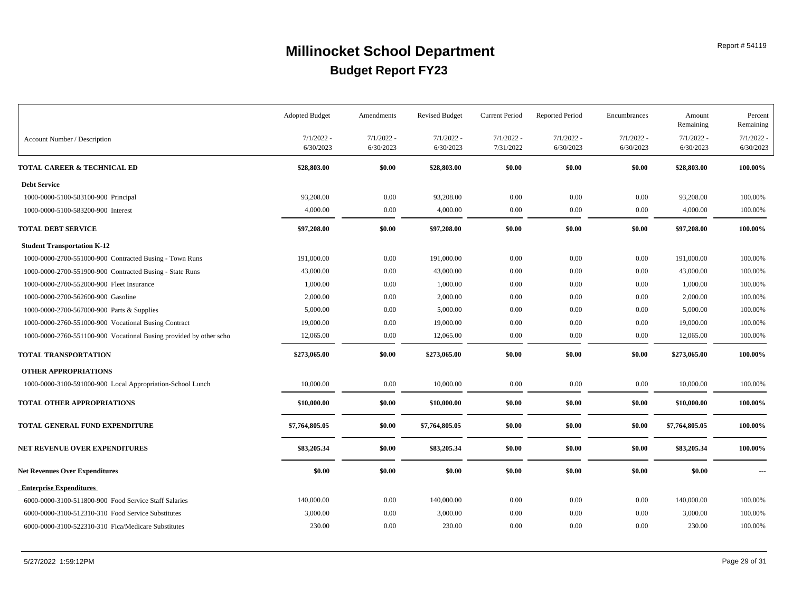| $7/1/2022 -$<br>$7/1/2022$ -<br>$7/1/2022 -$<br>$7/1/2022 -$<br>$7/1/2022$ -<br>$7/1/2022 -$<br>$7/1/2022$ -<br>Account Number / Description<br>6/30/2023<br>6/30/2023<br>6/30/2023<br>7/31/2022<br>6/30/2023<br>6/30/2023<br>6/30/2023<br>\$0.00<br>\$0.00<br>\$0.00<br>\$0.00<br>\$28,803.00<br>\$28,803.00<br>\$28,803.00<br>100.00%<br>TOTAL CAREER & TECHNICAL ED<br><b>Debt Service</b><br>93,208.00<br>0.00<br>93,208.00<br>0.00<br>0.00<br>0.00<br>93,208.00<br>100.00%<br>1000-0000-5100-583100-900 Principal<br>0.00<br>4,000.00<br>0.00<br>4,000.00<br>4,000.00<br>0.00<br>$0.00\,$<br>100.00%<br>1000-0000-5100-583200-900 Interest<br><b>TOTAL DEBT SERVICE</b><br>\$97,208.00<br>\$0.00<br>\$97,208.00<br>\$0.00<br>\$0.00<br>\$0.00<br>\$97,208.00<br>100.00%<br><b>Student Transportation K-12</b><br>0.00<br>0.00<br>191,000.00<br>0.00<br>0.00<br>191,000.00<br>100.00%<br>1000-0000-2700-551000-900 Contracted Busing - Town Runs<br>191,000.00<br>0.00<br>0.00<br>43,000.00<br>43,000.00<br>0.00<br>$0.00\,$<br>43,000.00<br>100.00%<br>1000-0000-2700-551900-900 Contracted Busing - State Runs<br>1,000.00<br>0.00<br>1,000.00<br>0.00<br>0.00<br>0.00<br>1,000.00<br>100.00%<br>1000-0000-2700-552000-900 Fleet Insurance<br>0.00<br>2,000.00<br>0.00<br>2,000.00<br>100.00%<br>2,000.00<br>0.00<br>0.00<br>1000-0000-2700-562600-900 Gasoline<br>5,000.00<br>0.00<br>5,000.00<br>0.00<br>0.00<br>5,000.00<br>100.00%<br>1000-0000-2700-567000-900 Parts & Supplies<br>0.00<br>0.00<br>0.00<br>19,000.00<br>19,000.00<br>0.00<br>0.00<br>19,000.00<br>100.00%<br>1000-0000-2760-551000-900 Vocational Busing Contract<br>12,065.00<br>0.00<br>12,065.00<br>0.00<br>0.00<br>$0.00\,$<br>12,065.00<br>100.00%<br>1000-0000-2760-551100-900 Vocational Busing provided by other scho<br>\$0.00<br>\$273,065.00<br>TOTAL TRANSPORTATION<br>\$273,065.00<br>\$0.00<br>\$273,065.00<br>\$0.00<br>\$0.00<br>100.00%<br>OTHER APPROPRIATIONS<br>10,000.00<br>0.00<br>10,000.00<br>0.00<br>0.00<br>0.00<br>10,000.00<br>100.00%<br>1000-0000-3100-591000-900 Local Appropriation-School Lunch<br>\$0.00<br>TOTAL OTHER APPROPRIATIONS<br>\$0.00<br>\$10,000.00<br>\$0.00<br>\$0.00<br>\$10,000.00<br>\$10,000.00<br>100.00%<br>\$0.00<br>TOTAL GENERAL FUND EXPENDITURE<br>\$7,764,805.05<br>\$0.00<br>\$7,764,805.05<br>\$0.00<br>\$0.00<br>\$7,764,805.05<br>100.00%<br>\$83,205.34<br>\$83,205.34<br>\$0.00<br>\$83,205.34<br>\$0.00<br>\$0.00<br>\$0.00<br>100.00%<br>\$0.00<br>\$0.00<br>\$0.00<br>\$0.00<br>\$0.00<br>\$0.00<br>\$0.00<br>$\overline{a}$<br><b>Enterprise Expenditures</b><br>140,000.00<br>0.00<br>0.00<br>6000-0000-3100-511800-900 Food Service Staff Salaries<br>140,000.00<br>0.00<br>0.00<br>140,000.00<br>100.00%<br>0.00<br>0.00<br>3,000.00<br>100.00%<br>3,000.00<br>3,000.00<br>0.00<br>$0.00\,$<br>6000-0000-3100-512310-310 Food Service Substitutes<br>230.00<br>0.00<br>230.00<br>0.00<br>230.00<br>100.00%<br>6000-0000-3100-522310-310 Fica/Medicare Substitutes<br>0.00<br>0.00 |                                       | <b>Adopted Budget</b> | Amendments | <b>Revised Budget</b> | <b>Current Period</b> | <b>Reported Period</b> | Encumbrances | Amount<br>Remaining | Percent<br>Remaining |
|---------------------------------------------------------------------------------------------------------------------------------------------------------------------------------------------------------------------------------------------------------------------------------------------------------------------------------------------------------------------------------------------------------------------------------------------------------------------------------------------------------------------------------------------------------------------------------------------------------------------------------------------------------------------------------------------------------------------------------------------------------------------------------------------------------------------------------------------------------------------------------------------------------------------------------------------------------------------------------------------------------------------------------------------------------------------------------------------------------------------------------------------------------------------------------------------------------------------------------------------------------------------------------------------------------------------------------------------------------------------------------------------------------------------------------------------------------------------------------------------------------------------------------------------------------------------------------------------------------------------------------------------------------------------------------------------------------------------------------------------------------------------------------------------------------------------------------------------------------------------------------------------------------------------------------------------------------------------------------------------------------------------------------------------------------------------------------------------------------------------------------------------------------------------------------------------------------------------------------------------------------------------------------------------------------------------------------------------------------------------------------------------------------------------------------------------------------------------------------------------------------------------------------------------------------------------------------------------------------------------------------------------------------------------------------------------------------------------------------------------------------------------------------------------------------------------------------------------------------------------------------------------------------------------------------------------------------------------------------------------------------------------------------------|---------------------------------------|-----------------------|------------|-----------------------|-----------------------|------------------------|--------------|---------------------|----------------------|
|                                                                                                                                                                                                                                                                                                                                                                                                                                                                                                                                                                                                                                                                                                                                                                                                                                                                                                                                                                                                                                                                                                                                                                                                                                                                                                                                                                                                                                                                                                                                                                                                                                                                                                                                                                                                                                                                                                                                                                                                                                                                                                                                                                                                                                                                                                                                                                                                                                                                                                                                                                                                                                                                                                                                                                                                                                                                                                                                                                                                                                       |                                       |                       |            |                       |                       |                        |              |                     | 7/1/2022             |
|                                                                                                                                                                                                                                                                                                                                                                                                                                                                                                                                                                                                                                                                                                                                                                                                                                                                                                                                                                                                                                                                                                                                                                                                                                                                                                                                                                                                                                                                                                                                                                                                                                                                                                                                                                                                                                                                                                                                                                                                                                                                                                                                                                                                                                                                                                                                                                                                                                                                                                                                                                                                                                                                                                                                                                                                                                                                                                                                                                                                                                       |                                       |                       |            |                       |                       |                        |              |                     | 6/30/2023            |
|                                                                                                                                                                                                                                                                                                                                                                                                                                                                                                                                                                                                                                                                                                                                                                                                                                                                                                                                                                                                                                                                                                                                                                                                                                                                                                                                                                                                                                                                                                                                                                                                                                                                                                                                                                                                                                                                                                                                                                                                                                                                                                                                                                                                                                                                                                                                                                                                                                                                                                                                                                                                                                                                                                                                                                                                                                                                                                                                                                                                                                       |                                       |                       |            |                       |                       |                        |              |                     |                      |
|                                                                                                                                                                                                                                                                                                                                                                                                                                                                                                                                                                                                                                                                                                                                                                                                                                                                                                                                                                                                                                                                                                                                                                                                                                                                                                                                                                                                                                                                                                                                                                                                                                                                                                                                                                                                                                                                                                                                                                                                                                                                                                                                                                                                                                                                                                                                                                                                                                                                                                                                                                                                                                                                                                                                                                                                                                                                                                                                                                                                                                       |                                       |                       |            |                       |                       |                        |              |                     |                      |
|                                                                                                                                                                                                                                                                                                                                                                                                                                                                                                                                                                                                                                                                                                                                                                                                                                                                                                                                                                                                                                                                                                                                                                                                                                                                                                                                                                                                                                                                                                                                                                                                                                                                                                                                                                                                                                                                                                                                                                                                                                                                                                                                                                                                                                                                                                                                                                                                                                                                                                                                                                                                                                                                                                                                                                                                                                                                                                                                                                                                                                       |                                       |                       |            |                       |                       |                        |              |                     |                      |
|                                                                                                                                                                                                                                                                                                                                                                                                                                                                                                                                                                                                                                                                                                                                                                                                                                                                                                                                                                                                                                                                                                                                                                                                                                                                                                                                                                                                                                                                                                                                                                                                                                                                                                                                                                                                                                                                                                                                                                                                                                                                                                                                                                                                                                                                                                                                                                                                                                                                                                                                                                                                                                                                                                                                                                                                                                                                                                                                                                                                                                       |                                       |                       |            |                       |                       |                        |              |                     |                      |
|                                                                                                                                                                                                                                                                                                                                                                                                                                                                                                                                                                                                                                                                                                                                                                                                                                                                                                                                                                                                                                                                                                                                                                                                                                                                                                                                                                                                                                                                                                                                                                                                                                                                                                                                                                                                                                                                                                                                                                                                                                                                                                                                                                                                                                                                                                                                                                                                                                                                                                                                                                                                                                                                                                                                                                                                                                                                                                                                                                                                                                       |                                       |                       |            |                       |                       |                        |              |                     |                      |
|                                                                                                                                                                                                                                                                                                                                                                                                                                                                                                                                                                                                                                                                                                                                                                                                                                                                                                                                                                                                                                                                                                                                                                                                                                                                                                                                                                                                                                                                                                                                                                                                                                                                                                                                                                                                                                                                                                                                                                                                                                                                                                                                                                                                                                                                                                                                                                                                                                                                                                                                                                                                                                                                                                                                                                                                                                                                                                                                                                                                                                       |                                       |                       |            |                       |                       |                        |              |                     |                      |
|                                                                                                                                                                                                                                                                                                                                                                                                                                                                                                                                                                                                                                                                                                                                                                                                                                                                                                                                                                                                                                                                                                                                                                                                                                                                                                                                                                                                                                                                                                                                                                                                                                                                                                                                                                                                                                                                                                                                                                                                                                                                                                                                                                                                                                                                                                                                                                                                                                                                                                                                                                                                                                                                                                                                                                                                                                                                                                                                                                                                                                       |                                       |                       |            |                       |                       |                        |              |                     |                      |
|                                                                                                                                                                                                                                                                                                                                                                                                                                                                                                                                                                                                                                                                                                                                                                                                                                                                                                                                                                                                                                                                                                                                                                                                                                                                                                                                                                                                                                                                                                                                                                                                                                                                                                                                                                                                                                                                                                                                                                                                                                                                                                                                                                                                                                                                                                                                                                                                                                                                                                                                                                                                                                                                                                                                                                                                                                                                                                                                                                                                                                       |                                       |                       |            |                       |                       |                        |              |                     |                      |
|                                                                                                                                                                                                                                                                                                                                                                                                                                                                                                                                                                                                                                                                                                                                                                                                                                                                                                                                                                                                                                                                                                                                                                                                                                                                                                                                                                                                                                                                                                                                                                                                                                                                                                                                                                                                                                                                                                                                                                                                                                                                                                                                                                                                                                                                                                                                                                                                                                                                                                                                                                                                                                                                                                                                                                                                                                                                                                                                                                                                                                       |                                       |                       |            |                       |                       |                        |              |                     |                      |
|                                                                                                                                                                                                                                                                                                                                                                                                                                                                                                                                                                                                                                                                                                                                                                                                                                                                                                                                                                                                                                                                                                                                                                                                                                                                                                                                                                                                                                                                                                                                                                                                                                                                                                                                                                                                                                                                                                                                                                                                                                                                                                                                                                                                                                                                                                                                                                                                                                                                                                                                                                                                                                                                                                                                                                                                                                                                                                                                                                                                                                       |                                       |                       |            |                       |                       |                        |              |                     |                      |
|                                                                                                                                                                                                                                                                                                                                                                                                                                                                                                                                                                                                                                                                                                                                                                                                                                                                                                                                                                                                                                                                                                                                                                                                                                                                                                                                                                                                                                                                                                                                                                                                                                                                                                                                                                                                                                                                                                                                                                                                                                                                                                                                                                                                                                                                                                                                                                                                                                                                                                                                                                                                                                                                                                                                                                                                                                                                                                                                                                                                                                       |                                       |                       |            |                       |                       |                        |              |                     |                      |
|                                                                                                                                                                                                                                                                                                                                                                                                                                                                                                                                                                                                                                                                                                                                                                                                                                                                                                                                                                                                                                                                                                                                                                                                                                                                                                                                                                                                                                                                                                                                                                                                                                                                                                                                                                                                                                                                                                                                                                                                                                                                                                                                                                                                                                                                                                                                                                                                                                                                                                                                                                                                                                                                                                                                                                                                                                                                                                                                                                                                                                       |                                       |                       |            |                       |                       |                        |              |                     |                      |
|                                                                                                                                                                                                                                                                                                                                                                                                                                                                                                                                                                                                                                                                                                                                                                                                                                                                                                                                                                                                                                                                                                                                                                                                                                                                                                                                                                                                                                                                                                                                                                                                                                                                                                                                                                                                                                                                                                                                                                                                                                                                                                                                                                                                                                                                                                                                                                                                                                                                                                                                                                                                                                                                                                                                                                                                                                                                                                                                                                                                                                       |                                       |                       |            |                       |                       |                        |              |                     |                      |
|                                                                                                                                                                                                                                                                                                                                                                                                                                                                                                                                                                                                                                                                                                                                                                                                                                                                                                                                                                                                                                                                                                                                                                                                                                                                                                                                                                                                                                                                                                                                                                                                                                                                                                                                                                                                                                                                                                                                                                                                                                                                                                                                                                                                                                                                                                                                                                                                                                                                                                                                                                                                                                                                                                                                                                                                                                                                                                                                                                                                                                       |                                       |                       |            |                       |                       |                        |              |                     |                      |
|                                                                                                                                                                                                                                                                                                                                                                                                                                                                                                                                                                                                                                                                                                                                                                                                                                                                                                                                                                                                                                                                                                                                                                                                                                                                                                                                                                                                                                                                                                                                                                                                                                                                                                                                                                                                                                                                                                                                                                                                                                                                                                                                                                                                                                                                                                                                                                                                                                                                                                                                                                                                                                                                                                                                                                                                                                                                                                                                                                                                                                       |                                       |                       |            |                       |                       |                        |              |                     |                      |
|                                                                                                                                                                                                                                                                                                                                                                                                                                                                                                                                                                                                                                                                                                                                                                                                                                                                                                                                                                                                                                                                                                                                                                                                                                                                                                                                                                                                                                                                                                                                                                                                                                                                                                                                                                                                                                                                                                                                                                                                                                                                                                                                                                                                                                                                                                                                                                                                                                                                                                                                                                                                                                                                                                                                                                                                                                                                                                                                                                                                                                       |                                       |                       |            |                       |                       |                        |              |                     |                      |
|                                                                                                                                                                                                                                                                                                                                                                                                                                                                                                                                                                                                                                                                                                                                                                                                                                                                                                                                                                                                                                                                                                                                                                                                                                                                                                                                                                                                                                                                                                                                                                                                                                                                                                                                                                                                                                                                                                                                                                                                                                                                                                                                                                                                                                                                                                                                                                                                                                                                                                                                                                                                                                                                                                                                                                                                                                                                                                                                                                                                                                       |                                       |                       |            |                       |                       |                        |              |                     |                      |
|                                                                                                                                                                                                                                                                                                                                                                                                                                                                                                                                                                                                                                                                                                                                                                                                                                                                                                                                                                                                                                                                                                                                                                                                                                                                                                                                                                                                                                                                                                                                                                                                                                                                                                                                                                                                                                                                                                                                                                                                                                                                                                                                                                                                                                                                                                                                                                                                                                                                                                                                                                                                                                                                                                                                                                                                                                                                                                                                                                                                                                       |                                       |                       |            |                       |                       |                        |              |                     |                      |
|                                                                                                                                                                                                                                                                                                                                                                                                                                                                                                                                                                                                                                                                                                                                                                                                                                                                                                                                                                                                                                                                                                                                                                                                                                                                                                                                                                                                                                                                                                                                                                                                                                                                                                                                                                                                                                                                                                                                                                                                                                                                                                                                                                                                                                                                                                                                                                                                                                                                                                                                                                                                                                                                                                                                                                                                                                                                                                                                                                                                                                       | NET REVENUE OVER EXPENDITURES         |                       |            |                       |                       |                        |              |                     |                      |
|                                                                                                                                                                                                                                                                                                                                                                                                                                                                                                                                                                                                                                                                                                                                                                                                                                                                                                                                                                                                                                                                                                                                                                                                                                                                                                                                                                                                                                                                                                                                                                                                                                                                                                                                                                                                                                                                                                                                                                                                                                                                                                                                                                                                                                                                                                                                                                                                                                                                                                                                                                                                                                                                                                                                                                                                                                                                                                                                                                                                                                       | <b>Net Revenues Over Expenditures</b> |                       |            |                       |                       |                        |              |                     |                      |
|                                                                                                                                                                                                                                                                                                                                                                                                                                                                                                                                                                                                                                                                                                                                                                                                                                                                                                                                                                                                                                                                                                                                                                                                                                                                                                                                                                                                                                                                                                                                                                                                                                                                                                                                                                                                                                                                                                                                                                                                                                                                                                                                                                                                                                                                                                                                                                                                                                                                                                                                                                                                                                                                                                                                                                                                                                                                                                                                                                                                                                       |                                       |                       |            |                       |                       |                        |              |                     |                      |
|                                                                                                                                                                                                                                                                                                                                                                                                                                                                                                                                                                                                                                                                                                                                                                                                                                                                                                                                                                                                                                                                                                                                                                                                                                                                                                                                                                                                                                                                                                                                                                                                                                                                                                                                                                                                                                                                                                                                                                                                                                                                                                                                                                                                                                                                                                                                                                                                                                                                                                                                                                                                                                                                                                                                                                                                                                                                                                                                                                                                                                       |                                       |                       |            |                       |                       |                        |              |                     |                      |
|                                                                                                                                                                                                                                                                                                                                                                                                                                                                                                                                                                                                                                                                                                                                                                                                                                                                                                                                                                                                                                                                                                                                                                                                                                                                                                                                                                                                                                                                                                                                                                                                                                                                                                                                                                                                                                                                                                                                                                                                                                                                                                                                                                                                                                                                                                                                                                                                                                                                                                                                                                                                                                                                                                                                                                                                                                                                                                                                                                                                                                       |                                       |                       |            |                       |                       |                        |              |                     |                      |
|                                                                                                                                                                                                                                                                                                                                                                                                                                                                                                                                                                                                                                                                                                                                                                                                                                                                                                                                                                                                                                                                                                                                                                                                                                                                                                                                                                                                                                                                                                                                                                                                                                                                                                                                                                                                                                                                                                                                                                                                                                                                                                                                                                                                                                                                                                                                                                                                                                                                                                                                                                                                                                                                                                                                                                                                                                                                                                                                                                                                                                       |                                       |                       |            |                       |                       |                        |              |                     |                      |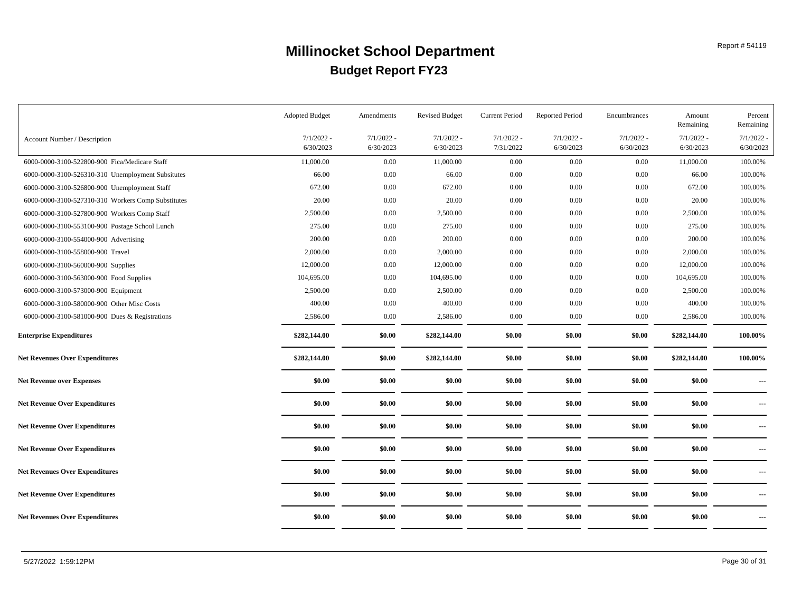|                                                    | <b>Adopted Budget</b>     | Amendments                | <b>Revised Budget</b>     | <b>Current Period</b>     | <b>Reported Period</b>    | Encumbrances              | Amount<br>Remaining       | Percent<br>Remaining     |
|----------------------------------------------------|---------------------------|---------------------------|---------------------------|---------------------------|---------------------------|---------------------------|---------------------------|--------------------------|
| Account Number / Description                       | $7/1/2022$ -<br>6/30/2023 | $7/1/2022 -$<br>6/30/2023 | $7/1/2022 -$<br>6/30/2023 | $7/1/2022 -$<br>7/31/2022 | $7/1/2022$ -<br>6/30/2023 | $7/1/2022 -$<br>6/30/2023 | $7/1/2022 -$<br>6/30/2023 | 7/1/2022<br>6/30/2023    |
| 6000-0000-3100-522800-900 Fica/Medicare Staff      | 11,000.00                 | 0.00                      | 11,000.00                 | 0.00                      | 0.00                      | 0.00                      | 11,000.00                 | 100.00%                  |
| 6000-0000-3100-526310-310 Unemployment Subsitutes  | 66.00                     | 0.00                      | 66.00                     | $0.00\,$                  | 0.00                      | $0.00\,$                  | 66.00                     | 100.00%                  |
| 6000-0000-3100-526800-900 Unemployment Staff       | 672.00                    | 0.00                      | 672.00                    | 0.00                      | 0.00                      | 0.00                      | 672.00                    | 100.00%                  |
| 6000-0000-3100-527310-310 Workers Comp Substitutes | 20.00                     | 0.00                      | 20.00                     | $0.00\,$                  | 0.00                      | 0.00                      | 20.00                     | 100.00%                  |
| 6000-0000-3100-527800-900 Workers Comp Staff       | 2,500.00                  | 0.00                      | 2,500.00                  | $0.00\,$                  | 0.00                      | 0.00                      | 2,500.00                  | 100.00%                  |
| 6000-0000-3100-553100-900 Postage School Lunch     | 275.00                    | 0.00                      | 275.00                    | $0.00\,$                  | 0.00                      | $0.00\,$                  | 275.00                    | 100.00%                  |
| 6000-0000-3100-554000-900 Advertising              | 200.00                    | 0.00                      | 200.00                    | $0.00\,$                  | 0.00                      | 0.00                      | 200.00                    | 100.00%                  |
| 6000-0000-3100-558000-900 Travel                   | 2,000.00                  | 0.00                      | 2,000.00                  | $0.00\,$                  | 0.00                      | 0.00                      | 2,000.00                  | 100.00%                  |
| 6000-0000-3100-560000-900 Supplies                 | 12,000.00                 | 0.00                      | 12,000.00                 | 0.00                      | 0.00                      | 0.00                      | 12,000.00                 | 100.00%                  |
| 6000-0000-3100-563000-900 Food Supplies            | 104,695.00                | 0.00                      | 104,695.00                | 0.00                      | 0.00                      | $0.00\,$                  | 104,695.00                | 100.00%                  |
| 6000-0000-3100-573000-900 Equipment                | 2,500.00                  | 0.00                      | 2,500.00                  | 0.00                      | 0.00                      | 0.00                      | 2,500.00                  | 100.00%                  |
| 6000-0000-3100-580000-900 Other Misc Costs         | 400.00                    | 0.00                      | 400.00                    | 0.00                      | 0.00                      | 0.00                      | 400.00                    | 100.00%                  |
| 6000-0000-3100-581000-900 Dues & Registrations     | 2,586.00                  | 0.00                      | 2,586.00                  | 0.00                      | 0.00                      | 0.00                      | 2,586.00                  | 100.00%                  |
| <b>Enterprise Expenditures</b>                     | \$282,144.00              | \$0.00                    | \$282,144.00              | \$0.00                    | \$0.00                    | \$0.00                    | \$282,144.00              | 100.00%                  |
| <b>Net Revenues Over Expenditures</b>              | \$282,144.00              | \$0.00                    | \$282,144.00              | \$0.00                    | \$0.00                    | \$0.00                    | \$282,144.00              | 100.00%                  |
| <b>Net Revenue over Expenses</b>                   | \$0.00                    | \$0.00                    | \$0.00                    | \$0.00                    | \$0.00                    | \$0.00                    | \$0.00                    | $\cdots$                 |
| <b>Net Revenue Over Expenditures</b>               | \$0.00                    | \$0.00                    | \$0.00                    | \$0.00                    | \$0.00                    | \$0.00                    | \$0.00                    | $\cdots$                 |
| <b>Net Revenue Over Expenditures</b>               | \$0.00                    | \$0.00                    | \$0.00                    | \$0.00                    | \$0.00                    | \$0.00                    | \$0.00                    | $\cdots$ .               |
| <b>Net Revenue Over Expenditures</b>               | \$0.00                    | \$0.00                    | \$0.00                    | \$0.00                    | \$0.00                    | \$0.00                    | \$0.00                    | $\cdots$                 |
| <b>Net Revenues Over Expenditures</b>              | \$0.00                    | \$0.00                    | \$0.00                    | \$0.00                    | \$0.00                    | \$0.00                    | \$0.00                    | $\sim$ $\sim$ $\sim$     |
| <b>Net Revenue Over Expenditures</b>               | \$0.00                    | \$0.00                    | \$0.00                    | \$0.00                    | \$0.00                    | \$0.00                    | \$0.00                    | $\overline{\phantom{a}}$ |
| <b>Net Revenues Over Expenditures</b>              | \$0.00                    | \$0.00                    | \$0.00                    | \$0.00                    | \$0.00                    | \$0.00                    | \$0.00                    | $\cdots$                 |
|                                                    |                           |                           |                           |                           |                           |                           |                           |                          |